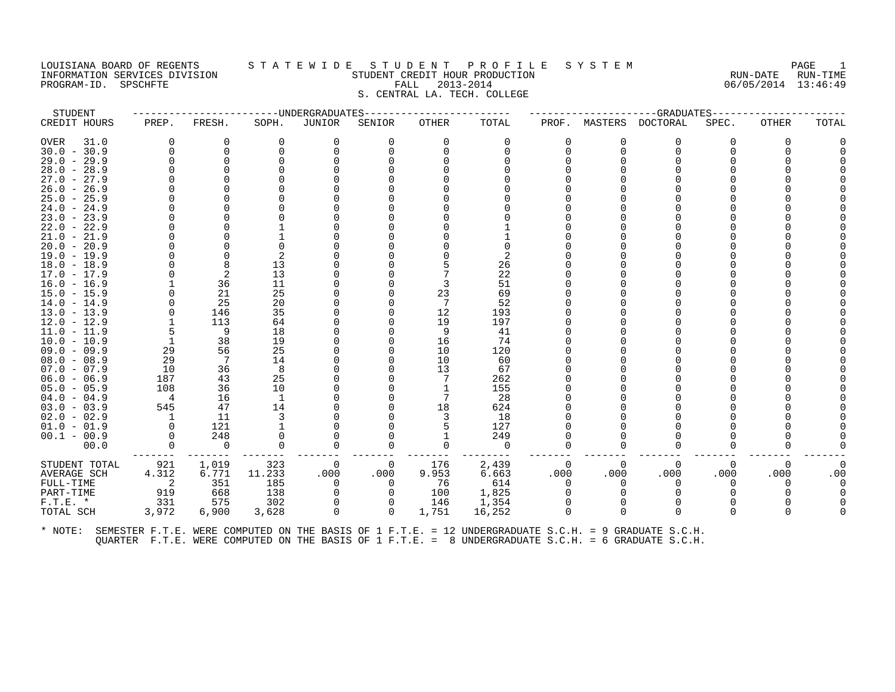# LOUISIANA BOARD OF REGENTS STATEWIDE STUDENT PROFILE SYSTEM PAGE 1<br>INFORMATION SERVICES DIVISION STUDENT CREDIT HOUR PRODUCTION FORD PROMETT AND RUN-DATE RUN-TIME INFORMATION SERVICES DIVISION STUDENT CREDIT HOUR PRODUCTION RUN-DATE RUN-TIME PROGRAM-ID. SPSCHFTE DIVISION CONTRACTION SERVICES DIVISION CONTRACTION CREDIT HOUR PRODUCT CREDIT HOUR PRODU<br>PROGRAM-ID. SPSCHFTE FALL 2013-2014 S. CENTRAL LA. TECH. COLLEGE

| STUDENT       |                |          | --------------UNDERGRADUATES- |          |              |          |          |          |          | -------------GRADUATES----- |          |          |       |
|---------------|----------------|----------|-------------------------------|----------|--------------|----------|----------|----------|----------|-----------------------------|----------|----------|-------|
| CREDIT HOURS  | PREP.          | FRESH.   | SOPH.                         | JUNIOR   | SENIOR       | OTHER    | TOTAL    | PROF.    |          | MASTERS DOCTORAL            | SPEC.    | OTHER    | TOTAL |
| 31.0<br>OVER  | $\Omega$       | 0        | $\Omega$                      | 0        | 0            | $\Omega$ | 0        | $\Omega$ | 0        | 0                           | $\Omega$ |          |       |
| $30.0 - 30.9$ | $\Omega$       | 0        | $\Omega$                      | 0        | U            | $\Omega$ | $\Omega$ | 0        | $\Omega$ | $\Omega$                    |          |          |       |
| $29.0 - 29.9$ |                | $\Omega$ |                               |          |              |          |          |          |          |                             |          |          |       |
| $28.0 - 28.9$ |                |          |                               |          |              |          |          |          |          |                             |          |          |       |
| $27.0 - 27.9$ |                |          |                               |          |              |          |          |          |          |                             |          |          |       |
| $26.0 - 26.9$ |                |          |                               |          |              |          |          |          |          |                             |          |          |       |
| $25.0 - 25.9$ |                |          |                               |          |              |          |          |          |          |                             |          |          |       |
| $24.0 - 24.9$ |                |          |                               |          |              |          |          |          |          |                             |          |          |       |
| $23.0 - 23.9$ |                |          |                               |          |              |          |          |          |          |                             |          |          |       |
| $22.0 - 22.9$ |                |          |                               |          |              |          |          |          |          |                             |          |          |       |
| $21.0 - 21.9$ |                |          |                               |          |              |          |          |          |          |                             |          |          |       |
| $20.0 - 20.9$ |                |          |                               |          |              |          |          |          |          |                             |          |          |       |
| $19.0 - 19.9$ |                |          | 2                             |          |              |          | 2        |          |          |                             |          |          |       |
| $18.0 - 18.9$ |                | 8        | 13                            |          |              |          | 26       |          |          |                             |          |          |       |
| $17.0 - 17.9$ |                | -2       | 13                            |          |              |          | 22       |          |          |                             |          |          |       |
| 16.0 - 16.9   |                | 36       | 11                            |          |              | 3        | 51       |          |          |                             |          |          |       |
| $15.0 - 15.9$ |                | 21       | 25                            |          |              | 23       | 69       |          |          |                             |          |          |       |
| $14.0 - 14.9$ |                | 25       | 20                            |          |              | -7       | 52       |          |          |                             |          |          |       |
| $13.0 - 13.9$ |                | 146      | 35                            |          |              | 12       | 193      |          |          |                             |          |          |       |
| $12.0 - 12.9$ |                | 113      | 64                            |          |              | 19       | 197      |          |          |                             |          |          |       |
| $11.0 - 11.9$ | 5              | 9        | 18                            |          |              | 9        | 41       |          |          |                             |          |          |       |
| $10.0 - 10.9$ | -1             | 38       | 19                            |          |              | 16       | 74       |          |          |                             |          |          |       |
| 09.0 - 09.9   | 29             | 56       | 25                            |          |              | 10       | 120      |          |          |                             |          |          |       |
| $08.0 - 08.9$ | 29             | - 7      | 14                            |          |              | 10       | 60       |          |          |                             |          |          |       |
| $07.0 - 07.9$ | 10             | 36       | 8                             |          |              | 13       | 67       |          |          |                             |          |          |       |
| $06.0 - 06.9$ | 187            | 43       | 25                            |          |              |          | 262      |          |          |                             |          |          |       |
| $05.0 - 05.9$ | 108            | 36       | 10                            |          |              |          | 155      |          |          |                             |          |          |       |
| $04.0 - 04.9$ | $\overline{4}$ | 16       | -1                            |          |              | 7        | 28       |          |          |                             |          |          |       |
| $03.0 - 03.9$ | 545            | 47       | 14                            |          |              | 18       | 624      |          |          |                             |          |          |       |
| $02.0 - 02.9$ | $\mathbf{1}$   | 11       | 3                             |          |              | 3        | 18       |          |          |                             |          |          |       |
| $01.0 - 01.9$ | $\Omega$       | 121      |                               |          |              |          | 127      |          |          |                             |          |          |       |
| $00.1 - 00.9$ |                | 248      |                               |          |              |          | 249      |          |          |                             |          |          |       |
| 00.0          | $\Omega$       | 0        | $\Omega$                      | $\Omega$ | 0            | $\Omega$ | $\Omega$ | $\Omega$ | 0        | $\Omega$                    | 0        |          |       |
| STUDENT TOTAL | 921            | 1,019    | 323                           | - 0      | 0            | 176      | 2,439    | 0        | $\Omega$ | $\Omega$                    | 0        | $\Omega$ |       |
| AVERAGE SCH   | 4.312          | 6.771    | 11.233                        | .000     | .000         | 9.953    | 6.663    | .000     | .000     | .000                        | .000     | .000     | .00   |
| FULL-TIME     | -2             | 351      | 185                           | 0        | $\Omega$     | 76       | 614      | $\Omega$ | $\Omega$ | $\Omega$                    | 0        |          |       |
| PART-TIME     | 919            | 668      | 138                           | 0        | $\Omega$     | 100      | 1,825    | $\Omega$ |          |                             |          |          |       |
| $F.T.E. *$    | 331            | 575      | 302                           |          |              | 146      | 1,354    |          |          |                             |          |          |       |
| TOTAL SCH     | 3,972          | 6,900    | 3,628                         | 0        | $\mathbf{0}$ | 1,751    | 16,252   | $\Omega$ | $\Omega$ | $\Omega$                    | 0        |          |       |
|               |                |          |                               |          |              |          |          |          |          |                             |          |          |       |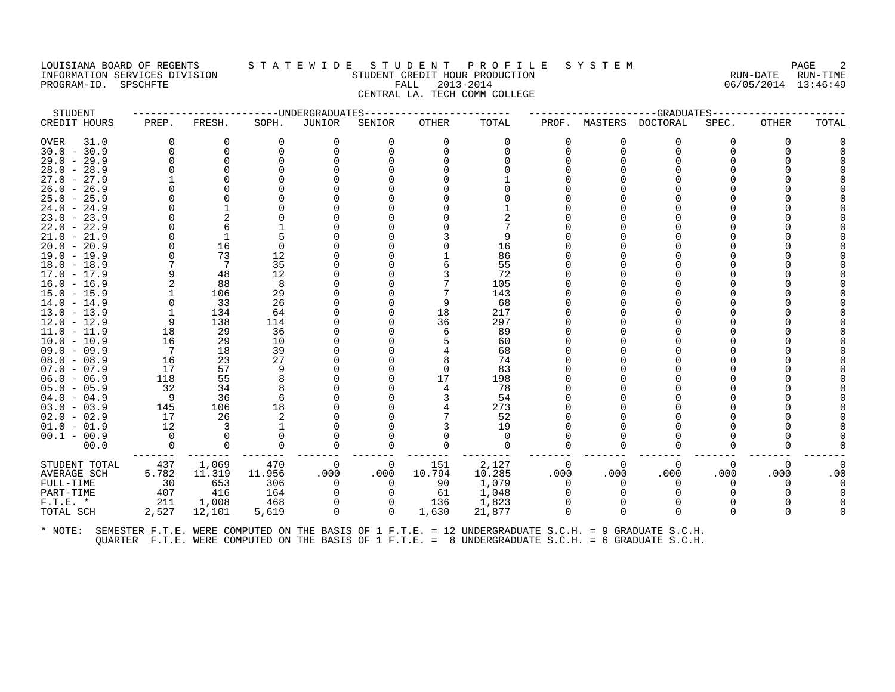# LOUISIANA BOARD OF REGENTS STATEWIDE STUDENT PROFILE SYSTEM PAGE 2<br>INFORMATION SERVICES DIVISION STUDENT CREDIT HOUR PRODUCTION PRODUCTION INFORMATION SERVICES DIVISION STUDENT CREDIT HOUR PRODUCTION RUN-DATE RUN-TIME PROGRAM-ID. SPSCHFTE FALL 2013-2014 06/05/2014 13:46:49 CENTRAL LA. TECH COMM COLLEGE

| STUDENT       |          |          |          | --------------------UNDERGRADUATES |          |          |          |          |          | ---GRADUATES----- |              |       |       |
|---------------|----------|----------|----------|------------------------------------|----------|----------|----------|----------|----------|-------------------|--------------|-------|-------|
| CREDIT HOURS  | PREP.    | FRESH.   | SOPH.    | JUNIOR                             | SENIOR   | OTHER    | TOTAL    | PROF.    | MASTERS  | <b>DOCTORAL</b>   | SPEC.        | OTHER | TOTAL |
| OVER<br>31.0  | $\Omega$ | $\Omega$ | $\Omega$ | $\Omega$                           | $\Omega$ | $\Omega$ | $\Omega$ | $\Omega$ |          | $\Omega$          | $\Omega$     | 0     |       |
| $30.0 - 30.9$ | $\Omega$ | $\Omega$ |          | $\Omega$                           |          |          |          | $\Omega$ | $\Omega$ | $\Omega$          |              |       |       |
| $29.0 - 29.9$ |          | 0        |          |                                    |          |          |          |          |          |                   |              |       |       |
| $28.0 - 28.9$ |          |          |          |                                    |          |          |          |          |          |                   |              |       |       |
| $27.0 - 27.9$ |          |          |          |                                    |          |          |          |          |          |                   |              |       |       |
| $26.0 - 26.9$ |          |          |          |                                    |          |          |          |          |          |                   |              |       |       |
| $25.0 - 25.9$ |          |          |          |                                    |          |          |          |          |          |                   |              |       |       |
| $24.0 - 24.9$ |          |          |          |                                    |          |          |          |          |          |                   |              |       |       |
| $23.0 - 23.9$ |          |          |          |                                    |          |          |          |          |          |                   |              |       |       |
| $22.0 - 22.9$ |          |          |          |                                    |          |          |          |          |          |                   |              |       |       |
| $21.0 - 21.9$ |          |          |          |                                    |          |          | 9        |          |          |                   |              |       |       |
| $20.0 - 20.9$ |          | 16       | $\Omega$ |                                    |          |          | 16       |          |          |                   |              |       |       |
| $19.0 - 19.9$ |          | 73       | 12       |                                    |          |          | 86       |          |          |                   |              |       |       |
| $18.0 - 18.9$ |          | 7        | 35       |                                    |          |          | 55       |          |          |                   |              |       |       |
| $17.0 - 17.9$ | 9        | 48       | 12       |                                    |          |          | 72       |          |          |                   |              |       |       |
| $16.0 - 16.9$ |          | 88       | 8        |                                    |          |          | 105      |          |          |                   |              |       |       |
| $15.0 - 15.9$ |          | 106      | 29       |                                    |          |          | 143      |          |          |                   |              |       |       |
| $14.0 - 14.9$ | 0        | 33       | 26       |                                    |          | 9        | 68       |          |          |                   |              |       |       |
| $13.0 - 13.9$ |          | 134      | 64       |                                    |          | 18       | 217      |          |          |                   |              |       |       |
| $12.0 - 12.9$ | 9        | 138      | 114      |                                    |          | 36       | 297      |          |          |                   |              |       |       |
| $11.0 - 11.9$ | 18       | 29       | 36       |                                    |          | 6        | 89       |          |          |                   |              |       |       |
| $10.0 - 10.9$ | 16       | 29       | 10       |                                    |          |          | 60       |          |          |                   |              |       |       |
| $09.0 - 09.9$ | 7        | 18       | 39       |                                    |          |          | 68       |          |          |                   |              |       |       |
| $08.0 - 08.9$ | 16       | 23       | 27       |                                    |          |          | 74       |          |          |                   |              |       |       |
| $07.0 - 07.9$ | 17       | 57       |          |                                    |          | $\Omega$ | 83       |          |          |                   |              |       |       |
| $06.0 - 06.9$ | 118      | 55       |          |                                    |          | 17       | 198      |          |          |                   |              |       |       |
| $05.0 - 05.9$ | 32       | 34       |          |                                    |          |          | 78       |          |          |                   |              |       |       |
| $04.0 - 04.9$ | - 9      | 36       | 6        |                                    |          |          | 54       |          |          |                   |              |       |       |
| $03.0 - 03.9$ | 145      | 106      | 18       |                                    |          |          | 273      |          |          |                   |              |       |       |
| $02.0 - 02.9$ | 17       | 26       |          |                                    |          |          | 52       |          |          |                   |              |       |       |
| $01.0 - 01.9$ | 12       | 3        |          |                                    |          |          | 19       |          |          |                   |              |       |       |
| $00.1 - 00.9$ | $\Omega$ | $\Omega$ | $\Omega$ |                                    |          |          | $\Omega$ |          |          |                   |              |       |       |
| 00.0          | $\Omega$ | 0        |          | $\Omega$                           | $\Omega$ |          | $\Omega$ |          |          |                   |              |       |       |
| STUDENT TOTAL | 437      | 1,069    | 470      | 0                                  | 0        | 151      | 2,127    | $\Omega$ | 0        | $\Omega$          | 0            | 0     |       |
| AVERAGE SCH   | 5.782    | 11.319   | 11.956   | .000                               | .000     | 10.794   | 10.285   | .000     | .000     | .000              | .000         | .000  | .00   |
| FULL-TIME     | 30       | 653      | 306      | $\Omega$                           | $\Omega$ | 90       | 1,079    | $\Omega$ |          | $\Omega$          | <sup>n</sup> |       |       |
| PART-TIME     | 407      | 416      | 164      | $\Omega$                           | 0        | 61       | 1,048    |          |          |                   |              |       |       |
| $F.T.E. *$    | 211      | 1,008    | 468      | $\mathbf 0$                        | $\Omega$ | 136      | 1,823    | $\Omega$ |          |                   |              |       |       |
| TOTAL SCH     | 2,527    | 12,101   | 5,619    | $\mathbf 0$                        | $\Omega$ | 1,630    | 21,877   | $\Omega$ | $\Omega$ | $\Omega$          | <sup>0</sup> |       |       |
|               |          |          |          |                                    |          |          |          |          |          |                   |              |       |       |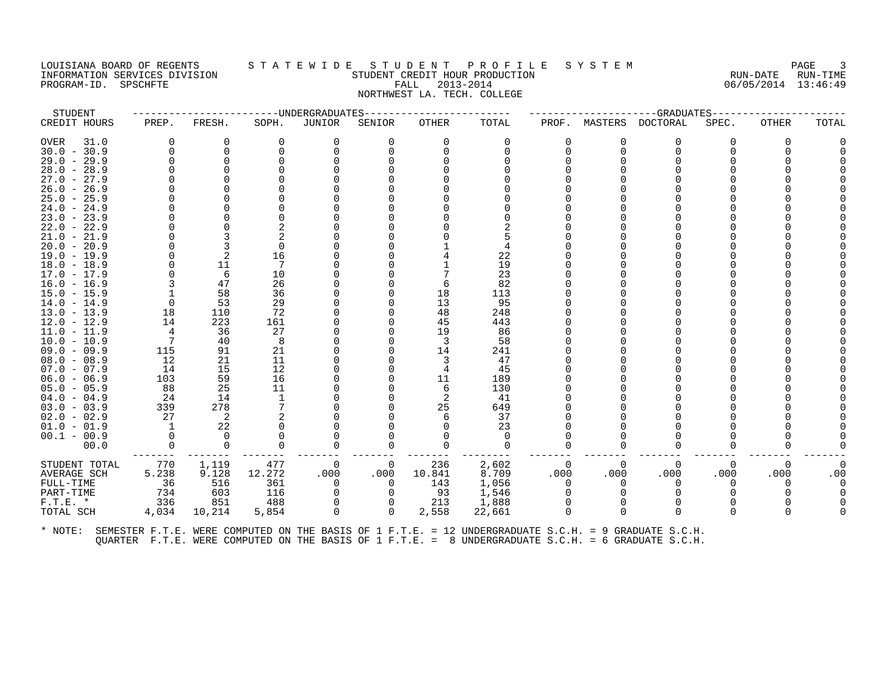# LOUISIANA BOARD OF REGENTS STATEWIDE STUDENT PROFILE SYSTEM NAGE 3 INFORMATION SERVICES DIVISION SUN-TIME STUDENT CREDIT HOUR PRODUCTION SUNGLE RUN-DATE RUN-TIME<br>PROGRAM-ID. SPSCHFTE SERVITE SERVICES SUNGLESS SUNGLESS FALL 2013-2014 2019 PROGRAM-ID. SPSCHFTE FALL 2013-2014 NORTHWEST LA. TECH. COLLEGE

| STUDENT       |                |          |          | ---------------------UNDERGRADUATES |          |          |          |          |          | --GRADUATES----- |       |              |       |
|---------------|----------------|----------|----------|-------------------------------------|----------|----------|----------|----------|----------|------------------|-------|--------------|-------|
| CREDIT HOURS  | PREP.          | FRESH.   | SOPH.    | JUNIOR                              | SENIOR   | OTHER    | TOTAL    | PROF.    | MASTERS  | DOCTORAL         | SPEC. | <b>OTHER</b> | TOTAL |
| OVER<br>31.0  | $\Omega$       | 0        | $\Omega$ | 0                                   | 0        | $\Omega$ | 0        | $\Omega$ | 0        | $\Omega$         | 0     | $\Omega$     |       |
| $30.0 - 30.9$ | $\Omega$       | $\Omega$ |          |                                     |          |          |          | $\Omega$ | $\Omega$ | $\Omega$         |       |              |       |
| $29.0 - 29.9$ | $\Omega$       | $\Omega$ |          |                                     |          |          |          |          |          |                  |       |              |       |
| $28.0 - 28.9$ |                |          |          |                                     |          |          |          |          |          |                  |       |              |       |
| $27.0 - 27.9$ |                |          |          |                                     |          |          |          |          |          |                  |       |              |       |
| $26.0 - 26.9$ |                |          |          |                                     |          |          |          |          |          |                  |       |              |       |
| $25.0 - 25.9$ |                |          |          |                                     |          |          |          |          |          |                  |       |              |       |
| $24.0 - 24.9$ |                |          |          |                                     |          |          |          |          |          |                  |       |              |       |
| $23.0 - 23.9$ |                |          |          |                                     |          |          |          |          |          |                  |       |              |       |
| $22.0 - 22.9$ |                |          |          |                                     |          |          |          |          |          |                  |       |              |       |
| $21.0 - 21.9$ |                | 3        |          |                                     |          |          |          |          |          |                  |       |              |       |
| $20.0 - 20.9$ |                | 3        | $\Omega$ |                                     |          |          |          |          |          |                  |       |              |       |
| $19.0 - 19.9$ | $\mathbf 0$    | 2        | 16       |                                     |          |          | 22       |          |          |                  |       |              |       |
| $18.0 - 18.9$ | $\Omega$       | 11       | 7        |                                     |          |          | 19       |          |          |                  |       |              |       |
| $17.0 - 17.9$ | $\Omega$       | 6        | 10       |                                     |          |          | 23       |          |          |                  |       |              |       |
| $16.0 - 16.9$ |                | 47       | 26       |                                     |          | 6        | 82       |          |          |                  |       |              |       |
| $15.0 - 15.9$ |                | 58       | 36       |                                     |          | 18       | 113      |          |          |                  |       |              |       |
| $14.0 - 14.9$ | 0              | 53       | 29       |                                     |          | 13       | 95       |          |          |                  |       |              |       |
| $13.0 - 13.9$ | 18             | 110      | 72       |                                     |          | 48       | 248      |          |          |                  |       |              |       |
| $12.0 - 12.9$ | 14             | 223      | 161      |                                     |          | 45       | 443      |          |          |                  |       |              |       |
| $11.0 - 11.9$ | $\overline{4}$ | 36       | 27       |                                     |          | 19       | 86       |          |          |                  |       |              |       |
| $10.0 - 10.9$ | $\overline{7}$ | 40       | 8        |                                     |          | 3        | 58       |          |          |                  |       |              |       |
| $09.0 - 09.9$ | 115            | 91       | 21       |                                     |          | 14       | 241      |          |          |                  |       |              |       |
| $08.0 - 08.9$ | 12             | 21       | 11       |                                     |          |          | 47       |          |          |                  |       |              |       |
| $07.0 - 07.9$ | 14             | 15       | 12       |                                     |          |          | 45       |          |          |                  |       |              |       |
| $06.0 - 06.9$ | 103            | 59       | 16       |                                     |          | 11       | 189      |          |          |                  |       |              |       |
| $05.0 - 05.9$ | 88             | 25       | 11       |                                     |          | -6       | 130      |          |          |                  |       |              |       |
| $04.0 - 04.9$ | 24             | 14       |          |                                     |          | 2        | 41       |          |          |                  |       |              |       |
| $03.0 - 03.9$ | 339            | 278      |          |                                     |          | 25       | 649      |          |          |                  |       |              |       |
| $02.0 - 02.9$ | 27             | 2        |          |                                     |          |          | 37       |          |          |                  |       |              |       |
| $01.0 - 01.9$ | -1             | 22       |          |                                     |          |          | 23       |          |          |                  |       |              |       |
| $00.1 - 00.9$ | $\Omega$       | $\Omega$ |          |                                     |          |          | $\Omega$ |          |          |                  |       |              |       |
| 00.0          | $\Omega$       | $\Omega$ | $\Omega$ |                                     |          |          | $\Omega$ | 0        | O        | $\Omega$         |       |              |       |
| STUDENT TOTAL | 770            | 1,119    | 477      | 0                                   | 0        | 236      | 2,602    | 0        | 0        | 0                | 0     | 0            |       |
| AVERAGE SCH   | 5.238          | 9.128    | 12.272   | .000                                | .000     | 10.841   | 8.709    | .000     | .000     | .000             | .000  | .000         | .00   |
| FULL-TIME     | 36             | 516      | 361      | 0                                   | 0        | 143      | 1,056    | $\Omega$ | $\Omega$ | 0                | 0     | O            |       |
| PART-TIME     | 734            | 603      | 116      | $\Omega$                            | $\Omega$ | 93       | 1,546    | $\Omega$ |          | $\Omega$         |       |              |       |
| $F.T.E. *$    | 336            | 851      | 488      | $\Omega$                            |          | 213      | 1,888    |          |          | $\Omega$         |       |              |       |
| TOTAL SCH     | 4,034          | 10,214   | 5,854    | $\Omega$                            | 0        | 2,558    | 22,661   | $\Omega$ | $\Omega$ | $\Omega$         | 0     |              |       |
|               |                |          |          |                                     |          |          |          |          |          |                  |       |              |       |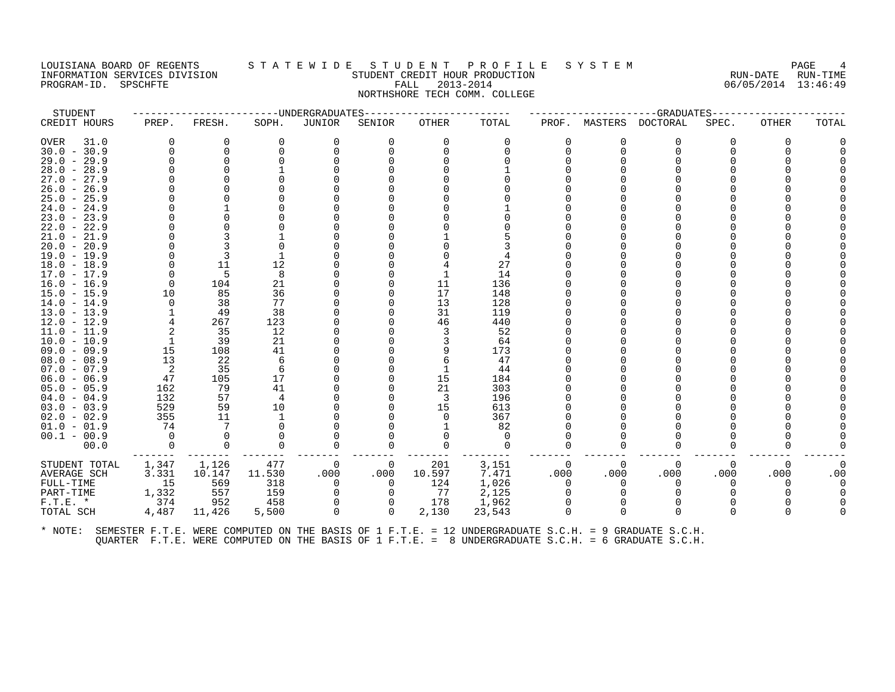#### LOUISIANA BOARD OF REGENTS STATEWIDE STUDE NT PROFILE SYSTEM PAGE 4<br>INFORMATION SERVICES DIVISION STUDENT CREDIT HOUR PRODUCTION FORD PAGE RUN-DATE RUN-TIME INFORMATION SERVICES DIVISION SUBSERIES ON THE STUDENT CREDIT HOUR PRODUCTION SUBSERIES RUN-DATE RUN-TIME<br>INFORMATION SERVICES DIVISION STUDENT STUDENT CREDIT HOUR PRODUCTION SUBSERIES (6/05/2014 13:46:49 PROGRAM-ID. SPSCHFTE FALL 2013-2014 NORTHSHORE TECH COMM. COLLEGE

| STUDENT       |                            |          | -------------DNDERGRADUATES- |          |                |          |          |          |          | -------------GRADUATES----- |          |          |       |
|---------------|----------------------------|----------|------------------------------|----------|----------------|----------|----------|----------|----------|-----------------------------|----------|----------|-------|
| CREDIT HOURS  | PREP.                      | FRESH.   | SOPH.                        | JUNIOR   | SENIOR         | OTHER    | TOTAL    | PROF.    |          | MASTERS DOCTORAL            | SPEC.    | OTHER    | TOTAL |
| 31.0<br>OVER  | 0                          | 0        | $\Omega$                     | 0        | $\Omega$       | $\Omega$ | 0        | 0        | 0        | 0                           | $\Omega$ |          |       |
| $30.0 - 30.9$ | $\Omega$                   | $\Omega$ |                              | $\Omega$ | U              | $\Omega$ | $\Omega$ | $\Omega$ | $\Omega$ | $\Omega$                    |          |          |       |
| $29.0 - 29.9$ |                            | $\Omega$ |                              |          |                |          |          |          |          |                             |          |          |       |
| $28.0 - 28.9$ |                            |          |                              |          |                |          |          |          |          |                             |          |          |       |
| $27.0 - 27.9$ |                            |          |                              |          |                |          |          |          |          |                             |          |          |       |
| $26.0 - 26.9$ |                            |          |                              |          |                |          |          |          |          |                             |          |          |       |
| $25.0 - 25.9$ |                            |          |                              |          |                |          |          |          |          |                             |          |          |       |
| $24.0 - 24.9$ |                            |          |                              |          |                |          |          |          |          |                             |          |          |       |
| $23.0 - 23.9$ |                            |          |                              |          |                |          |          |          |          |                             |          |          |       |
| $22.0 - 22.9$ |                            |          |                              |          |                |          |          |          |          |                             |          |          |       |
| $21.0 - 21.9$ |                            |          |                              |          |                |          |          |          |          |                             |          |          |       |
| $20.0 - 20.9$ |                            |          |                              |          |                |          |          |          |          |                             |          |          |       |
| $19.0 - 19.9$ |                            | ्र       |                              |          |                |          |          |          |          |                             |          |          |       |
| $18.0 - 18.9$ | $\Omega$                   | 11       | 12                           |          |                |          | 27       |          |          |                             |          |          |       |
| $17.0 - 17.9$ | 0                          | 5        | 8                            |          |                |          | 14       |          |          |                             |          |          |       |
| $16.0 - 16.9$ | $\Omega$                   | 104      | 21                           |          |                | 11       | 136      |          |          |                             |          |          |       |
| $15.0 - 15.9$ | 10                         | 85       | 36                           |          |                | 17       | 148      |          |          |                             |          |          |       |
| $14.0 - 14.9$ | $\Omega$                   | 38       | 77                           |          |                | 13       | 128      |          |          |                             |          |          |       |
| $13.0 - 13.9$ |                            | 49       | 38                           |          |                | 31       | 119      |          |          |                             |          |          |       |
| $12.0 - 12.9$ | 4                          | 267      | 123                          |          |                | 46       | 440      |          |          |                             |          |          |       |
| $11.0 - 11.9$ | 2                          | 35       | 12                           |          |                | 3        | 52       |          |          |                             |          |          |       |
| $10.0 - 10.9$ | -1                         | 39       | -21                          |          |                |          | 64       |          |          |                             |          |          |       |
| $09.0 - 09.9$ | 15                         | 108      | 41                           |          |                | 9        | 173      |          |          |                             |          |          |       |
| $08.0 - 08.9$ | 13                         | 22       | 6                            |          |                | 6        | 47       |          |          |                             |          |          |       |
| $07.0 - 07.9$ | $\overline{\phantom{0}}^2$ | 35       | 6                            |          |                |          | 44       |          |          |                             |          |          |       |
| $06.0 - 06.9$ | 47                         | 105      | 17                           |          |                | 15       | 184      |          |          |                             |          |          |       |
| $05.0 - 05.9$ | 162                        | 79       | 41                           |          |                | 21       | 303      |          |          |                             |          |          |       |
| $04.0 - 04.9$ | 132                        | 57       | 4                            |          |                | -3       | 196      |          |          |                             |          |          |       |
| $03.0 - 03.9$ | 529                        | 59       | 10                           |          |                | 15       | 613      |          |          |                             |          |          |       |
| $02.0 - 02.9$ | 355                        | 11       |                              |          |                | $\Omega$ | 367      |          |          |                             |          |          |       |
| $01.0 - 01.9$ | 74                         | 7        |                              |          |                |          | 82       |          |          |                             |          |          |       |
| $00.1 - 00.9$ | $\Omega$                   |          |                              |          |                |          | $\Omega$ |          |          |                             |          |          |       |
| 00.0          | $\Omega$                   | $\Omega$ | $\Omega$                     | $\Omega$ | 0              | $\Omega$ | $\Omega$ | $\Omega$ | $\Omega$ | $\Omega$                    | 0        |          |       |
| STUDENT TOTAL | 1,347                      | 1,126    | 477                          | 0        | $\overline{0}$ | 201      | 3,151    | 0        | 0        | 0                           | 0        | $\Omega$ |       |
| AVERAGE SCH   | 3.331                      | 10.147   | 11.530                       | .000     | .000           | 10.597   | 7.471    | .000     | .000     | .000                        | .000     | .000     | .00   |
| FULL-TIME     | 15                         | 569      | 318                          | 0        | $\overline{0}$ | 124      | 1,026    | $\Omega$ | $\Omega$ | $\Omega$                    | 0        |          |       |
| PART-TIME     | 1,332                      | 557      | 159                          | 0        | $\Omega$       | 77       | 2,125    | $\Omega$ | 0        | $\Omega$                    |          |          |       |
| $F.T.E.$ *    | 374                        | 952      | 458                          |          |                | 178      | 1,962    |          |          |                             |          |          |       |
| TOTAL SCH     | 4,487                      | 11,426   | 5,500                        | $\Omega$ | $\Omega$       | 2,130    | 23,543   | $\Omega$ | 0        | $\Omega$                    | 0        |          |       |
|               |                            |          |                              |          |                |          |          |          |          |                             |          |          |       |
|               |                            |          |                              |          |                |          |          |          |          |                             |          |          |       |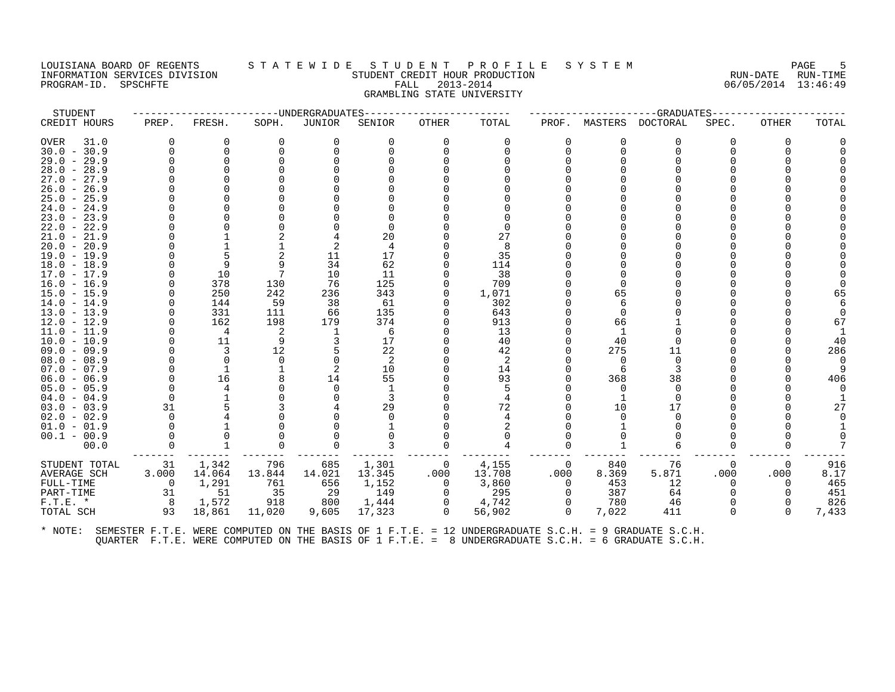# LOUISIANA BOARD OF REGENTS STATEWIDE STUDENT PROFILE SYSTEM PAGE 5<br>INFORMATION SERVICES DIVISION STATEWIST STUDENT CREDIT HOUR PRODUCTION INFORMATION SERVICES DIVISION SALATE WALLE SALATE IN THE INSTALLE SALATE SALATE RUN-DATE RUN-TIME<br>INFORMATION SERVICES DIVISION SALATE STUDENT CREDIT HOUR PRODUCTION REDUCTION RUN-DATE RUN-TIME<br>PROGRAM-ID. SPSCHFTE SALATE PROGRAM-ID. SPSCHFTE FALL 2013-2014 GRAMBLING STATE UNIVERSITY

| TOTAL<br>DOCTORAL<br>TOTAL<br>PREP.<br>FRESH.<br>SOPH.<br>JUNIOR<br>SENIOR<br>OTHER<br>PROF.<br>MASTERS<br>SPEC.<br>OTHER<br>31.0<br>0<br>$\Omega$<br>$\Omega$<br>$\Omega$<br>$\Omega$<br>$\Omega$<br>$\Omega$<br>0<br>$\Omega$<br>$\Omega$<br>$\Omega$<br>0<br>$\Omega$<br>$\Omega$<br>∩<br>$\Omega$<br>$\Omega$<br>$\Omega$<br>0<br>∩<br>$\Omega$<br>$\Omega$<br>∩<br>$24.0 - 24.9$<br>$\Omega$<br>20<br>27<br>2<br>8<br>35<br>11<br>17<br>9<br>62<br>q<br>34<br>114<br>10<br>10<br>11<br>38<br>76<br>125<br>709<br>378<br>130<br><sup>n</sup><br>$15.0 - 15.9$<br>250<br>242<br>236<br>343<br>1,071<br>65<br>0<br>65<br>302<br>$14.0 - 14.9$<br>144<br>59<br>38<br>61<br>O<br>6<br>135<br>$13.0 - 13.9$<br>331<br>111<br>66<br>643<br>$\Omega$<br>162<br>198<br>179<br>374<br>913<br>66<br>$12.0 - 12.9$<br>67<br>$11.0 - 11.9$<br>13<br>4<br>6<br>$10.0 - 10.9$<br>11<br>9<br>17<br>40<br>40<br>40<br>O<br>22<br>12<br>275<br>286<br>$09.0 - 09.9$<br>3<br>42<br>11<br>$08.0 - 08.9$<br>2<br>2<br>$\Omega$<br>$\Omega$<br>$\Omega$<br>$\Omega$<br>$\Omega$<br>$07.0 - 07.9$<br>10<br>2<br>14<br>3<br>-6<br>55<br>93<br>406<br>16<br>14<br>368<br>38<br>$06.0 - 06.9$<br>$05.0 - 05.9$<br>5<br>$\Omega$<br>$\Omega$<br>$\Omega$<br>$04.0 - 04.9$<br>$\Omega$<br>31<br>29<br>72<br>17<br>$03.0 - 03.9$<br>10<br>27<br>$02.0 - 02.9$<br>$\Omega$<br>$\Omega$<br>$\Omega$<br>$01.0 - 01.9$<br>$00.1 - 00.9$<br>00.0<br>$\Omega$<br>O<br>$\Omega$<br>O<br>$\Omega$<br>916<br>685<br>1,301<br>4,155<br>31<br>1,342<br>796<br>840<br>76<br>0<br>0<br>0<br>14.064<br>13.844<br>14.021<br>13.708<br>.000<br>8.369<br>5.871<br>.000<br>.000<br>8.17<br>3.000<br>13.345<br>.000<br>1,291<br>761<br>656<br>1,152<br>3,860<br>453<br>12<br>465<br>$\Omega$<br>0<br>$\Omega$<br>$\Omega$<br>31<br>51<br>35<br>- 29<br>149<br>295<br>387<br>451<br>0<br>64<br>$\Omega$<br>8<br>800<br>4,742<br>826<br>1,572<br>918<br>1,444<br>0<br>780<br>46<br>7,022<br>93<br>18,861<br>11,020<br>9,605<br>17,323<br>$\Omega$<br>56,902<br>411<br>7,433<br>$\Omega$<br>$\Omega$<br>$\Omega$ | STUDENT       |  | -----UNDERGRADUATES |  |  | --GRADUATES-- |  |  |
|--------------------------------------------------------------------------------------------------------------------------------------------------------------------------------------------------------------------------------------------------------------------------------------------------------------------------------------------------------------------------------------------------------------------------------------------------------------------------------------------------------------------------------------------------------------------------------------------------------------------------------------------------------------------------------------------------------------------------------------------------------------------------------------------------------------------------------------------------------------------------------------------------------------------------------------------------------------------------------------------------------------------------------------------------------------------------------------------------------------------------------------------------------------------------------------------------------------------------------------------------------------------------------------------------------------------------------------------------------------------------------------------------------------------------------------------------------------------------------------------------------------------------------------------------------------------------------------------------------------------------------------------------------------------------------------------------------------------------------------------------------------------------------------------------------------------------------------------------------------------------------------------------------------------------------------------------------------------------------------------------------------------------------------------------------------------|---------------|--|---------------------|--|--|---------------|--|--|
|                                                                                                                                                                                                                                                                                                                                                                                                                                                                                                                                                                                                                                                                                                                                                                                                                                                                                                                                                                                                                                                                                                                                                                                                                                                                                                                                                                                                                                                                                                                                                                                                                                                                                                                                                                                                                                                                                                                                                                                                                                                                    | CREDIT HOURS  |  |                     |  |  |               |  |  |
|                                                                                                                                                                                                                                                                                                                                                                                                                                                                                                                                                                                                                                                                                                                                                                                                                                                                                                                                                                                                                                                                                                                                                                                                                                                                                                                                                                                                                                                                                                                                                                                                                                                                                                                                                                                                                                                                                                                                                                                                                                                                    | OVER          |  |                     |  |  |               |  |  |
|                                                                                                                                                                                                                                                                                                                                                                                                                                                                                                                                                                                                                                                                                                                                                                                                                                                                                                                                                                                                                                                                                                                                                                                                                                                                                                                                                                                                                                                                                                                                                                                                                                                                                                                                                                                                                                                                                                                                                                                                                                                                    | $30.0 - 30.9$ |  |                     |  |  |               |  |  |
|                                                                                                                                                                                                                                                                                                                                                                                                                                                                                                                                                                                                                                                                                                                                                                                                                                                                                                                                                                                                                                                                                                                                                                                                                                                                                                                                                                                                                                                                                                                                                                                                                                                                                                                                                                                                                                                                                                                                                                                                                                                                    | $29.0 - 29.9$ |  |                     |  |  |               |  |  |
|                                                                                                                                                                                                                                                                                                                                                                                                                                                                                                                                                                                                                                                                                                                                                                                                                                                                                                                                                                                                                                                                                                                                                                                                                                                                                                                                                                                                                                                                                                                                                                                                                                                                                                                                                                                                                                                                                                                                                                                                                                                                    | $28.0 - 28.9$ |  |                     |  |  |               |  |  |
|                                                                                                                                                                                                                                                                                                                                                                                                                                                                                                                                                                                                                                                                                                                                                                                                                                                                                                                                                                                                                                                                                                                                                                                                                                                                                                                                                                                                                                                                                                                                                                                                                                                                                                                                                                                                                                                                                                                                                                                                                                                                    | $27.0 - 27.9$ |  |                     |  |  |               |  |  |
|                                                                                                                                                                                                                                                                                                                                                                                                                                                                                                                                                                                                                                                                                                                                                                                                                                                                                                                                                                                                                                                                                                                                                                                                                                                                                                                                                                                                                                                                                                                                                                                                                                                                                                                                                                                                                                                                                                                                                                                                                                                                    | $26.0 - 26.9$ |  |                     |  |  |               |  |  |
|                                                                                                                                                                                                                                                                                                                                                                                                                                                                                                                                                                                                                                                                                                                                                                                                                                                                                                                                                                                                                                                                                                                                                                                                                                                                                                                                                                                                                                                                                                                                                                                                                                                                                                                                                                                                                                                                                                                                                                                                                                                                    | $25.0 - 25.9$ |  |                     |  |  |               |  |  |
|                                                                                                                                                                                                                                                                                                                                                                                                                                                                                                                                                                                                                                                                                                                                                                                                                                                                                                                                                                                                                                                                                                                                                                                                                                                                                                                                                                                                                                                                                                                                                                                                                                                                                                                                                                                                                                                                                                                                                                                                                                                                    |               |  |                     |  |  |               |  |  |
|                                                                                                                                                                                                                                                                                                                                                                                                                                                                                                                                                                                                                                                                                                                                                                                                                                                                                                                                                                                                                                                                                                                                                                                                                                                                                                                                                                                                                                                                                                                                                                                                                                                                                                                                                                                                                                                                                                                                                                                                                                                                    | $23.0 - 23.9$ |  |                     |  |  |               |  |  |
|                                                                                                                                                                                                                                                                                                                                                                                                                                                                                                                                                                                                                                                                                                                                                                                                                                                                                                                                                                                                                                                                                                                                                                                                                                                                                                                                                                                                                                                                                                                                                                                                                                                                                                                                                                                                                                                                                                                                                                                                                                                                    | $22.0 - 22.9$ |  |                     |  |  |               |  |  |
|                                                                                                                                                                                                                                                                                                                                                                                                                                                                                                                                                                                                                                                                                                                                                                                                                                                                                                                                                                                                                                                                                                                                                                                                                                                                                                                                                                                                                                                                                                                                                                                                                                                                                                                                                                                                                                                                                                                                                                                                                                                                    | $21.0 - 21.9$ |  |                     |  |  |               |  |  |
|                                                                                                                                                                                                                                                                                                                                                                                                                                                                                                                                                                                                                                                                                                                                                                                                                                                                                                                                                                                                                                                                                                                                                                                                                                                                                                                                                                                                                                                                                                                                                                                                                                                                                                                                                                                                                                                                                                                                                                                                                                                                    | $20.0 - 20.9$ |  |                     |  |  |               |  |  |
|                                                                                                                                                                                                                                                                                                                                                                                                                                                                                                                                                                                                                                                                                                                                                                                                                                                                                                                                                                                                                                                                                                                                                                                                                                                                                                                                                                                                                                                                                                                                                                                                                                                                                                                                                                                                                                                                                                                                                                                                                                                                    | $19.0 - 19.9$ |  |                     |  |  |               |  |  |
|                                                                                                                                                                                                                                                                                                                                                                                                                                                                                                                                                                                                                                                                                                                                                                                                                                                                                                                                                                                                                                                                                                                                                                                                                                                                                                                                                                                                                                                                                                                                                                                                                                                                                                                                                                                                                                                                                                                                                                                                                                                                    | $18.0 - 18.9$ |  |                     |  |  |               |  |  |
|                                                                                                                                                                                                                                                                                                                                                                                                                                                                                                                                                                                                                                                                                                                                                                                                                                                                                                                                                                                                                                                                                                                                                                                                                                                                                                                                                                                                                                                                                                                                                                                                                                                                                                                                                                                                                                                                                                                                                                                                                                                                    | $17.0 - 17.9$ |  |                     |  |  |               |  |  |
|                                                                                                                                                                                                                                                                                                                                                                                                                                                                                                                                                                                                                                                                                                                                                                                                                                                                                                                                                                                                                                                                                                                                                                                                                                                                                                                                                                                                                                                                                                                                                                                                                                                                                                                                                                                                                                                                                                                                                                                                                                                                    | 16.0 - 16.9   |  |                     |  |  |               |  |  |
|                                                                                                                                                                                                                                                                                                                                                                                                                                                                                                                                                                                                                                                                                                                                                                                                                                                                                                                                                                                                                                                                                                                                                                                                                                                                                                                                                                                                                                                                                                                                                                                                                                                                                                                                                                                                                                                                                                                                                                                                                                                                    |               |  |                     |  |  |               |  |  |
|                                                                                                                                                                                                                                                                                                                                                                                                                                                                                                                                                                                                                                                                                                                                                                                                                                                                                                                                                                                                                                                                                                                                                                                                                                                                                                                                                                                                                                                                                                                                                                                                                                                                                                                                                                                                                                                                                                                                                                                                                                                                    |               |  |                     |  |  |               |  |  |
|                                                                                                                                                                                                                                                                                                                                                                                                                                                                                                                                                                                                                                                                                                                                                                                                                                                                                                                                                                                                                                                                                                                                                                                                                                                                                                                                                                                                                                                                                                                                                                                                                                                                                                                                                                                                                                                                                                                                                                                                                                                                    |               |  |                     |  |  |               |  |  |
|                                                                                                                                                                                                                                                                                                                                                                                                                                                                                                                                                                                                                                                                                                                                                                                                                                                                                                                                                                                                                                                                                                                                                                                                                                                                                                                                                                                                                                                                                                                                                                                                                                                                                                                                                                                                                                                                                                                                                                                                                                                                    |               |  |                     |  |  |               |  |  |
|                                                                                                                                                                                                                                                                                                                                                                                                                                                                                                                                                                                                                                                                                                                                                                                                                                                                                                                                                                                                                                                                                                                                                                                                                                                                                                                                                                                                                                                                                                                                                                                                                                                                                                                                                                                                                                                                                                                                                                                                                                                                    |               |  |                     |  |  |               |  |  |
|                                                                                                                                                                                                                                                                                                                                                                                                                                                                                                                                                                                                                                                                                                                                                                                                                                                                                                                                                                                                                                                                                                                                                                                                                                                                                                                                                                                                                                                                                                                                                                                                                                                                                                                                                                                                                                                                                                                                                                                                                                                                    |               |  |                     |  |  |               |  |  |
|                                                                                                                                                                                                                                                                                                                                                                                                                                                                                                                                                                                                                                                                                                                                                                                                                                                                                                                                                                                                                                                                                                                                                                                                                                                                                                                                                                                                                                                                                                                                                                                                                                                                                                                                                                                                                                                                                                                                                                                                                                                                    |               |  |                     |  |  |               |  |  |
|                                                                                                                                                                                                                                                                                                                                                                                                                                                                                                                                                                                                                                                                                                                                                                                                                                                                                                                                                                                                                                                                                                                                                                                                                                                                                                                                                                                                                                                                                                                                                                                                                                                                                                                                                                                                                                                                                                                                                                                                                                                                    |               |  |                     |  |  |               |  |  |
|                                                                                                                                                                                                                                                                                                                                                                                                                                                                                                                                                                                                                                                                                                                                                                                                                                                                                                                                                                                                                                                                                                                                                                                                                                                                                                                                                                                                                                                                                                                                                                                                                                                                                                                                                                                                                                                                                                                                                                                                                                                                    |               |  |                     |  |  |               |  |  |
|                                                                                                                                                                                                                                                                                                                                                                                                                                                                                                                                                                                                                                                                                                                                                                                                                                                                                                                                                                                                                                                                                                                                                                                                                                                                                                                                                                                                                                                                                                                                                                                                                                                                                                                                                                                                                                                                                                                                                                                                                                                                    |               |  |                     |  |  |               |  |  |
|                                                                                                                                                                                                                                                                                                                                                                                                                                                                                                                                                                                                                                                                                                                                                                                                                                                                                                                                                                                                                                                                                                                                                                                                                                                                                                                                                                                                                                                                                                                                                                                                                                                                                                                                                                                                                                                                                                                                                                                                                                                                    |               |  |                     |  |  |               |  |  |
|                                                                                                                                                                                                                                                                                                                                                                                                                                                                                                                                                                                                                                                                                                                                                                                                                                                                                                                                                                                                                                                                                                                                                                                                                                                                                                                                                                                                                                                                                                                                                                                                                                                                                                                                                                                                                                                                                                                                                                                                                                                                    |               |  |                     |  |  |               |  |  |
|                                                                                                                                                                                                                                                                                                                                                                                                                                                                                                                                                                                                                                                                                                                                                                                                                                                                                                                                                                                                                                                                                                                                                                                                                                                                                                                                                                                                                                                                                                                                                                                                                                                                                                                                                                                                                                                                                                                                                                                                                                                                    |               |  |                     |  |  |               |  |  |
|                                                                                                                                                                                                                                                                                                                                                                                                                                                                                                                                                                                                                                                                                                                                                                                                                                                                                                                                                                                                                                                                                                                                                                                                                                                                                                                                                                                                                                                                                                                                                                                                                                                                                                                                                                                                                                                                                                                                                                                                                                                                    |               |  |                     |  |  |               |  |  |
|                                                                                                                                                                                                                                                                                                                                                                                                                                                                                                                                                                                                                                                                                                                                                                                                                                                                                                                                                                                                                                                                                                                                                                                                                                                                                                                                                                                                                                                                                                                                                                                                                                                                                                                                                                                                                                                                                                                                                                                                                                                                    |               |  |                     |  |  |               |  |  |
|                                                                                                                                                                                                                                                                                                                                                                                                                                                                                                                                                                                                                                                                                                                                                                                                                                                                                                                                                                                                                                                                                                                                                                                                                                                                                                                                                                                                                                                                                                                                                                                                                                                                                                                                                                                                                                                                                                                                                                                                                                                                    |               |  |                     |  |  |               |  |  |
|                                                                                                                                                                                                                                                                                                                                                                                                                                                                                                                                                                                                                                                                                                                                                                                                                                                                                                                                                                                                                                                                                                                                                                                                                                                                                                                                                                                                                                                                                                                                                                                                                                                                                                                                                                                                                                                                                                                                                                                                                                                                    |               |  |                     |  |  |               |  |  |
|                                                                                                                                                                                                                                                                                                                                                                                                                                                                                                                                                                                                                                                                                                                                                                                                                                                                                                                                                                                                                                                                                                                                                                                                                                                                                                                                                                                                                                                                                                                                                                                                                                                                                                                                                                                                                                                                                                                                                                                                                                                                    | STUDENT TOTAL |  |                     |  |  |               |  |  |
|                                                                                                                                                                                                                                                                                                                                                                                                                                                                                                                                                                                                                                                                                                                                                                                                                                                                                                                                                                                                                                                                                                                                                                                                                                                                                                                                                                                                                                                                                                                                                                                                                                                                                                                                                                                                                                                                                                                                                                                                                                                                    | AVERAGE SCH   |  |                     |  |  |               |  |  |
|                                                                                                                                                                                                                                                                                                                                                                                                                                                                                                                                                                                                                                                                                                                                                                                                                                                                                                                                                                                                                                                                                                                                                                                                                                                                                                                                                                                                                                                                                                                                                                                                                                                                                                                                                                                                                                                                                                                                                                                                                                                                    | FULL-TIME     |  |                     |  |  |               |  |  |
|                                                                                                                                                                                                                                                                                                                                                                                                                                                                                                                                                                                                                                                                                                                                                                                                                                                                                                                                                                                                                                                                                                                                                                                                                                                                                                                                                                                                                                                                                                                                                                                                                                                                                                                                                                                                                                                                                                                                                                                                                                                                    | PART-TIME     |  |                     |  |  |               |  |  |
|                                                                                                                                                                                                                                                                                                                                                                                                                                                                                                                                                                                                                                                                                                                                                                                                                                                                                                                                                                                                                                                                                                                                                                                                                                                                                                                                                                                                                                                                                                                                                                                                                                                                                                                                                                                                                                                                                                                                                                                                                                                                    | $F.T.E. *$    |  |                     |  |  |               |  |  |
|                                                                                                                                                                                                                                                                                                                                                                                                                                                                                                                                                                                                                                                                                                                                                                                                                                                                                                                                                                                                                                                                                                                                                                                                                                                                                                                                                                                                                                                                                                                                                                                                                                                                                                                                                                                                                                                                                                                                                                                                                                                                    | TOTAL SCH     |  |                     |  |  |               |  |  |
|                                                                                                                                                                                                                                                                                                                                                                                                                                                                                                                                                                                                                                                                                                                                                                                                                                                                                                                                                                                                                                                                                                                                                                                                                                                                                                                                                                                                                                                                                                                                                                                                                                                                                                                                                                                                                                                                                                                                                                                                                                                                    |               |  |                     |  |  |               |  |  |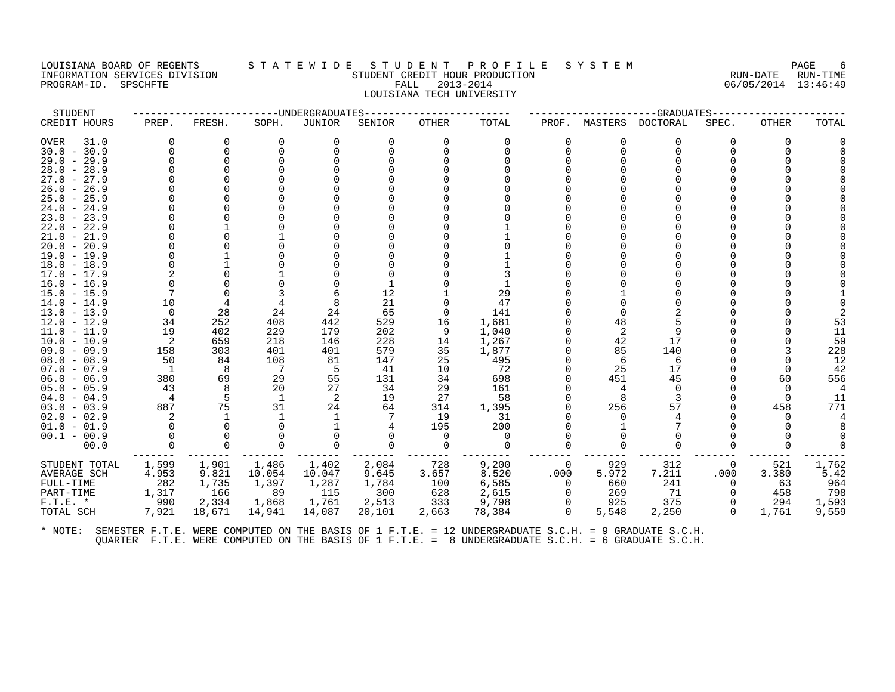#### LOUISIANA BOARD OF REGENTS STATEWIDE STUDE NT PROFILE SYSTEM PAGE FORGE 6<br>INFORMATION SERVICES DIVISION STATE RUN-TIME STUDENT CREDIT HOUR PRODUCTION INFORMATION SERVICES DIVISION SURVEYS OF A LIBRALISM STUDENT CREDIT HOUR PRODUCTION SERVICES DIVISION SURVEYS A<br>INFORMATION SERVICES DIVISION SURVEYS STUDENT CREDIT HOUR PRODUCTION SURVEYS SERVICES DIVISION SURVEYS STUDEN PROGRAM-ID. SPSCHFTE FALL 2013-2014 LOUISIANA TECH UNIVERSITY

STUDENT ------------------------UNDERGRADUATES------------------------ ---------------------GRADUATES----------------------

| CREDIT HOURS                             | PREP.        | FRESH.   | SOPH.        | JUNIOR   | SENIOR | <b>OTHER</b> | TOTAL    | PROF.        | MASTERS        | DOCTORAL | SPEC.    | OTHER | TOTAL |
|------------------------------------------|--------------|----------|--------------|----------|--------|--------------|----------|--------------|----------------|----------|----------|-------|-------|
| <b>OVER</b><br>31.0                      | <sup>0</sup> | $\Omega$ | $\Omega$     | 0        | 0      | $\Omega$     | $\Omega$ | 0            | O              | $\Omega$ | 0        | 0     |       |
| $30.0 - 30.9$                            |              | $\Omega$ | <sup>0</sup> | $\Omega$ |        | $\Omega$     |          |              |                |          |          |       |       |
| $29.0 - 29.9$                            |              |          |              |          |        |              |          |              |                |          |          |       |       |
| $28.0 - 28.9$                            |              |          |              |          |        |              |          |              |                |          |          |       |       |
| $27.0 -$<br>27.9                         |              |          |              |          |        |              |          |              |                |          |          |       |       |
| $26.0 -$<br>26.9                         |              |          |              |          |        |              |          |              |                |          |          |       |       |
| $25.0 - 25.9$                            |              |          |              |          |        |              |          |              |                |          |          |       |       |
| $24.0 - 24.9$                            |              |          |              |          |        |              |          |              |                |          |          |       |       |
| $23.0 -$<br>23.9                         |              |          |              |          |        |              |          |              |                |          |          |       |       |
| $22.0 - 22.9$                            |              |          |              |          |        |              |          |              |                |          |          |       |       |
| $21.0 - 21.9$                            |              |          |              |          |        |              |          |              |                |          |          |       |       |
| $20.0 - 20.9$                            |              |          |              |          |        |              |          |              |                |          |          |       |       |
| $19.0 - 19.9$                            |              |          |              |          |        |              |          |              |                |          |          |       |       |
| $18.0 - 18.9$                            |              |          |              |          |        |              |          |              |                |          |          |       |       |
| $17.0 - 17.9$                            |              |          |              |          |        |              |          |              |                |          |          |       |       |
| $16.0 - 16.9$                            |              |          |              |          |        |              |          |              |                |          |          |       |       |
| $15.0 - 15.9$                            |              |          |              |          | 12     |              | 29       |              |                |          |          |       |       |
| $14.0 - 14.9$                            | 10           |          |              |          | 21     |              | 47       |              |                |          |          |       |       |
| $13.0 - 13.9$                            | $\Omega$     | 28       | 24           | 24       | 65     | $\Omega$     | 141      |              |                |          |          |       |       |
| $12.0 - 12.9$                            | 34           | 252      | 408          | 442      | 529    | 16           | 1,681    |              | 48             |          |          |       |       |
| 11.0<br>11.9<br>$\overline{\phantom{0}}$ | 19           | 402      | 229          | 179      | 202    | 9            | 1,040    |              | $\overline{2}$ |          |          |       | 11    |
| $10.0 - 10.9$                            | 2            | 659      | 218          | 146      | 228    | 14           | 1,267    |              | 42             | 17       |          |       | 59    |
| $09.0 - 09.9$                            | 158          | 303      | 401          | 401      | 579    | 35           | 1,877    |              | 85             | 140      |          |       | 228   |
| $08.0 - 08.9$                            | 50           | 84       | 108          | 81       | 147    | 25           | 495      |              | 6              | 6        |          |       | 12    |
| $07.0 - 07.9$                            | -1           | 8        | 7            |          | 41     | 10           | 72       |              | 25             | 17       |          |       | 42    |
| $06.0 - 06.9$                            | 380          | 69       | 29           | 55       | 131    | 34           | 698      |              | 451            | 45       |          | 60    | 556   |
| $05.0 - 05.9$                            | 43           |          | 20           | 27       | 34     | 29           | 161      |              |                | $\Omega$ |          |       |       |
| $04.0 - 04.9$                            | 4            |          |              | 2        | 19     | 27           | 58       |              |                |          |          |       | 11    |
| $03.0 - 03.9$                            | 887          | 75       | 31           | 24       | 64     | 314          | 1,395    |              | 256            | 57       |          | 458   | 771   |
| $02.0 - 02.9$                            |              |          |              |          |        | 19           | 31       |              |                |          |          |       |       |
| $01.0 - 01.9$                            |              |          |              |          |        | 195          | 200      |              |                |          |          |       |       |
| $00.1 - 00.9$                            |              |          |              |          |        | $\Omega$     | $\Omega$ |              |                |          |          |       |       |
| 00.0                                     |              |          |              |          | ∩      |              |          |              |                |          |          |       |       |
| STUDENT TOTAL                            | 1,599        | 1,901    | 1,486        | 1,402    | 2,084  | 728          | 9,200    | 0            | 929            | 312      | 0        | 521   | 1,762 |
| AVERAGE SCH                              | 4.953        | 9.821    | 10.054       | 10.047   | 9.645  | 3.657        | 8.520    | .000         | 5.972          | 7.211    | .000     | 3.380 | 5.42  |
| FULL-TIME                                | 282          | 1,735    | 1,397        | 1,287    | 1,784  | 100          | 6,585    | <sup>0</sup> | 660            | 241      |          | 63    | 964   |
| PART-TIME                                | 1,317        | 166      | 89           | 115      | 300    | 628          | 2,615    | $\Omega$     | 269            | 71       |          | 458   | 798   |
| $F.T.E. *$                               | 990          | 2,334    | 1,868        | 1,761    | 2,513  | 333          | 9,798    | 0            | 925            | 375      |          | 294   | 1,593 |
| TOTAL SCH                                | 7,921        | 18,671   | 14,941       | 14,087   | 20,101 | 2,663        | 78,384   | $\Omega$     | 5,548          | 2,250    | $\Omega$ | 1,761 | 9,559 |
|                                          |              |          |              |          |        |              |          |              |                |          |          |       |       |
|                                          |              |          |              |          |        |              |          |              |                |          |          |       |       |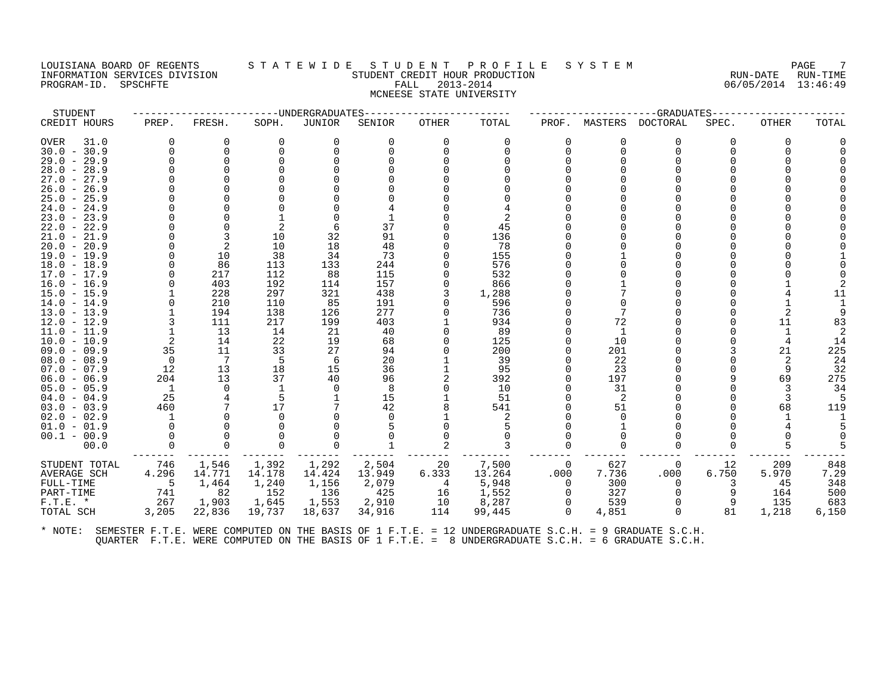#### LOUISIANA BOARD OF REGENTS STATEWIDE STUDENT PROFILE SYSTEM PAGE 7<br>INFORMATION SERVICES DIVISION STATEWIDENT CREDIT HOUR PRODUCTION AND TIME RESOLUTION INFORMATION STUDENT CREDIT HOUR PRODUCTION STUDENT CREDIT HOUR PRODUCTION RUN-DATE RUN-TIME<br>FALL 2013-2014 RUN-DATE RUN-DATE RUN-TIME PROGRAM-ID. SPSCHFTE FALL 2013-2014 MCNEESE STATE UNIVERSITY

| STUDENT<br>----UNDERGRADUATES<br>--GRADUATES---<br>CREDIT HOURS<br>FRESH.<br>SOPH.<br>JUNIOR<br>TOTAL<br>DOCTORAL<br>SPEC.<br>PREP.<br>SENIOR<br>OTHER<br>PROF.<br>MASTERS | TOTAL<br>OTHER |
|----------------------------------------------------------------------------------------------------------------------------------------------------------------------------|----------------|
|                                                                                                                                                                            |                |
| 31.0<br>0<br>OVER<br>0<br>0<br>$\Omega$<br>0<br>0<br>0<br>0<br>0<br>0                                                                                                      | $\Omega$       |
| $30.0 - 30.9$<br>$\Omega$<br>$\Omega$<br>$\Omega$<br>0<br>$\Omega$<br>∩<br>∩                                                                                               | $\Omega$       |
| $29.0 - 29.9$<br>$\Omega$                                                                                                                                                  |                |
| $28.0 - 28.9$                                                                                                                                                              |                |
| $27.0 - 27.9$                                                                                                                                                              |                |
| $26.0 - 26.9$                                                                                                                                                              |                |
| $25.0 - 25.9$                                                                                                                                                              |                |
| $24.0 - 24.9$                                                                                                                                                              |                |
| $23.0 - 23.9$                                                                                                                                                              |                |
| 45<br>$22.0 - 22.9$<br>37                                                                                                                                                  |                |
| 91<br>10<br>32<br>136<br>3<br>$21.0 - 21.9$                                                                                                                                |                |
| 2<br>10<br>18<br>48<br>78<br>$20.0 - 20.9$                                                                                                                                 |                |
| 38<br>73<br>155<br>$19.0 - 19.9$<br>10<br>34                                                                                                                               |                |
| 86<br>133<br>244<br>$18.0 - 18.9$<br>113<br>576                                                                                                                            |                |
| 217<br>112<br>88<br>115<br>532<br>$17.0 - 17.9$<br>157                                                                                                                     |                |
| $16.0 - 16.9$<br>403<br>192<br>114<br>866<br>297<br>321<br>438<br>1,288<br>$15.0 - 15.9$<br>228                                                                            |                |
| 210<br>110<br>191<br>596<br>$14.0 - 14.9$<br>85                                                                                                                            |                |
| 277<br>$13.0 - 13.9$<br>194<br>138<br>126<br>736<br>7                                                                                                                      |                |
| 72<br>217<br>199<br>403<br>$12.0 - 12.9$<br>111<br>934                                                                                                                     | 11<br>83       |
| 13<br>89<br>$11.0 - 11.9$<br>14<br>21<br>40<br>-1                                                                                                                          |                |
| $10.0 - 10.9$<br>2<br>14<br>22<br>19<br>68<br>125<br>10                                                                                                                    | 14             |
| 35<br>33<br>27<br>200<br>$09.0 - 09.9$<br>11<br>94<br>201                                                                                                                  | 225<br>21      |
| 7<br>-5<br>20<br>39<br>22<br>$08.0 - 08.9$<br>$\Omega$<br>6                                                                                                                | 24             |
| 18<br>12<br>13<br>15<br>36<br>95<br>23<br>$07.0 - 07.9$                                                                                                                    | 32<br>9        |
| 37<br>$06.0 - 06.9$<br>204<br>13<br>40<br>96<br>392<br>197                                                                                                                 | 275<br>69      |
| 8<br>10<br>31<br>$05.0 - 05.9$<br>$\overline{1}$<br>0                                                                                                                      | 34             |
| 25<br>15<br>-5<br>51<br>2<br>$04.0 - 04.9$                                                                                                                                 |                |
| 17<br>42<br>51<br>$03.0 - 03.9$<br>460<br>541                                                                                                                              | 119<br>68      |
| $02.0 - 02.9$<br>2                                                                                                                                                         |                |
| $01.0 - 01.9$                                                                                                                                                              |                |
| $00.1 - 00.9$                                                                                                                                                              |                |
| 00.0<br>$\Omega$<br>∩                                                                                                                                                      |                |
| 1,546<br>1,392<br>1,292<br>2,504<br>7,500<br>627<br>STUDENT TOTAL<br>746<br>20<br>12<br>0<br>$\Omega$                                                                      | 848<br>209     |
| 14.771<br>13.264<br>.000<br>7.736<br>.000<br>6.750<br>AVERAGE SCH<br>4.296<br>14.178<br>14.424<br>13.949<br>6.333                                                          | 7.29<br>5.970  |
| 1,464<br>5,948<br>5<br>1,240<br>1,156<br>2,079<br>300<br>FULL-TIME<br>4<br>$\Omega$<br>3                                                                                   | 348<br>45      |
| 82<br>152<br>425<br>741<br>136<br>1,552<br>327<br>PART-TIME<br>16<br>∩                                                                                                     | 500<br>164     |
| 1,553<br>8,287<br>539<br>$F.T.E. *$<br>267<br>1,903<br>1,645<br>2,910<br>10                                                                                                | 683<br>135     |
| 4,851<br>3,205<br>22,836<br>19,737<br>18,637<br>34,916<br>114<br>99,445<br>81<br>TOTAL SCH<br>$\Omega$<br>$\Omega$                                                         | 1,218<br>6,150 |
|                                                                                                                                                                            |                |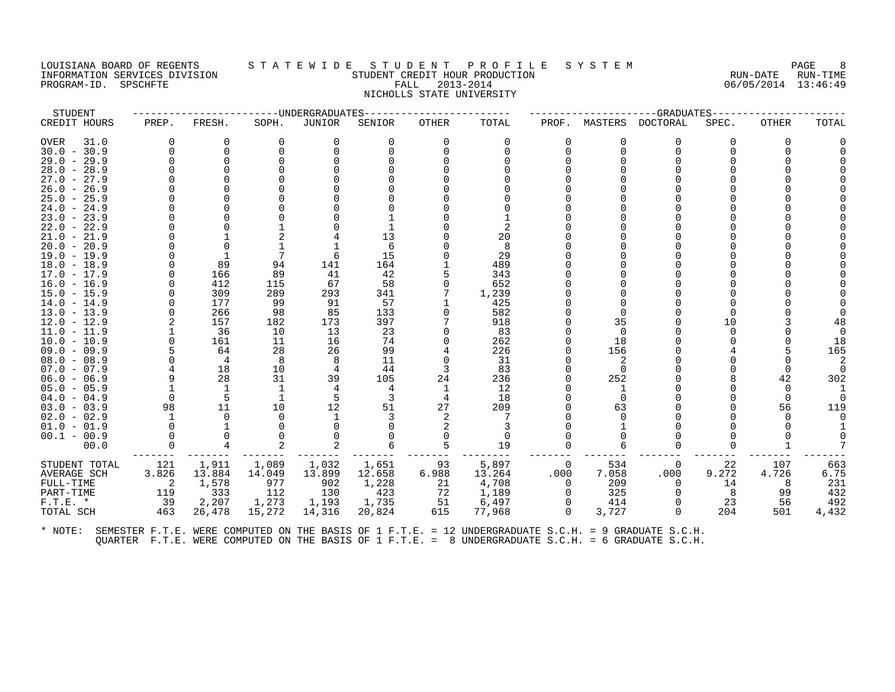#### LOUISIANA BOARD OF REGENTS S T A T E W I D E S T U D E N T P R O F I L E S Y S T E M PAGE 8 INFORMATION SERVICES DIVISION STUDENT CREDIT HOUR PRODUCTION RUN-DATE RUN-TIME PROGRAM-ID. SPSCHFTE FALL 2013-2014 06/05/2014 13:46:49 NICHOLLS STATE UNIVERSITY

| STUDENT                        |                | ---------------------UNDERGRADUATES |                 |                 |                 | -------------- |                 |                        |               | --GRADUATES-----     |             |              |             |
|--------------------------------|----------------|-------------------------------------|-----------------|-----------------|-----------------|----------------|-----------------|------------------------|---------------|----------------------|-------------|--------------|-------------|
| CREDIT HOURS                   | PREP.          | FRESH.                              | SOPH.           | JUNIOR          | SENIOR          | OTHER          | TOTAL           | PROF.                  | MASTERS       | DOCTORAL             | SPEC.       | <b>OTHER</b> | TOTAL       |
| OVER<br>31.0                   | $\Omega$       | 0                                   | 0               | $\Omega$        | 0               | $\Omega$       | $\Omega$        | $\Omega$               | 0             | $\Omega$             | 0           | $\Omega$     |             |
| $30.0 - 30.9$                  | $\Omega$       | $\Omega$                            |                 |                 |                 |                |                 | 0                      | $\Omega$      | $\Omega$             |             |              |             |
| $29.0 - 29.9$                  |                | $\Omega$                            |                 |                 |                 |                |                 |                        |               |                      |             |              |             |
| $28.0 - 28.9$                  |                |                                     |                 |                 |                 |                |                 |                        |               |                      |             |              |             |
| $27.0 - 27.9$                  |                |                                     |                 |                 |                 |                |                 |                        |               |                      |             |              |             |
| $26.0 - 26.9$                  |                |                                     |                 |                 |                 |                |                 |                        |               |                      |             |              |             |
| $25.0 - 25.9$                  |                |                                     |                 |                 |                 |                |                 |                        |               |                      |             |              |             |
| $24.0 - 24.9$                  |                |                                     |                 |                 |                 |                |                 |                        |               |                      |             |              |             |
| $23.0 - 23.9$                  |                |                                     |                 |                 |                 |                |                 |                        |               |                      |             |              |             |
| $22.0 - 22.9$                  |                |                                     |                 |                 |                 |                |                 |                        |               |                      |             |              |             |
| $21.0 - 21.9$                  |                |                                     |                 |                 | 13              |                | 20              |                        |               |                      |             |              |             |
| $20.0 - 20.9$                  |                |                                     |                 |                 |                 |                | 8               |                        |               |                      |             |              |             |
| 19.0 - 19.9                    |                |                                     |                 |                 | 15              |                | 29              |                        |               |                      |             |              |             |
| $18.0 - 18.9$                  |                | 89                                  | 94              | 141             | 164             |                | 489             |                        |               |                      |             |              |             |
| 17.0 - 17.9                    |                | 166                                 | 89              | 41              | 42              |                | 343             |                        |               |                      |             |              |             |
| $16.0 - 16.9$                  |                | 412                                 | 115             | 67              | 58              |                | 652             |                        |               |                      |             |              |             |
| $15.0 - 15.9$                  |                | 309                                 | 289             | 293             | 341             |                | 1,239           |                        |               |                      |             |              |             |
| $14.0 - 14.9$                  |                | 177                                 | 99              | 91              | 57              |                | 425             |                        |               |                      |             |              |             |
| $13.0 - 13.9$                  | $\Omega$       | 266                                 | 98              | 85              | 133             |                | 582             |                        |               |                      |             |              |             |
| $12.0 - 12.9$                  |                | 157                                 | 182             | 173             | 397             |                | 918             |                        | 35            |                      | 10          |              | 48          |
| $11.0 - 11.9$                  |                | 36                                  | 10              | 13              | 23              |                | 83              |                        | $\Omega$      |                      |             |              |             |
| $10.0 - 10.9$                  | $\Omega$       | 161                                 | -11<br>28       | 16              | 74<br>99        |                | 262             |                        | 18            |                      |             |              | 18          |
| $09.0 - 09.9$                  | $\Omega$       | 64                                  |                 | 26              |                 |                | 226             | 0                      | 156           |                      |             |              | 165         |
| $08.0 - 08.9$<br>$07.0 - 07.9$ |                | 4<br>18                             | 8<br>10         | 8<br>4          | 11<br>44        | 3              | 31<br>83        |                        | 2<br>$\Omega$ |                      |             |              |             |
| $06.0 - 06.9$                  |                | 28                                  | 31              | 39              | 105             | 24             | 236             |                        | 252           |                      |             | 42           | 302         |
| $05.0 - 05.9$                  |                | -1                                  |                 | 4               | 4               | 1              | 12              |                        |               |                      |             | <sup>0</sup> |             |
| $04.0 - 04.9$                  | $\Omega$       | 5                                   |                 | 5               |                 | 4              | 18              |                        | $\Omega$      |                      |             | $\Omega$     |             |
| $03.0 - 03.9$                  | 98             | 11                                  | 10              | 12              | 51              | 27             | 209             |                        | 63            |                      |             | 56           | 119         |
| $02.0 - 02.9$                  | $\overline{1}$ | $\Omega$                            |                 |                 |                 | 2              |                 |                        |               |                      |             |              |             |
| $01.0 - 01.9$                  | $\Omega$       |                                     |                 |                 |                 |                |                 |                        |               |                      |             |              |             |
| $00.1 - 00.9$                  | $\Omega$       | $\Omega$                            |                 |                 |                 |                | $\Omega$        |                        |               |                      |             |              |             |
| 00.0                           | $\Omega$       | 4                                   |                 |                 |                 |                | 19              | $\Omega$               |               | ∩                    |             |              |             |
|                                |                |                                     |                 |                 |                 |                |                 |                        |               |                      |             |              |             |
| STUDENT TOTAL                  | 121            | 1,911<br>13.884                     | 1,089<br>14.049 | 1,032           | 1,651<br>12.658 | 93<br>6.988    | 5,897<br>13.264 | $\overline{0}$<br>.000 | 534<br>7.058  | 0<br>.000            | 22<br>9.272 | 107<br>4.726 | 663<br>6.75 |
| AVERAGE SCH                    | 3.826          |                                     |                 | 13.899          |                 |                |                 | $\Omega$               |               |                      |             |              |             |
| FULL-TIME                      | -2<br>119      | 1,578<br>333                        | 977<br>112      | 902<br>130      | 1,228<br>423    | 21<br>72       | 4,708<br>1,189  | $\Omega$               | 209<br>325    | $\Omega$<br>$\Omega$ | 14<br>8     | 8<br>99      | 231<br>432  |
| PART-TIME                      | 39             |                                     |                 |                 |                 |                |                 | $\Omega$               |               | $\Omega$             |             | 56           | 492         |
| $F.T.E. *$<br>TOTAL SCH        | 463            | 2,207<br>26,478                     | 1,273<br>15,272 | 1,193<br>14,316 | 1,735<br>20,824 | -51<br>615     | 6,497<br>77,968 | $\Omega$               | 414<br>3,727  | $\Omega$             | 23<br>204   | 501          | 4,432       |
|                                |                |                                     |                 |                 |                 |                |                 |                        |               |                      |             |              |             |
|                                |                |                                     |                 |                 |                 |                |                 |                        |               |                      |             |              |             |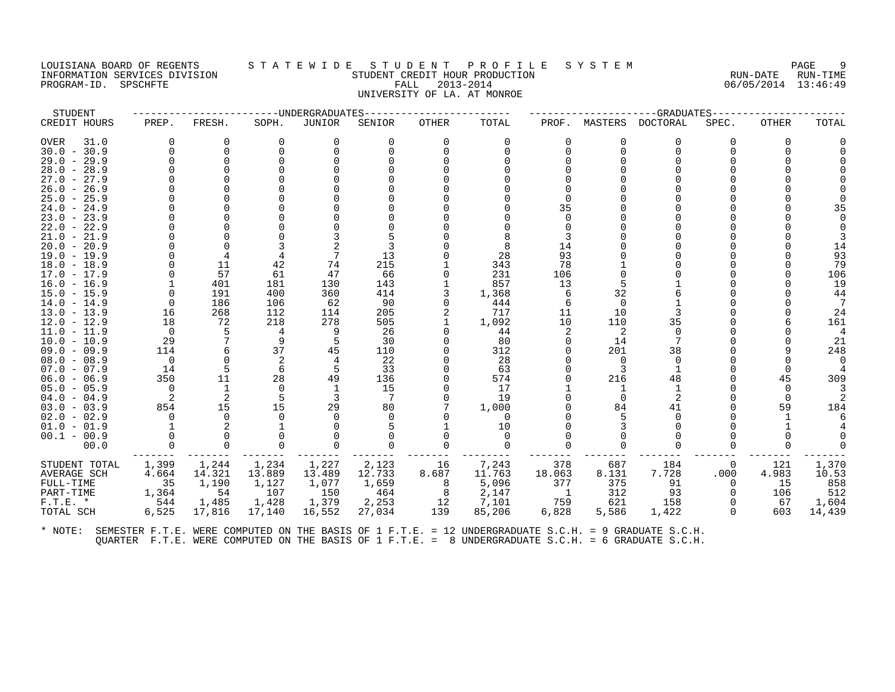# LOUISIANA BOARD OF REGENTS STATEWIDE STUDENT PROFILE SYSTEM PAGE 9<br>INFORMATION SERVICES DIVISION STUDENT CREDITION STUDENT CREDITION PRODUCTION CONTROLLATION CREDITION CONTROLLATION INFORMATION SERVICES DIVISION STUDENT CREDIT HOUR PRODUCTION RUN-DATE RUN-TIME PROGRAM-ID. SPSCHFTE FALL 2013-2014 06/05/2014 13:46:49 UNIVERSITY OF LA. AT MONROE

STUDENT ------------------------UNDERGRADUATES------------------------ ---------------------GRADUATES---------------------- CREDIT HOURS PREP. FRESH. SOPH. JUNIOR SENIOR OTHER TOTAL PROF. MASTERS DOCTORAL SPEC. OTHER TOTAL OVER 31.0 0 0 0 0 0 0 0 0 0 0 0 0 0 30.0 - 30.9 0 0 0 0 0 0 0 0 0 0 0 0 0 29.0 - 29.9 0 0 0 0 0 0 0 0 0 0 0 0 0 28.0 - 28.9 0 0 0 0 0 0 0 0 0 0 0 0 0 27.0 - 27.9 0 0 0 0 0 0 0 0 0 0 0 0 0 26.0 - 26.9 0 0 0 0 0 0 0 0 0 0 0 0 0 25.0 - 25.9 0 0 0 0 0 0 0 0 0 0 0 0 0 24.0 - 24.9 0 0 0 0 0 0 0 35 0 0 0 0 35 23.0 - 23.9 0 0 0 0 0 0 0 0 0 0 0 0 0 22.0 - 22.9 0 0 0 0 0 0 0 0 0 0 0 0 0 21.0 - 21.9 0 0 0 3 5 0 8 3 0 0 0 0 3 20.0 - 20.9 0 0 3 2 3 0 8 14 0 0 0 0 14 19.0 - 19.9 0 4 4 7 13 0 28 93 0 0 0 0 93 18.0 - 18.9 0 11 42 74 215 1 343 78 1 0 0 0 79 17.0 - 17.9 0 57 61 47 66 0 231 106 0 0 0 0 106 16.0 - 16.9 1 401 181 130 143 1 857 13 5 1 0 0 19 15.0 - 15.9 0 191 400 360 414 3 1,368 6 32 6 0 0 44 14.0 - 14.9 0 186 106 62 90 0 444 6 0 1 0 0 7 13.0 - 13.9 16 268 112 114 205 2 717 11 10 3 0 0 24 12.0 - 12.9 18 72 218 278 505 1 1,092 10 110 35 0 6 161 11.0 - 11.9 0 5 4 9 26 0 44 2 2 0 0 0 4 10.0 - 10.9 29 7 9 5 30 0 80 0 14 7 0 0 21 09.0 - 09.9 114 6 37 45 110 0 312 0 201 38 0 9 248 08.0 - 08.9 0 0 2 4 22 0 28 0 0 0 0 0 0 07.0 - 07.9 14 5 6 5 33 0 63 0 3 1 0 0 4 06.0 - 06.9 350 11 28 49 136 0 574 0 216 48 0 45 309 05.0 - 05.9 0 1 0 1 15 0 17 1 1 1 0 0 3 04.0 - 04.9 2 2 5 3 7 0 19 0 0 2 0 0 2 03.0 - 03.9 854 15 15 29 80 7 1,000 0 84 41 0 59 184 02.0 - 02.9 0 0 0 0 0 0 0 0 5 0 0 1 6 01.0 - 01.9 1 2 1 0 5 1 10 0 3 0 0 1 4 00.1 - 00.9 0 0 0 0 0 0 0 0 0 0 0 0 0 00.0 0 0 0 0 0 0 0 0 0 0 0 0 0 ------- ------- ------- ------- ------- ------- -------- ------- ------- ------- ------- ------- ------- STUDENT TOTAL 1,399 1,244 1,234 1,227 2,123 16 7,243 378 687 184 0 121 1,370<br>AVERAGE SCH 4.664 14.321 13.889 13.489 12.733 8.687 11.763 18.0 FULL-TIME 35 1,190 1,127 1,077 1,659 8 5,096 377 375 91 0 15 858 PART-TIME 1,364 54 107 150 464 8 2,147 1 312 93 0 106 512 F.T.E. \* 544 1,485 1,428 1,379 2,253 12 7,101 759 621 158 0 67 1,604 TOTAL SCH 6,525 17,816 17,140 16,552 27,034 139 85,206 6,828 5,586 1,422 0 603 14,439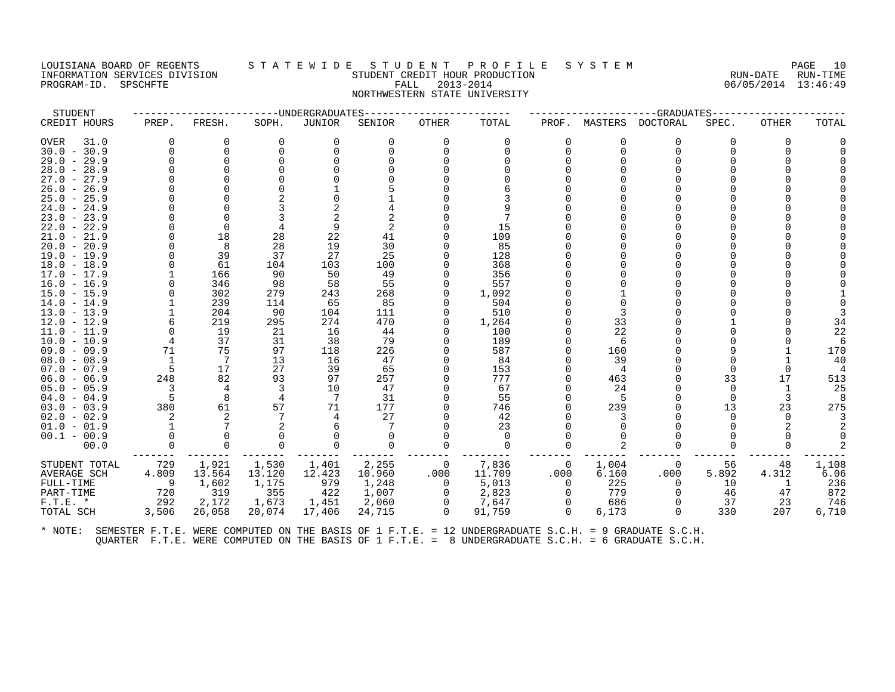# LOUISIANA BOARD OF REGENTS STATEWIDE STUDENT PROFILE SYSTEM PAGE 10<br>INFORMATION SERVICES DIVISION STUDENT CREDIT HOUR PRODUCTION PROPOSITION CERTAINE RUN-DATE RUN-TIME INFORMATION SERVICES DIVISION STUDENT CREDIT HOUR PRODUCTION RUN-DATE RUN-TIME PROGRAM-ID. SPSCHFTE FALL 2013-2014 06/05/2014 13:46:49 NORTHWESTERN STATE UNIVERSITY

| STUDENT             |          |          | -------------DNDERGRADUATES |          |          |                |          |          |          | --GRADUATES----- |          |              |       |
|---------------------|----------|----------|-----------------------------|----------|----------|----------------|----------|----------|----------|------------------|----------|--------------|-------|
| CREDIT HOURS        | PREP.    | FRESH.   | SOPH.                       | JUNIOR   | SENIOR   | OTHER          | TOTAL    | PROF.    | MASTERS  | <b>DOCTORAL</b>  | SPEC.    | <b>OTHER</b> | TOTAL |
| <b>OVER</b><br>31.0 | $\Omega$ | $\Omega$ | $\Omega$                    | 0        | $\Omega$ | $\Omega$       | $\Omega$ | 0        | O        | $\Omega$         | 0        | 0            |       |
| $30.0 - 30.9$       | $\Omega$ | $\Omega$ | $\Omega$                    | $\Omega$ | 0        | $\Omega$       | $\Omega$ | $\Omega$ | $\Omega$ | $\Omega$         |          |              |       |
| $29.0 - 29.9$       | $\Omega$ | $\Omega$ |                             |          |          |                |          |          |          |                  |          |              |       |
| $28.0 - 28.9$       |          |          |                             |          |          |                |          |          |          |                  |          |              |       |
| $27.0 - 27.9$       |          |          |                             |          |          |                |          |          |          |                  |          |              |       |
| $26.0 - 26.9$       |          |          |                             |          |          |                |          |          |          |                  |          |              |       |
| $25.0 - 25.9$       |          |          |                             |          |          |                |          |          |          |                  |          |              |       |
| $24.0 - 24.9$       |          |          |                             |          |          |                |          |          |          |                  |          |              |       |
| $23.0 - 23.9$       |          | $\Omega$ |                             |          |          |                |          |          |          |                  |          |              |       |
| $22.0 - 22.9$       |          | $\Omega$ |                             | 9        |          |                | 15       |          |          |                  |          |              |       |
| $21.0 - 21.9$       |          | 18       | 28                          | 22       | 41       |                | 109      |          |          |                  |          |              |       |
| $20.0 - 20.9$       |          | 8        | 28                          | 19       | 30       |                | 85       |          |          |                  |          |              |       |
| $19.0 - 19.9$       |          | 39       | 37                          | 27       | 25       |                | 128      |          |          |                  |          |              |       |
| $18.0 - 18.9$       |          | 61       | 104                         | 103      | 100      |                | 368      |          |          |                  |          |              |       |
| $17.0 - 17.9$       |          | 166      | 90                          | 50       | 49       |                | 356      |          |          |                  |          |              |       |
| 16.0 - 16.9         |          | 346      | 98                          | 58       | 55       |                | 557      |          |          |                  |          |              |       |
| $15.0 - 15.9$       |          | 302      | 279                         | 243      | 268      |                | 1,092    |          |          |                  |          |              |       |
| $14.0 - 14.9$       |          | 239      | 114                         | 65       | 85       |                | 504      |          |          |                  |          |              |       |
| $13.0 - 13.9$       |          | 204      | 90                          | 104      | 111      | $\Omega$       | 510      |          |          |                  |          |              |       |
| $12.0 - 12.9$       | 6        | 219      | 295                         | 274      | 470      | 0              | 1,264    |          | 33       |                  |          |              | 34    |
| $11.0 - 11.9$       | $\Omega$ | 19       | 21                          | 16       | 44       | <sup>n</sup>   | 100      |          | 22       |                  |          |              | 22    |
| $10.0 - 10.9$       | 4        | 37       | 31                          | 38       | 79       |                | 189      |          | 6        |                  |          |              |       |
| $09.0 - 09.9$       | 71       | 75       | 97                          | 118      | 226      |                | 587      | $\Omega$ | 160      |                  |          |              | 170   |
| $08.0 - 08.9$       | 1        | 7        | 13                          | 16       | 47       |                | 84       |          | 39       |                  |          |              | 40    |
| $07.0 - 07.9$       | -5       | 17       | 27                          | 39       | 65       |                | 153      |          | 4        |                  | $\Omega$ |              |       |
| $06.0 - 06.9$       | 248      | 82       | 93                          | 97       | 257      |                | 777      |          | 463      |                  | 33       | 17           | 513   |
| $05.0 - 05.9$       | -3       | 4        | -3                          | 10       | 47       |                | 67       |          | 24       |                  | 0        |              | 25    |
| $04.0 - 04.9$       | - 5      | 8        |                             | -7       | 31       |                | 55       |          |          |                  | $\Omega$ | 3            | 8     |
| $03.0 - 03.9$       | 380      | 61       | 57                          | 71       | 177      |                | 746      |          | 239      |                  | 13       | 23           | 275   |
| $02.0 - 02.9$       |          | 2        |                             | 4        | 27       |                | 42       |          |          |                  | $\Omega$ | 0            |       |
| $01.0 - 01.9$       |          |          |                             |          |          |                | 23       |          |          |                  |          |              |       |
| $00.1 - 00.9$       |          |          |                             |          |          |                | $\Omega$ |          |          |                  |          |              |       |
| 00.0                | $\Omega$ | $\Omega$ | $\Omega$                    | $\Omega$ | $\Omega$ | $\Omega$       | $\Omega$ | $\Omega$ | 2        | $\Omega$         | $\Omega$ |              |       |
| STUDENT TOTAL       | 729      | 1,921    | 1,530                       | 1,401    | 2,255    | 0              | 7,836    | 0        | 1,004    | $\Omega$         | 56       | 48           | 1,108 |
| AVERAGE SCH         | 4.809    | 13.564   | 13.120                      | 12.423   | 10.960   | .000           | 11.709   | .000     | 6.160    | .000             | 5.892    | 4.312        | 6.06  |
| FULL-TIME           | 9        | 1,602    | 1,175                       | 979      | 1,248    | $\overline{0}$ | 5,013    | 0        | 225      | 0                | 10       |              | 236   |
| PART-TIME           | 720      | 319      | 355                         | 422      | 1,007    | 0              | 2,823    | 0        | 779      | $\Omega$         | 46       | 47           | 872   |
| $F.T.E. *$          | 292      | 2,172    | 1,673                       | 1,451    | 2,060    | 0              | 7,647    |          | 686      |                  | 37       | 23           | 746   |
| TOTAL SCH           | 3,506    | 26,058   | 20,074                      | 17,406   | 24,715   | $\Omega$       | 91,759   | $\Omega$ | 6,173    | $\Omega$         | 330      | 207          | 6,710 |
|                     |          |          |                             |          |          |                |          |          |          |                  |          |              |       |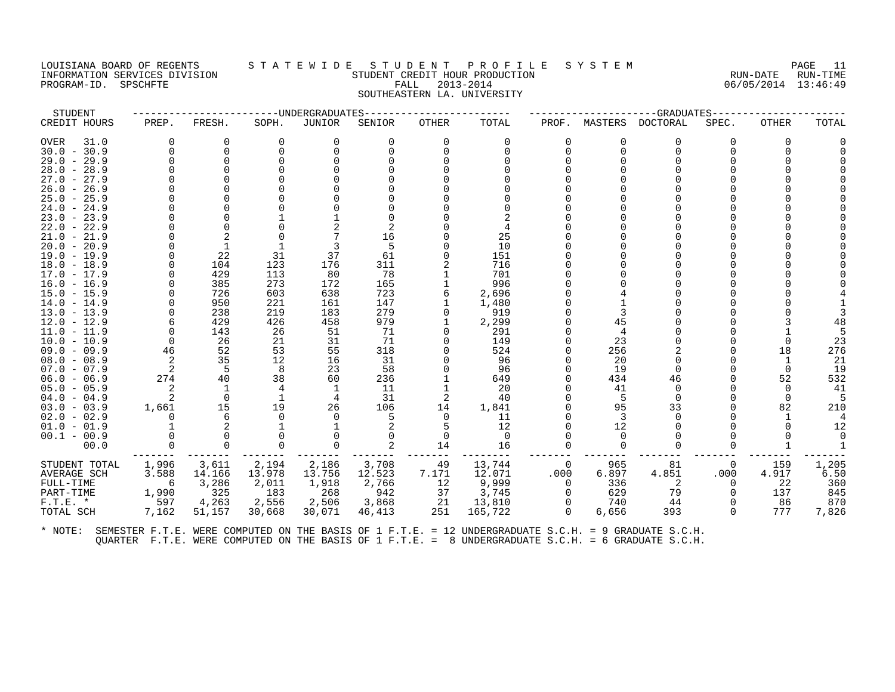# LOUISIANA BOARD OF REGENTS STATEWIDE STUDENT PROFILE SYSTEM PAGE 11<br>INFORMATION SERVICES DIVISION STUDENT CREDIT HOUR PRODUCTION PROPOSITION CERTIFICATE RUN-DATE RUN-TIME INFORMATION SERVICES DIVISION STUDENT CREDIT HOUR PRODUCTION RUN-DATE RUN-TIME PROGRAM-ID. SPSCHFTE FALL 2013-2014 06/05/2014 13:46:49 SOUTHEASTERN LA. UNIVERSITY

| STUDENT                        |                            |              | ---------------UNDERGRADUATES |          |           |               |            |          |          | --GRADUATES  |              |              |       |
|--------------------------------|----------------------------|--------------|-------------------------------|----------|-----------|---------------|------------|----------|----------|--------------|--------------|--------------|-------|
| CREDIT HOURS                   | PREP.                      | FRESH.       | SOPH.                         | JUNIOR   | SENIOR    | OTHER         | TOTAL      | PROF.    | MASTERS  | DOCTORAL     | SPEC.        | <b>OTHER</b> | TOTAL |
| OVER<br>31.0                   | $\Omega$                   | 0            | $\Omega$                      | 0        | 0         | $\Omega$      | $\Omega$   | $\Omega$ | 0        | $\Omega$     | 0            | 0            |       |
| $30.0 - 30.9$                  | $\Omega$                   | $\Omega$     |                               | $\Omega$ | $\cap$    | $\Omega$      | $\Omega$   |          | $\Omega$ | $\Omega$     | ∩            |              |       |
| $29.0 - 29.9$                  | $\Omega$                   | $\Omega$     |                               |          |           |               |            |          | U        | $\Omega$     |              |              |       |
| $28.0 - 28.9$                  |                            |              |                               |          |           |               |            |          | U        |              |              |              |       |
| $27.0 - 27.9$                  |                            |              |                               |          |           |               |            |          |          |              |              |              |       |
| $26.0 - 26.9$                  |                            |              |                               |          |           |               |            |          | U        |              |              |              |       |
| $25.0 - 25.9$                  |                            |              |                               |          |           |               |            |          |          |              |              |              |       |
| $24.0 - 24.9$                  |                            |              |                               |          |           |               |            |          |          |              |              |              |       |
| $23.0 - 23.9$                  |                            |              |                               |          |           |               |            |          |          |              |              |              |       |
| $22.0 - 22.9$                  |                            |              |                               |          |           |               |            |          |          |              |              |              |       |
| $21.0 - 21.9$                  |                            |              |                               |          | 16        |               | 25         |          |          |              |              |              |       |
| $20.0 - 20.9$                  |                            |              |                               |          | 5         |               | 10         |          |          |              |              |              |       |
| $19.0 - 19.9$                  | $\Omega$                   | 22           | 31                            | 37       | 61        |               | 151        |          |          |              |              |              |       |
| $18.0 - 18.9$                  | $\Omega$                   | 104          | 123                           | 176      | 311       |               | 716        |          |          |              |              |              |       |
| $17.0 - 17.9$                  | <sup>0</sup>               | 429          | 113                           | 80       | 78        |               | 701        |          |          |              |              |              |       |
| $16.0 - 16.9$                  |                            | 385          | 273                           | 172      | 165       |               | 996        |          |          |              |              |              |       |
| $15.0 - 15.9$                  |                            | 726          | 603                           | 638      | 723       | 6             | 2,696      |          |          |              |              |              |       |
| $14.0 - 14.9$                  |                            | 950          | 221                           | 161      | 147       |               | 1,480      |          |          |              |              |              |       |
| $13.0 - 13.9$                  |                            | 238          | 219                           | 183      | 279       |               | 919        |          |          |              |              |              |       |
| $12.0 - 12.9$                  | 6<br>$\Omega$              | 429          | 426                           | 458      | 979<br>71 | 1<br>$\Omega$ | 2,299      |          | 45       |              |              |              | 48    |
| $11.0 - 11.9$<br>$10.0 - 10.9$ | $\Omega$                   | 143<br>26    | 26<br>21                      | 51<br>31 | 71        |               | 291<br>149 |          | 23       | <sup>n</sup> |              | 0            | 23    |
| $09.0 - 09.9$                  | 46                         | 52           | 53                            | 55       | 318       |               | 524        |          | 256      |              |              | 18           | 276   |
| $08.0 - 08.9$                  | 2                          | 35           | 12                            | 16       | 31        |               | 96         |          | 20       | $\Omega$     |              | -1           | 21    |
| $07.0 - 07.9$                  | $\overline{\phantom{0}}^2$ | -5           | -8                            | 23       | 58        |               | 96         |          | 19       | $\Omega$     |              | $\Omega$     | 19    |
| $06.0 - 06.9$                  | 274                        | 40           | 38                            | 60       | 236       |               | 649        |          | 434      | 46           |              | 52           | 532   |
| $05.0 - 05.9$                  | 2                          | $\mathbf{1}$ | 4                             | 1        | 11        |               | 20         |          | 41       | $\Omega$     |              | $\Omega$     | 41    |
| $04.0 - 04.9$                  | $\overline{2}$             | $\Omega$     | -1                            | 4        | 31        | 2             | 40         |          | -5       | $\Omega$     |              | $\Omega$     |       |
| $03.0 - 03.9$                  | 1,661                      | 15           | 19                            | 26       | 106       | 14            | 1,841      |          | 95       | 33           |              | 82           | 210   |
| $02.0 - 02.9$                  | $\Omega$                   | 6            | $\Omega$                      | $\Omega$ | 5         | 0             | 11         |          | 3        | $\Omega$     |              | -1           |       |
| $01.0 - 01.9$                  |                            | 2            |                               |          |           | 5             | 12         |          | 12       | $\Omega$     |              |              | 12    |
| $00.1 - 00.9$                  |                            |              |                               |          |           | 0             | - 0        |          | $\Omega$ | U            |              |              |       |
| 00.0                           | $\Omega$                   | $\Omega$     | $\Omega$                      | $\Omega$ | 2         | 14            | 16         |          | $\Omega$ | $\Omega$     | $\Omega$     |              |       |
| STUDENT TOTAL                  | 1,996                      | 3,611        | 2,194                         | 2,186    | 3,708     | 49            | 13,744     | $\Omega$ | 965      | 81           | $\mathbf{0}$ | 159          | 1,205 |
| <b>AVERAGE SCH</b>             | 3.588                      | 14.166       | 13.978                        | 13.756   | 12.523    | 7.171         | 12.071     | .000     | 6.897    | 4.851        | .000         | 4.917        | 6.50  |
| FULL-TIME                      | -6                         | 3,286        | 2,011                         | 1,918    | 2,766     | 12            | 9,999      | $\Omega$ | 336      | -2           | 0            | 22           | 360   |
| PART-TIME                      | 1,990                      | 325          | 183                           | 268      | 942       | 37            | 3,745      | $\Omega$ | 629      | 79           | $\Omega$     | 137          | 845   |
| $F.T.E. *$                     | 597                        | 4,263        | 2,556                         | 2,506    | 3,868     | 21            | 13,810     |          | 740      | 44           |              | 86           | 870   |
| TOTAL SCH                      | 7,162                      | 51,157       | 30,668                        | 30,071   | 46,413    | 251           | 165,722    | $\Omega$ | 6,656    | 393          | $\Omega$     | 777          | 7,826 |
|                                |                            |              |                               |          |           |               |            |          |          |              |              |              |       |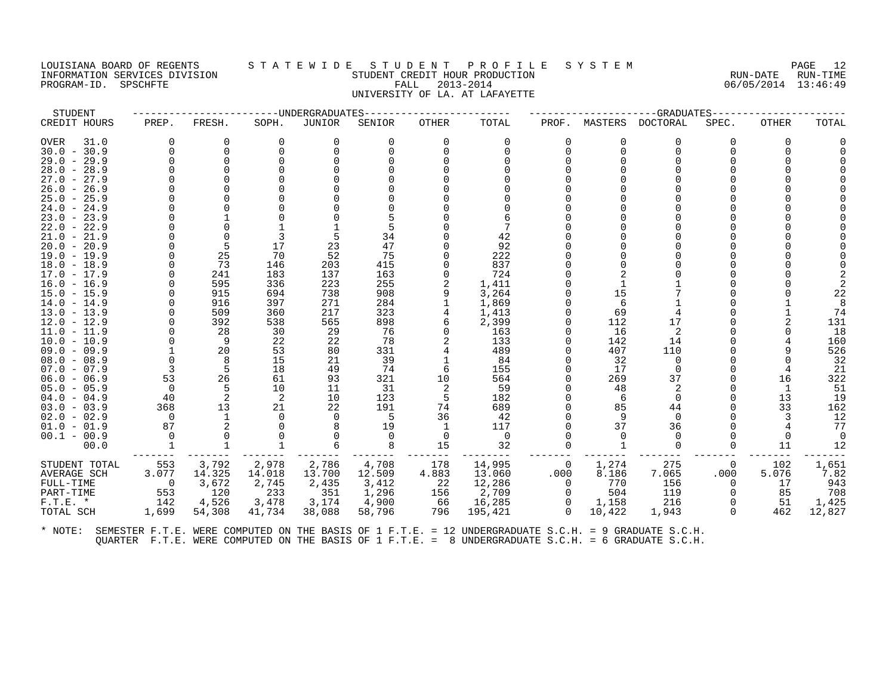#### LOUISIANA BOARD OF REGENTS S T A T E W I D E S T U D E N T P R O F I L E S Y S T E M PAGE 12 INFORMATION SERVICES DIVISION STUDENT CREDIT HOUR PRODUCTION RUN-DATE RUN-TIME PROGRAM-ID. SPSCHFTE FALL 2013-2014 06/05/2014 13:46:49 UNIVERSITY OF LA. AT LAFAYETTE

| STUDENT                        |                |              |            | ---------------DNDERGRADUATES |            |          |                |                |         | --GRADUATES |          |              |        |
|--------------------------------|----------------|--------------|------------|-------------------------------|------------|----------|----------------|----------------|---------|-------------|----------|--------------|--------|
| CREDIT HOURS                   | PREP.          | FRESH.       | SOPH.      | JUNIOR                        | SENIOR     | OTHER    | TOTAL          | PROF.          | MASTERS | DOCTORAL    | SPEC.    | <b>OTHER</b> | TOTAL  |
| OVER<br>31.0                   | $\Omega$       | 0            | $\Omega$   | 0                             | 0          | $\Omega$ | $\Omega$       | 0              | O       | $\Omega$    | 0        | 0            |        |
| $30.0 - 30.9$                  | $\Omega$       | $\Omega$     |            |                               |            | ∩        |                | $\Omega$       | 0       |             |          |              |        |
| $29.0 - 29.9$                  |                | $\Omega$     |            |                               |            |          |                | $\Omega$       |         |             |          |              |        |
| $28.0 - 28.9$                  |                |              |            |                               |            |          |                |                |         |             |          |              |        |
| $27.0 - 27.9$                  |                |              |            |                               |            |          |                |                |         |             |          |              |        |
| $26.0 - 26.9$                  |                |              |            |                               |            |          |                |                |         |             |          |              |        |
| $25.0 - 25.9$                  |                |              |            |                               |            |          |                |                |         |             |          |              |        |
| $24.0 - 24.9$                  |                |              |            |                               |            |          |                |                |         |             |          |              |        |
| $23.0 - 23.9$                  |                |              |            |                               |            |          |                |                |         |             |          |              |        |
| $22.0 - 22.9$                  |                |              |            |                               |            |          |                |                |         |             |          |              |        |
| $21.0 - 21.9$                  |                | $\Omega$     |            |                               | 34         |          | 42             |                |         |             |          |              |        |
| $20.0 - 20.9$                  | $\Omega$       | 5            | 17         | 23                            | 47         |          | 92             |                |         |             |          |              |        |
| $19.0 - 19.9$                  | $\Omega$       | 25<br>73     | 70         | 52                            | 75         |          | 222            |                |         |             |          |              |        |
| $18.0 - 18.9$                  | $\Omega$       |              | 146<br>183 | 203<br>137                    | 415        |          | 837<br>724     |                |         |             |          |              |        |
| $17.0 - 17.9$<br>$16.0 - 16.9$ |                | 241<br>595   | 336        | 223                           | 163<br>255 |          | 1,411          |                |         |             |          |              |        |
| $15.0 - 15.9$                  |                | 915          | 694        | 738                           | 908        | 9        | 3,264          |                | 15      |             |          |              | 22     |
| $14.0 - 14.9$                  |                | 916          | 397        | 271                           | 284        |          | 1,869          |                | 6       |             |          |              | 8      |
| $13.0 - 13.9$                  | $\Omega$       | 509          | 360        | 217                           | 323        |          | 1,413          |                | 69      |             |          |              | 74     |
| $12.0 - 12.9$                  |                | 392          | 538        | 565                           | 898        |          | 2,399          | $\Omega$       | 112     | 17          |          |              | 131    |
| $11.0 - 11.9$                  |                | 28           | 30         | 29                            | 76         | $\Omega$ | 163            |                | 16      | 2           |          |              | 18     |
| $10.0 - 10.9$                  | $\Omega$       | 9            | 22         | 22                            | 78         |          | 133            |                | 142     | 14          |          |              | 160    |
| $09.0 - 09.9$                  |                | 20           | 53         | 80                            | 331        |          | 489            |                | 407     | 110         |          |              | 526    |
| $08.0 - 08.9$                  | $\mathbf 0$    | 8            | 15         | 21                            | 39         |          | 84             |                | 32      | $\mathbf 0$ |          |              | 32     |
| $07.0 - 07.9$                  | 3              | -5           | 18         | 49                            | 74         | 6        | 155            | $\Omega$       | 17      | $\Omega$    |          |              | 21     |
| $06.0 - 06.9$                  | 53             | 26           | 61         | 93                            | 321        | 10       | 564            |                | 269     | 37          |          | 16           | 322    |
| $05.0 - 05.9$                  | $\overline{0}$ | -5           | 10         | 11                            | 31         | -2       | 59             |                | 48      | 2           |          | 1            | 51     |
| $04.0 - 04.9$                  | 40             | 2            | -2         | 10                            | 123        | -5       | 182            | $\Omega$       | -6      | $\Omega$    |          | 13           | 19     |
| $03.0 - 03.9$                  | 368            | 13           | 21         | 22                            | 191        | 74       | 689            |                | 85      | 44          |          | 33           | 162    |
| $02.0 - 02.9$                  | $\Omega$       | 1            | n          | $\Omega$                      | -5         | 36       | 42             | $\Omega$       | 9       | $\Omega$    |          |              | 12     |
| $01.0 - 01.9$                  | 87             | 2            |            |                               | 19         | 1        | 117            |                | 37      | 36          |          |              | 77     |
| $00.1 - 00.9$                  | $\Omega$       |              |            |                               | $\Omega$   | 0        | $\overline{0}$ |                |         |             |          |              | - 0    |
| 00.0                           |                | $\mathbf{1}$ |            |                               | 8          | 15       | 32             | $\Omega$       |         | $\Omega$    |          | 11           | 12     |
| STUDENT TOTAL                  | 553            | 3,792        | 2,978      | 2,786                         | 4,708      | 178      | 14,995         | $\mathbf 0$    | 1,274   | 275         | $\Omega$ | 102          | 1,651  |
| AVERAGE SCH                    | 3.077          | 14.325       | 14.018     | 13.700                        | 12.509     | 4.883    | 13.060         | .000           | 8.186   | 7.065       | .000     | 5.076        | 7.82   |
| FULL-TIME                      | $\bigcirc$     | 3,672        | 2,745      | 2,435                         | 3,412      | -22      | 12,286         | $\overline{0}$ | 770     | 156         | $\Omega$ | 17           | 943    |
| PART-TIME                      | 553            | 120          | 233        | 351                           | 1,296      | 156      | 2,709          | $\Omega$       | 504     | 119         | 0        | 85           | 708    |
| $F.T.E.$ *                     | 142            | 4,526        | 3,478      | 3,174                         | 4,900      | 66       | 16,285         | $\Omega$       | 1,158   | 216         | $\Omega$ | -51          | 1,425  |
| TOTAL SCH                      | 1,699          | 54,308       | 41,734     | 38,088                        | 58,796     | 796      | 195,421        | $\cap$         | 10,422  | 1,943       | $\Omega$ | 462          | 12,827 |
|                                |                |              |            |                               |            |          |                |                |         |             |          |              |        |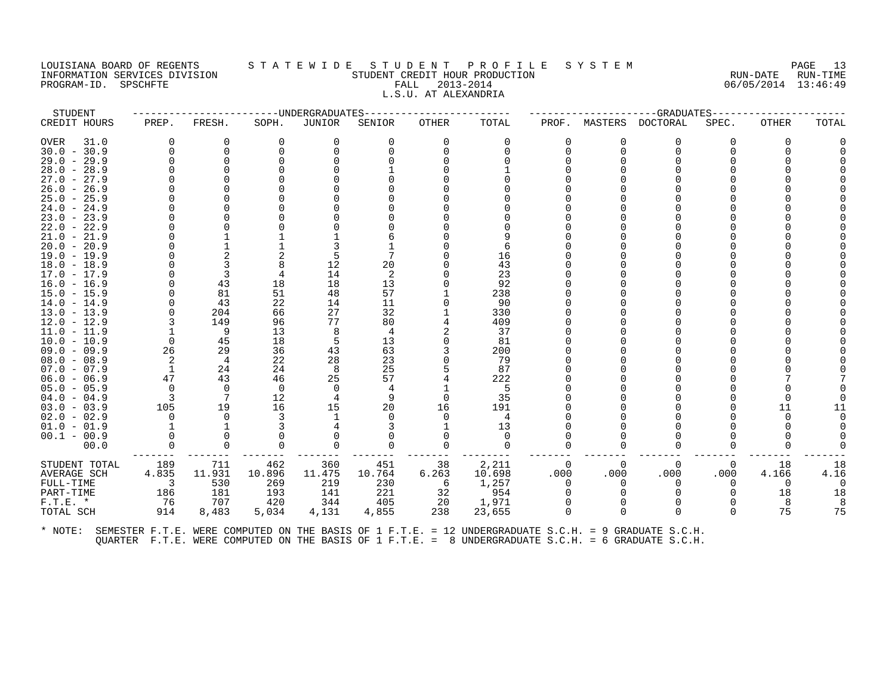#### LOUISIANA BOARD OF REGENTS S T A T E W I D E S T U D E N T P R O F I L E S Y S T E M PAGE 13 INFORMATION SERVICES DIVISION STUDENT CREDIT HOUR PRODUCTION RUN-DATE RUN-TIME PROGRAM-ID. SPSCHFTE FALL 2013-2014 06/05/2014 13:46:49 L.S.U. AT ALEXANDRIA

| STUDENT       |                |             |                | ------------------DNDERGRADUATES |          | -------------- |          |          |          | ---GRADUATES----- |              |          |       |
|---------------|----------------|-------------|----------------|----------------------------------|----------|----------------|----------|----------|----------|-------------------|--------------|----------|-------|
| CREDIT HOURS  | PREP.          | FRESH.      | SOPH.          | JUNIOR                           | SENIOR   | OTHER          | TOTAL    | PROF.    | MASTERS  | <b>DOCTORAL</b>   | SPEC.        | OTHER    | TOTAL |
| OVER<br>31.0  | 0              | 0           | $\Omega$       | 0                                | 0        | $\Omega$       | $\Omega$ | 0        | 0        | $\Omega$          | 0            | 0        |       |
| $30.0 - 30.9$ | $\Omega$       | $\Omega$    | $\Omega$       | $\Omega$                         | $\Omega$ | $\Omega$       |          | $\Omega$ | $\Omega$ | $\Omega$          |              |          |       |
| $29.0 - 29.9$ |                | $\Omega$    |                |                                  |          |                |          |          |          |                   |              |          |       |
| $28.0 - 28.9$ |                |             |                |                                  |          |                |          |          |          |                   |              |          |       |
| $27.0 - 27.9$ |                |             |                |                                  |          |                |          |          |          |                   |              |          |       |
| $26.0 - 26.9$ |                |             |                |                                  |          |                |          |          |          |                   |              |          |       |
| $25.0 - 25.9$ |                |             |                |                                  |          |                |          |          |          |                   |              |          |       |
| $24.0 - 24.9$ |                |             |                |                                  |          |                |          |          |          |                   |              |          |       |
| $23.0 - 23.9$ |                |             |                |                                  |          |                |          |          |          |                   |              |          |       |
| $22.0 - 22.9$ |                |             |                |                                  |          |                |          |          |          |                   |              |          |       |
| $21.0 - 21.9$ |                |             |                |                                  |          |                |          |          |          |                   |              |          |       |
| $20.0 - 20.9$ |                |             |                |                                  |          |                | 6        |          |          |                   |              |          |       |
| $19.0 - 19.9$ |                | 2           |                | 5                                |          |                | 16       |          |          |                   |              |          |       |
| $18.0 - 18.9$ |                | 3           |                | 12                               | 20       |                | 43       |          |          |                   |              |          |       |
| $17.0 - 17.9$ |                | 3           |                | 14                               | 2        |                | 23       |          |          |                   |              |          |       |
| $16.0 - 16.9$ |                | 43          | 18             | 18                               | 13       |                | 92       |          |          |                   |              |          |       |
| $15.0 - 15.9$ |                | 81          | 51             | 48                               | 57       |                | 238      |          |          |                   |              |          |       |
| $14.0 - 14.9$ |                | 43          | 22             | 14                               | 11       |                | 90       |          |          |                   |              |          |       |
| $13.0 - 13.9$ |                | 204         | 66             | 27                               | 32       |                | 330      |          |          |                   |              |          |       |
| $12.0 - 12.9$ | 3              | 149         | 96             | 77                               | 80       |                | 409      |          |          |                   |              |          |       |
| $11.0 - 11.9$ |                | 9           | 13             | 8                                | 4        |                | 37       |          |          |                   |              |          |       |
| $10.0 - 10.9$ | $\Omega$       | 45          | 18             | 5                                | 13       |                | 81       |          |          |                   |              |          |       |
| $09.0 - 09.9$ | 26             | 29          | 36             | 43                               | 63       |                | 200      |          |          |                   |              |          |       |
| $08.0 - 08.9$ | 2              | 4           | 22             | 28                               | 23       |                | 79       |          |          |                   |              |          |       |
| $07.0 - 07.9$ | -1             | 24          | 24             | 8                                | 25       |                | 87       |          |          |                   |              |          |       |
| $06.0 - 06.9$ | 47             | 43          | 46             | 25                               | 57       |                | 222      |          |          |                   |              |          |       |
| $05.0 - 05.9$ | $\mathbf 0$    | $\mathbf 0$ | $\overline{0}$ | 0                                |          |                | 5        |          |          |                   |              |          |       |
| $04.0 - 04.9$ | $\overline{3}$ | 7           | 12             |                                  | 9        | $\Omega$       | 35       |          |          |                   |              |          |       |
| $03.0 - 03.9$ | 105            | 19          | 16             | 15                               | 20       | 16             | 191      |          |          |                   |              | 11       |       |
| $02.0 - 02.9$ | 0              | $\Omega$    | 3              |                                  | n        | $\Omega$       | 4        |          |          |                   |              |          |       |
| $01.0 - 01.9$ |                |             |                |                                  |          |                | 13       |          |          |                   |              |          |       |
| $00.1 - 00.9$ |                |             |                |                                  |          |                | $\Omega$ |          |          |                   |              |          |       |
| 00.0          | $\Omega$       | $\Omega$    | $\Omega$       | $\Omega$                         | $\Omega$ | $\Omega$       | $\Omega$ | $\Omega$ |          | $\Omega$          | <sup>0</sup> |          |       |
| STUDENT TOTAL | 189            | 711         | 462            | 360                              | 451      | 38             | 2,211    | 0        | $\Omega$ | $\Omega$          | $\Omega$     | 18       | 18    |
| AVERAGE SCH   | 4.835          | 11.931      | 10.896         | 11.475                           | 10.764   | 6.263          | 10.698   | .000     | .000     | .000              | .000         | 4.166    | 4.16  |
| FULL-TIME     | 3              | 530         | 269            | 219                              | 230      | 6              | 1,257    | 0        | 0        | $\Omega$          | 0            | $\Omega$ |       |
| PART-TIME     | 186            | 181         | 193            | 141                              | 221      | 32             | 954      |          |          |                   | $\Omega$     | 18       | 18    |
| $F.T.E.$ *    | 76             | 707         | 420            | 344                              | 405      | 20             | 1,971    |          |          |                   |              | 8        |       |
| TOTAL SCH     | 914            | 8,483       | 5,034          | 4,131                            | 4,855    | 238            | 23,655   | $\Omega$ |          | $\Omega$          | $\Omega$     | 75       | 75    |
|               |                |             |                |                                  |          |                |          |          |          |                   |              |          |       |
|               |                |             |                |                                  |          |                |          |          |          |                   |              |          |       |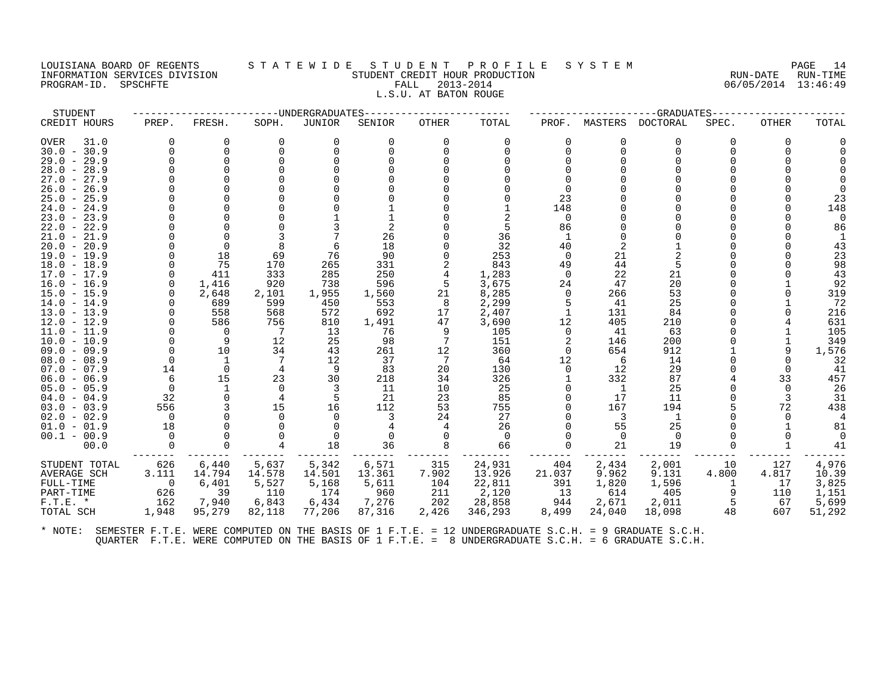#### LOUISIANA BOARD OF REGENTS STATEWIDE STUDENT PROFILE SYSTEM NAGE 14 INFORMATION SERVICES DIVISION SUN-TIME STUDENT CREDIT HOUR PRODUCTION SUNGLE RUN-DATE RUN-TIME<br>PROGRAM-ID. SPSCHFTE SERVITE SERVICES SUNGLESS SUNGLESS FALL 2013-2014 2019 PROGRAM-ID. SPSCHFTE FALL 2013-2014 L.S.U. AT BATON ROUGE

| STUDENT             |          |          |        | -UNDERGRADUATES |        |              |          |          |          | -GRADUATES |       |              |        |
|---------------------|----------|----------|--------|-----------------|--------|--------------|----------|----------|----------|------------|-------|--------------|--------|
| CREDIT HOURS        | PREP.    | FRESH.   | SOPH.  | JUNIOR          | SENIOR | <b>OTHER</b> | TOTAL    | PROF.    | MASTERS  | DOCTORAL   | SPEC. | <b>OTHER</b> | TOTAL  |
| <b>OVER</b><br>31.0 | $\Omega$ | O        | 0      |                 |        |              | $\Omega$ | O        | O        | 0          | 0     | <sup>0</sup> |        |
| $30.0 - 30.9$       | U        | $\Omega$ |        |                 |        |              |          |          | $\cap$   | ∩          |       |              |        |
| $29.0 - 29.9$       |          |          |        |                 |        |              |          |          |          |            |       |              |        |
| $28.0 - 28.9$       |          |          |        |                 |        |              |          |          |          |            |       |              |        |
| $27.0 - 27.9$       |          |          |        |                 |        |              |          |          |          |            |       |              |        |
| $26.0 -$<br>26.9    |          |          |        |                 |        |              |          |          |          |            |       |              |        |
| $25.0 - 25.9$       |          |          |        |                 |        |              |          | 23       |          |            |       |              | 23     |
| $24.0 - 24.9$       |          |          |        |                 |        |              |          | 148      |          |            |       |              | 148    |
| $23.0 - 23.9$       |          |          |        |                 |        |              |          | $\Omega$ |          |            |       |              |        |
| $22.0 - 22.9$       |          |          |        |                 |        |              |          | 86       |          |            |       |              | 86     |
| $21.0 - 21.9$       |          |          |        |                 | 26     |              | 36       |          |          |            |       |              |        |
| $20.0 - 20.9$       |          |          |        |                 | 18     |              | 32       | 40       |          |            |       |              | 43     |
| $19.0 - 19.9$       |          | 18       | 69     | 76              | 90     |              | 253      | $\Omega$ | 21       |            |       |              | 23     |
| $18.0 - 18.9$       |          | 75       | 170    | 265             | 331    |              | 843      | 49       | 44       |            |       |              | 98     |
| $17.0 - 17.9$       | $\Omega$ | 411      | 333    | 285             | 250    |              | 1,283    | $\Omega$ | 22       | 21         |       |              | 43     |
| $16.0 - 16.9$       | $\Omega$ | 1,416    | 920    | 738             | 596    | 5            | 3,675    | 24       | 47       | 20         |       |              | 92     |
| $15.0 - 15.9$       |          | 2,648    | 2,101  | 1,955           | 1,560  | 21           | 8,285    | $\Omega$ | 266      | 53         |       |              | 319    |
| $14.0 - 14.9$       |          | 689      | 599    | 450             | 553    | 8            | 2,299    | 5        | 41       | 25         |       |              | 72     |
| $13.0 - 13.9$       |          | 558      | 568    | 572             | 692    | 17           | 2,407    |          | 131      | 84         |       |              | 216    |
| $12.0 - 12.9$       |          | 586      | 756    | 810             | 1,491  | 47           | 3,690    | 12       | 405      | 210        |       |              | 631    |
| 11.0 - 11.9         |          | $\Omega$ | 7      | 13              | 76     |              | 105      | $\Omega$ | 41       | 63         |       |              | 105    |
| $10.0 - 10.9$       |          | 9        | 12     | 25              | 98     |              | 151      | 2        | 146      | 200        |       |              | 349    |
| $09.0 - 09.9$       |          | 10       | 34     | 43              | 261    | 12           | 360      | $\Omega$ | 654      | 912        |       |              | 1,576  |
| $08.0 - 08.9$       |          |          |        | 12              | 37     |              | 64       | 12       | 6        | 14         |       |              | 32     |
| $07.0 - 07.9$       | 14       | $\Omega$ |        |                 | 83     | 20           | 130      | $\Omega$ | 12       | 29         |       |              | 41     |
| $06.0 - 06.9$       | 6        | 15       | 23     | 30              | 218    | 34           | 326      |          | 332      | 87         |       | 33           | 457    |
| $05.0 - 05.9$       |          |          |        |                 | 11     | 10           | 25       |          |          | 25         |       |              | 26     |
| $04.0 - 04.9$       | 32       | $\Omega$ |        |                 | 21     | 23           | 85       |          | 17       | 11         |       | 3            | 31     |
| $03.0 - 03.9$       | 556      |          | 15     | 16              | 112    | 53           | 755      |          | 167      | 194        |       | 72           | 438    |
| $02.0 - 02.9$       | $\Omega$ |          |        |                 | 3      | 24           | 27       |          | 3        | 1          |       |              |        |
| $01.0 - 01.9$       | 18       |          |        |                 |        |              | 26       |          | 55       | 25         |       |              | 81     |
| $00.1 - 00.9$       | $\Omega$ |          |        |                 |        |              | $\Omega$ | 0        | $\Omega$ | $\Omega$   |       |              |        |
| 00.0                |          |          |        | 18              | 36     |              | 66       |          | 21       | 19         |       |              | 41     |
|                     |          |          |        |                 |        |              |          |          |          |            |       |              |        |
| STUDENT TOTAL       | 626      | 6,440    | 5,637  | 5,342           | 6,571  | 315          | 24,931   | 404      | 2,434    | 2,001      | 10    | 127          | 4,976  |
| AVERAGE SCH         | 3.111    | 14.794   | 14.578 | 14.501          | 13.361 | 7.902        | 13.926   | 21.037   | 9.962    | 9.131      | 4.800 | 4.817        | 10.39  |
| FULL-TIME           | 0        | 6,401    | 5,527  | 5,168           | 5,611  | 104          | 22,811   | 391      | 1,820    | 1,596      |       | 17           | 3,825  |
| PART-TIME           | 626      | 39       | 110    | 174             | 960    | 211          | 2,120    | 13       | 614      | 405        | 9     | 110          | 1,151  |
| $F.T.E. *$          | 162      | 7,940    | 6,843  | 6,434           | 7,276  | 202          | 28,858   | 944      | 2,671    | 2,011      |       | 67           | 5,699  |
| TOTAL SCH           | 1,948    | 95,279   | 82,118 | 77,206          | 87,316 | 2,426        | 346,293  | 8,499    | 24,040   | 18,098     | 48    | 607          | 51,292 |
|                     |          |          |        |                 |        |              |          |          |          |            |       |              |        |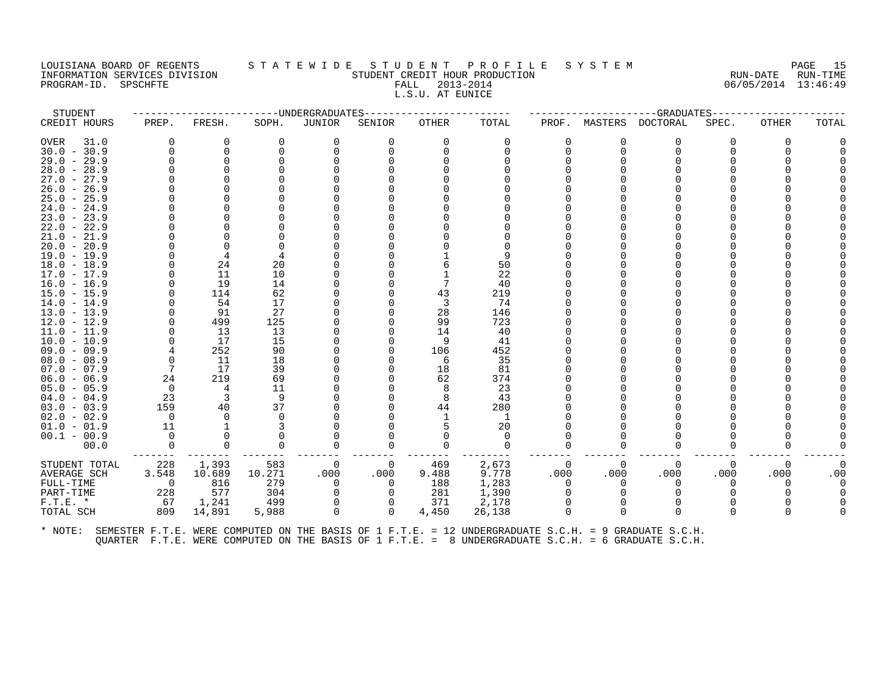# LOUISIANA BOARD OF REGENTS STATEWIDE STUDENT PROFILE SYSTEM NAGE 15 INFORMATION SERVICES DIVISION SUN-TIME STUDENT CREDIT HOUR PRODUCTION SUNGLE RUN-DATE RUN-TIME<br>PROGRAM-ID. SPSCHFTE SERVITE SERVICES SUNGLESS SUNGLESS FALL 2013-2014 2019 PROGRAM-ID. SPSCHFTE FALL 2013-2014 L.S.U. AT EUNICE

| STUDENT                        |                |                 |          | ----------------------DNDERGRADUATES |           | -------------- |                |           |          | ------------------GRADUATES----- |           |              |       |
|--------------------------------|----------------|-----------------|----------|--------------------------------------|-----------|----------------|----------------|-----------|----------|----------------------------------|-----------|--------------|-------|
| CREDIT HOURS                   | PREP.          | FRESH.          | SOPH.    | JUNIOR                               | SENIOR    | OTHER          | TOTAL          | PROF.     | MASTERS  | DOCTORAL                         | SPEC.     | <b>OTHER</b> | TOTAL |
| OVER<br>31.0                   | $\Omega$       | 0               | 0        | $\Omega$                             | 0         | $\Omega$       | 0              | $\Omega$  | 0        | $\Omega$                         | 0         | $\Omega$     |       |
| $30.0 - 30.9$                  | $\Omega$       | $\Omega$        |          |                                      |           |                |                | 0         | $\Omega$ | $\Omega$                         |           |              |       |
| $29.0 - 29.9$                  | $\Omega$       | $\Omega$        |          |                                      |           |                |                |           |          |                                  |           |              |       |
| $28.0 - 28.9$                  |                |                 |          |                                      |           |                |                |           |          |                                  |           |              |       |
| $27.0 - 27.9$                  |                |                 |          |                                      |           |                |                |           |          |                                  |           |              |       |
| $26.0 - 26.9$                  |                |                 |          |                                      |           |                |                |           |          |                                  |           |              |       |
| $25.0 - 25.9$                  |                |                 |          |                                      |           |                |                |           |          |                                  |           |              |       |
| $24.0 - 24.9$                  |                |                 |          |                                      |           |                |                |           |          |                                  |           |              |       |
| $23.0 - 23.9$                  |                |                 |          |                                      |           |                |                |           |          |                                  |           |              |       |
| $22.0 - 22.9$                  |                |                 |          |                                      |           |                |                |           |          |                                  |           |              |       |
| $21.0 - 21.9$                  |                |                 |          |                                      |           |                |                |           |          |                                  |           |              |       |
| $20.0 - 20.9$                  |                |                 |          |                                      |           |                |                |           |          |                                  |           |              |       |
| $19.0 - 19.9$                  | 0              |                 |          |                                      |           |                | 9              |           |          |                                  |           |              |       |
| $18.0 - 18.9$                  | $\Omega$       | 24              | 20       |                                      |           |                | 50             |           |          |                                  |           |              |       |
| $17.0 - 17.9$                  | 0              | 11              | 10       |                                      |           |                | 22             |           |          |                                  |           |              |       |
| $16.0 - 16.9$                  | $\Omega$       | 19              | 14       |                                      |           |                | 40             |           |          |                                  |           |              |       |
| $15.0 - 15.9$                  | $\Omega$       | 114             | 62       |                                      |           | 43             | 219            |           |          |                                  |           |              |       |
| $14.0 - 14.9$                  | $\Omega$       | 54              | 17       |                                      |           | 3              | 74             |           |          |                                  |           |              |       |
| $13.0 - 13.9$                  | $\Omega$       | 91              | 27       |                                      |           | 28             | 146            |           |          |                                  |           |              |       |
| $12.0 - 12.9$                  | $\Omega$       | 499             | 125      |                                      |           | 99             | 723            |           |          |                                  |           |              |       |
| 11.0 - 11.9                    |                | 13              | 13       |                                      |           | 14             | 40             |           |          |                                  |           |              |       |
| $10.0 - 10.9$                  |                | 17              | 15       |                                      |           |                | 41             |           |          |                                  |           |              |       |
| $09.0 - 09.9$                  | 4              | 252             | 90       |                                      |           | 106            | 452            |           |          |                                  |           |              |       |
| $08.0 - 08.9$                  | $\Omega$<br>7  | 11              | 18       |                                      |           | -6             | 35             |           |          |                                  |           |              |       |
| $07.0 - 07.9$                  | 24             | 17<br>219       | 39<br>69 |                                      |           | 18<br>62       | 81<br>374      |           |          |                                  |           |              |       |
| $06.0 - 06.9$<br>$05.0 - 05.9$ | $\overline{0}$ | 4               | 11       |                                      |           |                | 23             |           |          |                                  |           |              |       |
| $04.0 - 04.9$                  | 23             | 3               | -9       |                                      |           |                | 43             |           |          |                                  |           |              |       |
| $03.0 - 03.9$                  | 159            | 40              | 37       |                                      |           | 44             | 280            |           |          |                                  |           |              |       |
| $02.0 - 02.9$                  | $\overline{0}$ | $\Omega$        |          |                                      |           |                | -1             |           |          |                                  |           |              |       |
| $01.0 - 01.9$                  | 11             |                 |          |                                      |           |                | 20             |           |          |                                  |           |              |       |
| $00.1 - 00.9$                  | $\Omega$       |                 |          |                                      |           |                | $\Omega$       |           |          |                                  |           |              |       |
| 00.0                           | $\Omega$       | $\Omega$        | $\Omega$ |                                      |           |                | $\Omega$       | 0         | O        | $\Omega$                         |           |              |       |
|                                |                |                 | 583      |                                      |           |                |                |           | $\Omega$ |                                  |           |              |       |
| STUDENT TOTAL<br>AVERAGE SCH   | 228<br>3.548   | 1,393<br>10.689 | 10.271   | - 0<br>.000                          | 0<br>.000 | 469<br>9.488   | 2,673<br>9.778 | 0<br>.000 | .000     | 0<br>.000                        | 0<br>.000 | 0<br>.000    | .00   |
| FULL-TIME                      | $\overline{0}$ | 816             | 279      | 0                                    | 0         | 188            | 1,283          | 0         | O        | 0                                |           |              |       |
| PART-TIME                      | 228            | 577             | 304      | $\Omega$                             | $\Omega$  | 281            | 1,390          | $\Omega$  |          | $\Omega$                         |           |              |       |
| $F.T.E. *$                     | 67             | 1,241           | 499      |                                      |           | 371            | 2,178          |           |          |                                  |           |              |       |
| TOTAL SCH                      | 809            | 14,891          | 5,988    | $\Omega$                             | $\Omega$  | 4,450          | 26,138         | $\Omega$  | $\Omega$ | $\Omega$                         | 0         |              |       |
|                                |                |                 |          |                                      |           |                |                |           |          |                                  |           |              |       |
|                                |                |                 |          |                                      |           |                |                |           |          |                                  |           |              |       |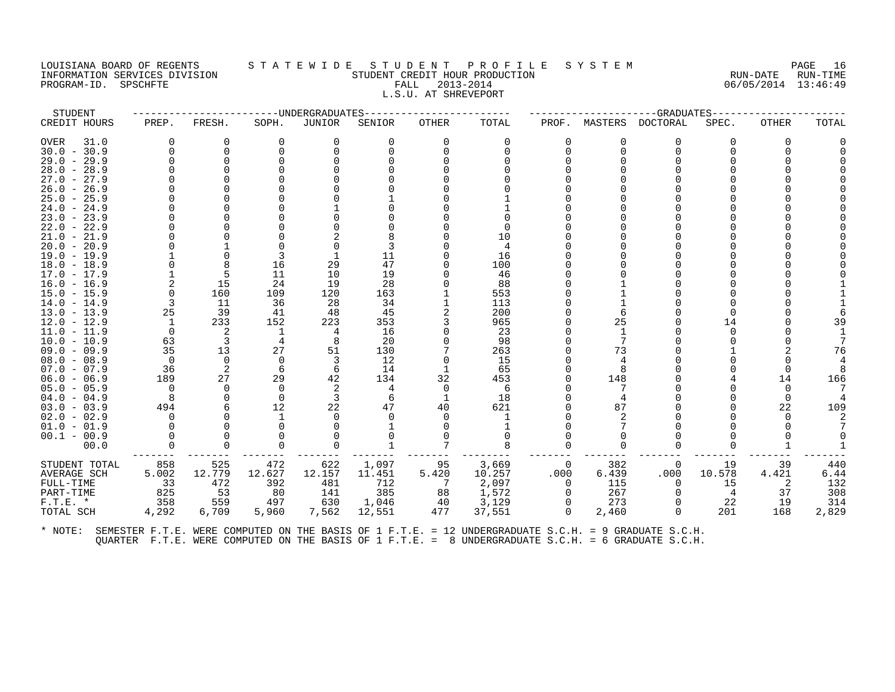# LOUISIANA BOARD OF REGENTS STATEWIDE STUDENT PROFILE SYSTEM PAGE 16<br>INFORMATION SERVICES DIVISION STUDENT CREDIT HOUR PRODUCTION PRODUCTION INFORMATION SERVICES DIVISION STUDENT CREDIT HOUR PRODUCTION RUN-DATE RUN-TIME PROGRAM-ID. SPSCHFTE FALL 2013-2014 06/05/2014 13:46:49 L.S.U. AT SHREVEPORT

| STUDENT                        |          |           | --------------UNDERGRADUATES |          |          |          |            |          |         | -GRADUATES- |          |       |       |
|--------------------------------|----------|-----------|------------------------------|----------|----------|----------|------------|----------|---------|-------------|----------|-------|-------|
| CREDIT HOURS                   | PREP.    | FRESH.    | SOPH.                        | JUNIOR   | SENIOR   | OTHER    | TOTAL      | PROF.    | MASTERS | DOCTORAL    | SPEC.    | OTHER | TOTAL |
| <b>OVER</b><br>31.0            |          | $\Omega$  | $\Omega$                     | $\Omega$ | 0        | $\Omega$ | 0          | O        |         | $\Omega$    | $\Omega$ | O     |       |
| $30.0 - 30.9$                  |          | $\Omega$  |                              | $\Omega$ |          |          |            |          |         |             |          |       |       |
| $29.0 - 29.9$                  |          | $\Omega$  |                              |          |          |          |            |          |         |             |          |       |       |
| $28.0 - 28.9$                  |          |           |                              |          |          |          |            |          |         |             |          |       |       |
| $27.0 - 27.9$                  |          |           |                              |          |          |          |            |          |         |             |          |       |       |
| $26.0 - 26.9$                  |          |           |                              |          |          |          |            |          |         |             |          |       |       |
| $25.0 - 25.9$                  |          |           |                              |          |          |          |            |          |         |             |          |       |       |
| $24.0 - 24.9$                  |          |           |                              |          |          |          |            |          |         |             |          |       |       |
| $23.0 - 23.9$                  |          |           |                              |          |          |          |            |          |         |             |          |       |       |
| $22.0 - 22.9$                  |          |           |                              |          |          |          |            |          |         |             |          |       |       |
| $21.0 - 21.9$                  |          |           |                              |          |          |          | 10         |          |         |             |          |       |       |
| $20.0 - 20.9$                  |          |           |                              |          |          |          |            |          |         |             |          |       |       |
| $19.0 - 19.9$                  |          | $\Omega$  |                              |          | 11       |          | 16         |          |         |             |          |       |       |
| $18.0 - 18.9$                  |          | 8         | 16                           | 29       | 47       |          | 100        |          |         |             |          |       |       |
| $17.0 - 17.9$                  |          | 5         | 11                           | 10       | 19       |          | 46         |          |         |             |          |       |       |
| $16.0 - 16.9$                  |          | 15        | 24                           | 19       | 28       |          | 88         |          |         |             |          |       |       |
| $15.0 - 15.9$                  | 3        | 160<br>11 | 109                          | 120      | 163      |          | 553        |          |         |             |          |       |       |
| $14.0 - 14.9$<br>$13.0 - 13.9$ | 25       | 39        | 36                           | 28<br>48 | 34<br>45 |          | 113<br>200 |          |         |             |          |       |       |
|                                | -1       | 233       | 41<br>152                    | 223      | 353      |          | 965        |          | 25      |             | 14       |       | 39    |
| $12.0 - 12.9$<br>$11.0 - 11.9$ | $\Omega$ | 2         | 1                            | 4        | 16       |          | 23         |          |         |             |          |       |       |
| $10.0 - 10.9$                  | 63       | 3         |                              | 8        | 20       |          | 98         |          |         |             |          |       |       |
| $09.0 - 09.9$                  | 35       | 13        | 27                           | 51       | 130      |          | 263        |          | 73      |             |          |       | 76    |
| $08.0 - 08.9$                  | $\Omega$ | $\Omega$  | $\Omega$                     | 3        | 12       |          | 15         |          |         |             |          |       |       |
| $07.0 - 07.9$                  | 36       | -2        | 6                            | 6        | 14       |          | 65         |          |         |             |          |       |       |
| $06.0 - 06.9$                  | 189      | 27        | 29                           | 42       | 134      | 32       | 453        |          | 148     |             |          | 14    | 166   |
| $05.0 - 05.9$                  | $\Omega$ | $\Omega$  | $\Omega$                     | 2        | 4        | $\Omega$ | 6          |          |         |             |          |       |       |
| $04.0 - 04.9$                  | 8        | $\Omega$  | $\Omega$                     | 3        | 6        | 1        | 18         |          |         |             |          |       |       |
| $03.0 - 03.9$                  | 494      |           | 12                           | 22       | 47       | 40       | 621        |          | 87      |             |          | 22    | 109   |
| $02.0 - 02.9$                  | $\Omega$ |           |                              | $\Omega$ |          |          |            |          |         |             |          |       |       |
| $01.0 - 01.9$                  |          |           |                              |          |          |          |            |          |         |             |          |       |       |
| $00.1 - 00.9$                  |          |           |                              |          |          |          |            |          |         |             |          |       |       |
| 00.0                           |          | $\Omega$  |                              |          |          |          |            |          |         |             |          |       |       |
| STUDENT TOTAL                  | 858      | 525       | 472                          | 622      | 1,097    | 95       | 3,669      | $\Omega$ | 382     | 0           | 19       | 39    | 440   |
| <b>AVERAGE SCH</b>             | 5.002    | 12.779    | 12.627                       | 12.157   | 11.451   | 5.420    | 10.257     | .000     | 6.439   | .000        | 10.578   | 4.421 | 6.44  |
| FULL-TIME                      | 33       | 472       | 392                          | 481      | 712      | - 7      | 2,097      | $\Omega$ | 115     | $\Omega$    | 15       | 2     | 132   |
| PART-TIME                      | 825      | 53        | 80                           | 141      | 385      | 88       | 1,572      | $\Omega$ | 267     | $\Omega$    | 4        | 37    | 308   |
| $F.T.E. *$                     | 358      | 559       | 497                          | 630      | 1,046    | 40       | 3,129      | $\Omega$ | 273     | $\Omega$    | 22       | 19    | 314   |
| TOTAL SCH                      | 4,292    | 6,709     | 5,960                        | 7,562    | 12,551   | 477      | 37,551     | $\Omega$ | 2,460   | $\Omega$    | 201      | 168   | 2,829 |
|                                |          |           |                              |          |          |          |            |          |         |             |          |       |       |
|                                |          |           |                              |          |          |          |            |          |         |             |          |       |       |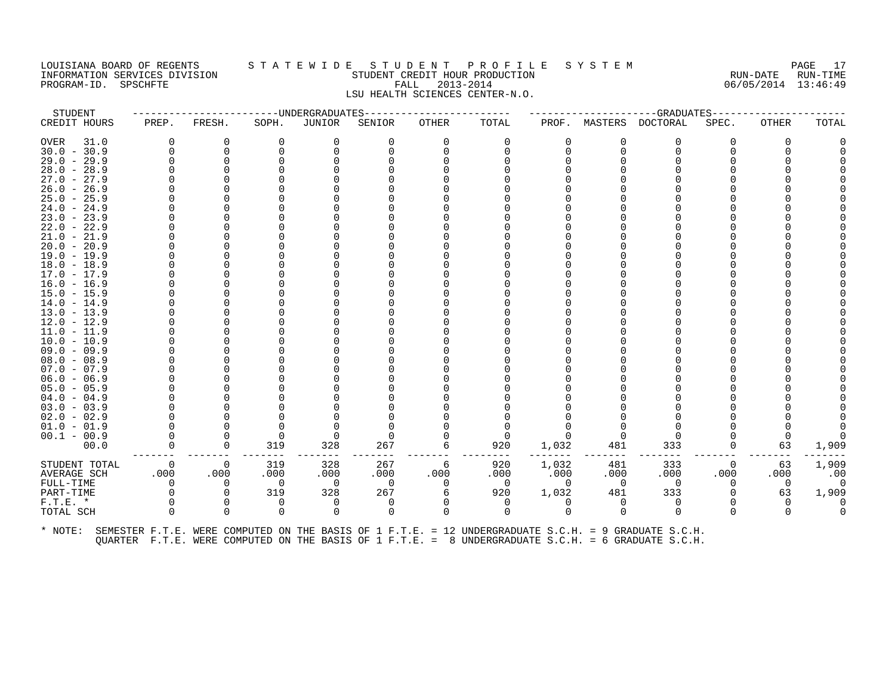#### LOUISIANA BOARD OF REGENTS S T A T E W I D E S T U D E N T P R O F I L E S Y S T E M PAGE 17 INFORMATION SERVICES DIVISION STUDENT CREDIT HOUR PRODUCTION RUN-DATE RUN-TIME PROGRAM-ID. SPSCHFTE FALL 2013-2014 06/05/2014 13:46:49 LSU HEALTH SCIENCES CENTER-N.O.

| STUDENT                                                                                                      |              | -----------------------DNDERGRADUATES |                |                          |          | ----------------------- |                          |                |                | ------------------GRADUATES------------- |          |                |                          |
|--------------------------------------------------------------------------------------------------------------|--------------|---------------------------------------|----------------|--------------------------|----------|-------------------------|--------------------------|----------------|----------------|------------------------------------------|----------|----------------|--------------------------|
| CREDIT HOURS                                                                                                 | PREP.        | FRESH.                                | SOPH.          | JUNIOR                   | SENIOR   | OTHER                   | TOTAL                    | PROF.          |                | MASTERS DOCTORAL                         | SPEC.    | <b>OTHER</b>   | TOTAL                    |
| OVER<br>31.0                                                                                                 | 0            | 0                                     | 0              | 0                        | 0        | 0                       | 0                        | 0              |                | 0                                        | 0        | 0              |                          |
| $30.0 - 30.9$                                                                                                | $\Omega$     | 0                                     |                | 0                        |          |                         |                          | 0              | $\Omega$       | $\Omega$                                 |          |                |                          |
| $29.0 - 29.9$                                                                                                |              |                                       |                |                          |          |                         |                          |                |                |                                          |          |                |                          |
| $28.0 - 28.9$                                                                                                |              |                                       |                |                          |          |                         |                          |                |                |                                          |          |                |                          |
| $27.0 - 27.9$                                                                                                |              |                                       |                |                          |          |                         |                          |                |                |                                          |          |                |                          |
| $26.0 - 26.9$                                                                                                |              |                                       |                |                          |          |                         |                          |                |                |                                          |          |                |                          |
| $25.0 - 25.9$                                                                                                |              |                                       |                |                          |          |                         |                          |                |                |                                          |          |                |                          |
| $24.0 - 24.9$                                                                                                |              |                                       |                |                          |          |                         |                          |                |                |                                          |          |                |                          |
| $23.0 - 23.9$                                                                                                |              |                                       |                |                          |          |                         |                          |                |                |                                          |          |                |                          |
| $22.0 - 22.9$                                                                                                |              |                                       |                |                          |          |                         |                          |                |                |                                          |          |                |                          |
| $21.0 - 21.9$                                                                                                |              |                                       |                |                          |          |                         |                          |                |                |                                          |          |                |                          |
| $20.0 - 20.9$                                                                                                |              |                                       |                |                          |          |                         |                          |                |                |                                          |          |                |                          |
| $19.0 - 19.9$                                                                                                |              |                                       |                |                          |          |                         |                          |                |                |                                          |          |                |                          |
| $18.0 - 18.9$                                                                                                |              |                                       |                |                          |          |                         |                          |                |                |                                          |          |                |                          |
| $17.0 - 17.9$                                                                                                |              |                                       |                |                          |          |                         |                          |                |                |                                          |          |                |                          |
| $16.0 - 16.9$                                                                                                |              |                                       |                |                          |          |                         |                          |                |                |                                          |          |                |                          |
| 15.0 - 15.9                                                                                                  |              |                                       |                |                          |          |                         |                          |                |                |                                          |          |                |                          |
| $14.0 - 14.9$                                                                                                |              |                                       |                |                          |          |                         |                          |                |                |                                          |          |                |                          |
| $13.0 - 13.9$                                                                                                |              |                                       |                |                          |          |                         |                          |                |                |                                          |          |                |                          |
| 12.0 - 12.9                                                                                                  |              |                                       |                |                          |          |                         |                          |                |                |                                          |          |                |                          |
| $11.0 - 11.9$                                                                                                |              |                                       |                |                          |          |                         |                          |                |                |                                          |          |                |                          |
| $10.0 - 10.9$                                                                                                |              |                                       |                |                          |          |                         |                          |                |                |                                          |          |                |                          |
| $09.0 - 09.9$                                                                                                |              |                                       |                |                          |          |                         |                          |                |                |                                          |          |                |                          |
| $08.0 - 08.9$                                                                                                |              |                                       |                |                          |          |                         |                          |                |                |                                          |          |                |                          |
| $07.0 - 07.9$                                                                                                |              |                                       |                |                          |          |                         |                          |                |                |                                          |          |                |                          |
| $06.0 - 06.9$                                                                                                |              |                                       |                |                          |          |                         |                          |                |                |                                          |          |                |                          |
| $05.0 - 05.9$                                                                                                |              |                                       |                |                          |          |                         |                          |                |                |                                          |          |                |                          |
| $04.0 - 04.9$                                                                                                |              |                                       |                |                          |          |                         |                          |                |                |                                          |          |                |                          |
| $03.0 - 03.9$                                                                                                |              |                                       |                |                          |          |                         |                          |                |                |                                          |          |                |                          |
| $02.0 - 02.9$                                                                                                |              |                                       |                |                          |          |                         |                          |                |                |                                          |          |                |                          |
| $01.0 - 01.9$                                                                                                |              |                                       |                |                          |          |                         |                          |                |                |                                          |          |                |                          |
| $00.1 - 00.9$                                                                                                |              |                                       | - 0            | $\Omega$                 |          |                         | $\Omega$                 |                |                |                                          |          |                |                          |
| 00.0                                                                                                         |              | 0                                     | 319            | 328                      | 267      | 6                       | 920                      | 1,032          | 481            | 333                                      | 0        | 63             | 1,909                    |
| STUDENT TOTAL                                                                                                | $\Omega$     | $\Omega$                              | 319            | 328                      | 267      | 6                       | 920                      | 1,032          | 481            | 333                                      | 0        | 63             | 1,909                    |
| AVERAGE SCH                                                                                                  | .000         | .000                                  | .000           | .000                     | .000     | .000                    | .000                     | .000           | .000           | .000                                     | .000     | .000           | .00                      |
| FULL-TIME                                                                                                    | $\Omega$     | $\Omega$                              | $\overline{0}$ | $\overline{\phantom{0}}$ | $\Omega$ | $\Omega$                | $\overline{\phantom{0}}$ | $\overline{0}$ | $\overline{0}$ | $\overline{0}$                           | $\Omega$ | $\overline{0}$ | $\overline{\phantom{0}}$ |
| PART-TIME                                                                                                    |              | $\Omega$                              | 319            | 328                      | 267      | 6                       | 920                      | 1,032          | 481            | 333                                      |          | 63             | 1,909                    |
| $F.T.E. *$                                                                                                   |              | $\Omega$                              | 0              | 0                        | 0        | 0                       | 0                        | 0              | $\Omega$       | 0                                        |          | $\Omega$       | 0                        |
| TOTAL SCH                                                                                                    | <sup>n</sup> | $\Omega$                              | $\Omega$       | $\Omega$                 | $\Omega$ | $\Omega$                | $\Omega$                 | $\Omega$       | $\Omega$       | $\Omega$                                 |          | <sup>n</sup>   | $\Omega$                 |
| * NOTE: SEMESTER F.T.E. WERE COMPUTED ON THE BASIS OF 1 F.T.E. = 12 UNDERGRADUATE S.C.H. = 9 GRADUATE S.C.H. |              |                                       |                |                          |          |                         |                          |                |                |                                          |          |                |                          |

QUARTER F.T.E. WERE COMPUTED ON THE BASIS OF 1 F.T.E. = 8 UNDERGRADUATE S.C.H. = 6 GRADUATE S.C.H.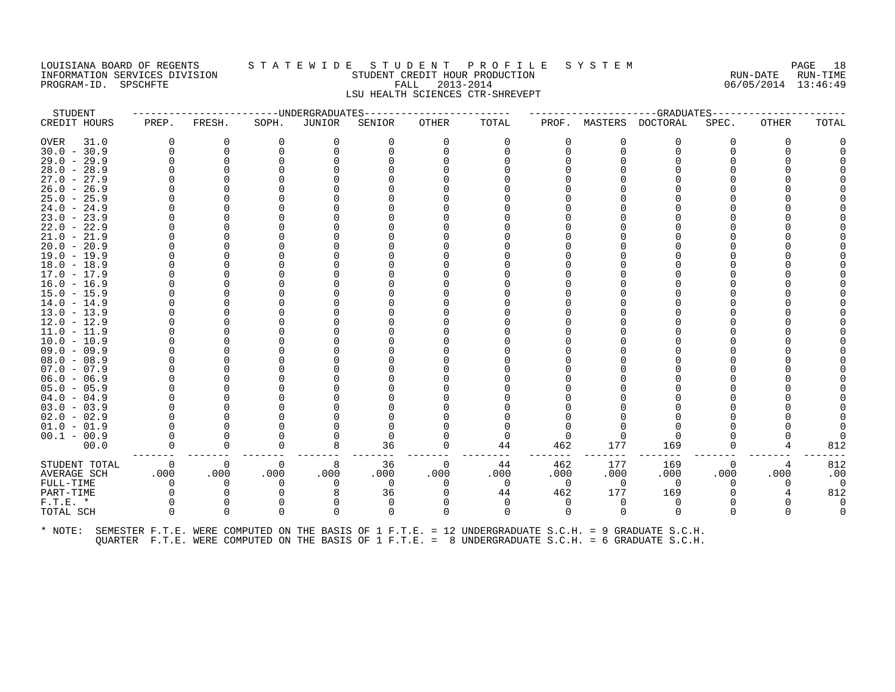# LOUISIANA BOARD OF REGENTS STATEWIDE STUDENT PROFILE SYSTEM PAGE 18<br>INFORMATION SERVICES DIVISION STUDENT CREDIT HOUR PRODUCTION PRODUCTION CERTAINE RUN-DATE RUN-TIME INFORMATION SERVICES DIVISION STUDENT CREDIT HOUR PRODUCTION RUN-DATE RUN-TIME PROGRAM-ID. SPSCHFTE FALL 2013-2014 06/05/2014 13:46:49 LSU HEALTH SCIENCES CTR-SHREVEPT

STUDENT ------------------------UNDERGRADUATES------------------------ ---------------------GRADUATES---------------------- CREDIT HOURS PREP. FRESH. SOPH. JUNIOR SENIOR OTHER TOTAL PROF. MASTERS DOCTORAL SPEC. OTHER TOTAL OVER 31.0 0 0 0 0 0 0 0 0 0 0 0 0 0 30.0 - 30.9 0 0 0 0 0 0 0 0 0 0 0 0 0 29.0 - 29.9 0 0 0 0 0 0 0 0 0 0 0 0 0 28.0 - 28.9 0 0 0 0 0 0 0 0 0 0 0 0 0 27.0 - 27.9 0 0 0 0 0 0 0 0 0 0 0 0 0 26.0 - 26.9 0 0 0 0 0 0 0 0 0 0 0 0 0 25.0 - 25.9 0 0 0 0 0 0 0 0 0 0 0 0 0 24.0 - 24.9 0 0 0 0 0 0 0 0 0 0 0 0 0 23.0 - 23.9 0 0 0 0 0 0 0 0 0 0 0 0 0 22.0 - 22.9 0 0 0 0 0 0 0 0 0 0 0 0 0 21.0 - 21.9 0 0 0 0 0 0 0 0 0 0 0 0 0 20.0 - 20.9 0 0 0 0 0 0 0 0 0 0 0 0 0 19.0 - 19.9 0 0 0 0 0 0 0 0 0 0 0 0 0 18.0 - 18.9 0 0 0 0 0 0 0 0 0 0 0 0 0 17.0 - 17.9 0 0 0 0 0 0 0 0 0 0 0 0 0 16.0 - 16.9 0 0 0 0 0 0 0 0 0 0 0 0 0 15.0 - 15.9 0 0 0 0 0 0 0 0 0 0 0 0 0 14.0 - 14.9 0 0 0 0 0 0 0 0 0 0 0 0 0 13.0 - 13.9 0 0 0 0 0 0 0 0 0 0 0 0 0 12.0 - 12.9 0 0 0 0 0 0 0 0 0 0 0 0 0 11.0 - 11.9 0 0 0 0 0 0 0 0 0 0 0 0 0 10.0 - 10.9 0 0 0 0 0 0 0 0 0 0 0 0 0 09.0 - 09.9 0 0 0 0 0 0 0 0 0 0 0 0 0 08.0 - 08.9 0 0 0 0 0 0 0 0 0 0 0 0 0 07.0 - 07.9 0 0 0 0 0 0 0 0 0 0 0 0 0 06.0 - 06.9 0 0 0 0 0 0 0 0 0 0 0 0 0 05.0 - 05.9 0 0 0 0 0 0 0 0 0 0 0 0 0 04.0 - 04.9 0 0 0 0 0 0 0 0 0 0 0 0 0 03.0 - 03.9 0 0 0 0 0 0 0 0 0 0 0 0 0 02.0 - 02.9 0 0 0 0 0 0 0 0 0 0 0 0 0 01.0 - 01.9 0 0 0 0 0 0 0 0 0 0 0 0 0 00.1 - 00.9 0 0 0 0 0 0 0 0 0 0 0 0 0 00.0 0 0 0 8 36 0 44 462 177 169 0 4 812 ------- ------- ------- ------- ------- ------- -------- ------- ------- ------- ------- ------- ------- STUDENT TOTAL 0 0 0 8 36 0 44 462 177 169 0 4 812 AVERAGE SCH .000 .000 .000 .000 .000 .000 .000 .000 .000 .000 .000 .000 .00 FULL-TIME 0 0 0 0 0 0 0 0 0 0 0 0 0 PART-TIME 0 0 0 8 36 0 44 462 177 169 0 4 812 F.T.E. \* 0 0 0 0 0 0 0 0 0 0 0 0 0 TOTAL SCH 0 0 0 0 0 0 0 0 0 0 0 0 0 \* NOTE: SEMESTER F.T.E. WERE COMPUTED ON THE BASIS OF 1 F.T.E. = 12 UNDERGRADUATE S.C.H. = 9 GRADUATE S.C.H.

QUARTER F.T.E. WERE COMPUTED ON THE BASIS OF 1 F.T.E. = 8 UNDERGRADUATE S.C.H. = 6 GRADUATE S.C.H.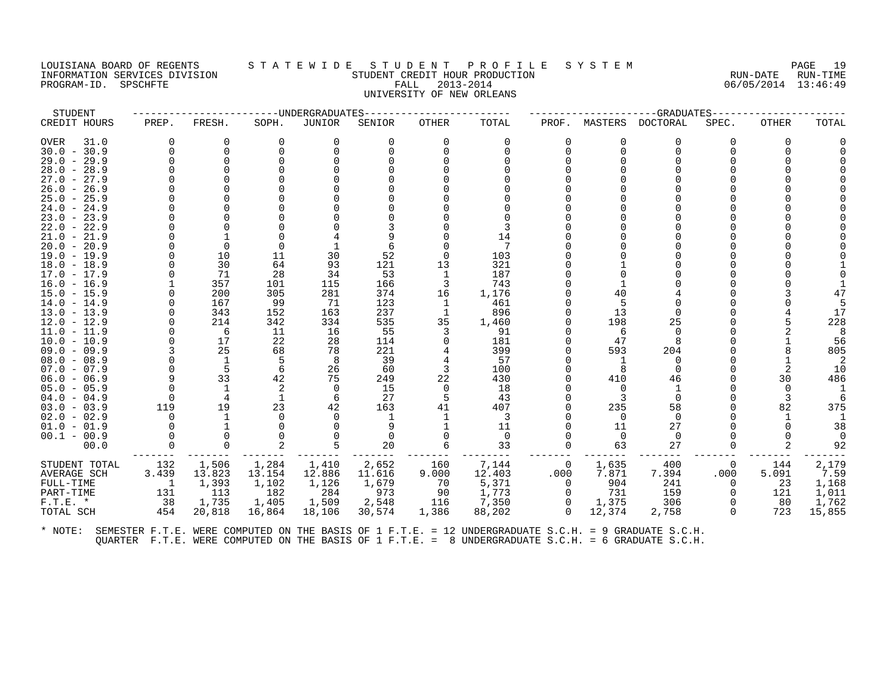#### LOUISIANA BOARD OF REGENTS S T A T E W I D E S T U D E N T P R O F I L E S Y S T E M PAGE 19 INFORMATION SERVICES DIVISION SUN-TIME STUDENT CREDIT HOUR PRODUCTION SUNGLE RUN-DATE RUN-TIME<br>PROGRAM-ID. SPSCHFTE SERVITE SERVICES SUNGLESS SUNGLESS FALL 2013-2014 2019 PROGRAM-ID. SPSCHFTE FALL 2013-2014 UNIVERSITY OF NEW ORLEANS

| STUDENT                        |                |              |           | -------------UNDERGRADUATES |            |          |              |                |          | --GRADUATES- |          |              |        |
|--------------------------------|----------------|--------------|-----------|-----------------------------|------------|----------|--------------|----------------|----------|--------------|----------|--------------|--------|
| CREDIT HOURS                   | PREP.          | FRESH.       | SOPH.     | JUNIOR                      | SENIOR     | OTHER    | TOTAL        | PROF.          | MASTERS  | DOCTORAL     | SPEC.    | <b>OTHER</b> | TOTAL  |
| OVER<br>31.0                   | $\Omega$       | $\Omega$     | $\Omega$  | O                           | 0          | $\Omega$ | $\Omega$     | $\Omega$       | O        | $\Omega$     | 0        | $\Omega$     |        |
| $30.0 - 30.9$                  | $\Omega$       | $\Omega$     |           |                             |            |          |              | <sup>n</sup>   | $\Omega$ | ∩            |          |              |        |
| $29.0 - 29.9$                  |                | $\Omega$     |           |                             |            |          |              |                |          |              |          |              |        |
| $28.0 - 28.9$                  |                |              |           |                             |            |          |              |                |          |              |          |              |        |
| $27.0 - 27.9$                  |                |              |           |                             |            |          |              |                |          |              |          |              |        |
| $26.0 - 26.9$                  |                |              |           |                             |            |          |              |                |          |              |          |              |        |
| $25.0 - 25.9$                  |                |              |           |                             |            |          |              |                |          |              |          |              |        |
| $24.0 - 24.9$                  |                |              |           |                             |            |          |              |                |          |              |          |              |        |
| $23.0 - 23.9$                  |                |              |           |                             |            |          |              |                |          |              |          |              |        |
| $22.0 - 22.9$                  |                |              |           |                             |            |          |              |                |          |              |          |              |        |
| $21.0 - 21.9$                  |                |              |           |                             |            |          | 14           |                |          |              |          |              |        |
| $20.0 - 20.9$                  |                |              |           |                             |            |          |              |                |          |              |          |              |        |
| $19.0 - 19.9$                  |                | 10           | 11        | 30                          | 52         |          | 103          |                |          |              |          |              |        |
| $18.0 - 18.9$                  |                | 30           | 64        | 93                          | 121        | 13       | 321          |                |          |              |          |              |        |
| 17.0 - 17.9                    |                | 71           | 28        | 34                          | 53         |          | 187          |                |          |              |          |              |        |
| 16.0 - 16.9                    |                | 357          | 101       | 115                         | 166        |          | 743          |                |          |              |          |              |        |
| $15.0 - 15.9$                  |                | 200<br>167   | 305<br>99 | 281<br>71                   | 374        | 16       | 1,176<br>461 |                | 40       |              |          |              |        |
| $14.0 - 14.9$<br>$13.0 - 13.9$ |                | 343          | 152       | 163                         | 123<br>237 | 1        | 896          |                | 13       | $\Omega$     |          |              | 17     |
| $12.0 - 12.9$                  | $\Omega$       | 214          | 342       | 334                         | 535        | 35       | 1,460        |                | 198      | 25           |          |              | 228    |
| $11.0 - 11.9$                  | $\Omega$       | 6            | 11        | 16                          | 55         |          | 91           |                | 6        | $\Omega$     |          |              |        |
| $10.0 - 10.9$                  |                | 17           | 22        | 28                          | 114        |          | 181          |                | 47       | 8            |          |              | 56     |
| $09.0 - 09.9$                  |                | 25           | 68        | 78                          | 221        |          | 399          |                | 593      | 204          |          |              | 805    |
| $08.0 - 08.9$                  |                | -1           | 5         | 8                           | 39         |          | 57           |                |          | $\Omega$     |          |              |        |
| $07.0 - 07.9$                  | $\Omega$       | 5            | 6         | 26                          | 60         | 3        | 100          |                | 8        | $\Omega$     |          |              | 10     |
| $06.0 - 06.9$                  | 9              | 33           | 42        | 75                          | 249        | 22       | 430          |                | 410      | 46           |          | 30           | 486    |
| $05.0 - 05.9$                  | $\Omega$       | <sup>1</sup> | 2         | $\Omega$                    | 15         | $\Omega$ | 18           |                | $\Omega$ |              |          | $\Omega$     |        |
| $04.0 - 04.9$                  | 0              | 4            | -1        | 6                           | 27         |          | 43           |                |          | $\Omega$     |          |              |        |
| $03.0 - 03.9$                  | 119            | 19           | 23        | 42                          | 163        | 41       | 407          | U              | 235      | 58           |          | 82           | 375    |
| $02.0 - 02.9$                  |                |              | $\Omega$  |                             |            |          | 3            |                | $\Omega$ | $\Omega$     |          |              |        |
| $01.0 - 01.9$                  |                |              |           |                             |            |          | 11           | 0              | 11       | 27           |          |              | 38     |
| $00.1 - 00.9$                  |                |              |           |                             |            |          | $\Omega$     |                | $\Omega$ | $\Omega$     |          |              |        |
| 00.0                           | $\Omega$       | $\Omega$     |           | 5                           | 20         |          | 33           |                | 63       | 27           |          |              | 92     |
| STUDENT TOTAL                  | 132            | 1,506        | 1,284     | 1,410                       | 2,652      | 160      | 7,144        | $\overline{0}$ | 1,635    | 400          | 0        | 144          | 2,179  |
| AVERAGE SCH                    | 3.439          | 13.823       | 13.154    | 12.886                      | 11.616     | 9.000    | 12.403       | .000           | 7.871    | 7.394        | .000     | 5.091        | 7.59   |
| FULL-TIME                      | $\overline{1}$ | 1,393        | 1,102     | 1,126                       | 1,679      | 70       | 5,371        | $\Omega$       | 904      | 241          | 0        | 23           | 1,168  |
| PART-TIME                      | 131            | 113          | 182       | 284                         | 973        | 90       | 1,773        | $\Omega$       | 731      | 159          | 0        | 121          | 1,011  |
| $F.T.E. *$                     | 38             | 1,735        | 1,405     | 1,509                       | 2,548      | 116      | 7,350        | 0              | 1,375    | 306          |          | 80           | 1,762  |
| TOTAL SCH                      | 454            | 20,818       | 16,864    | 18,106                      | 30,574     | 1,386    | 88,202       | $\Omega$       | 12,374   | 2,758        | $\Omega$ | 723          | 15,855 |
|                                |                |              |           |                             |            |          |              |                |          |              |          |              |        |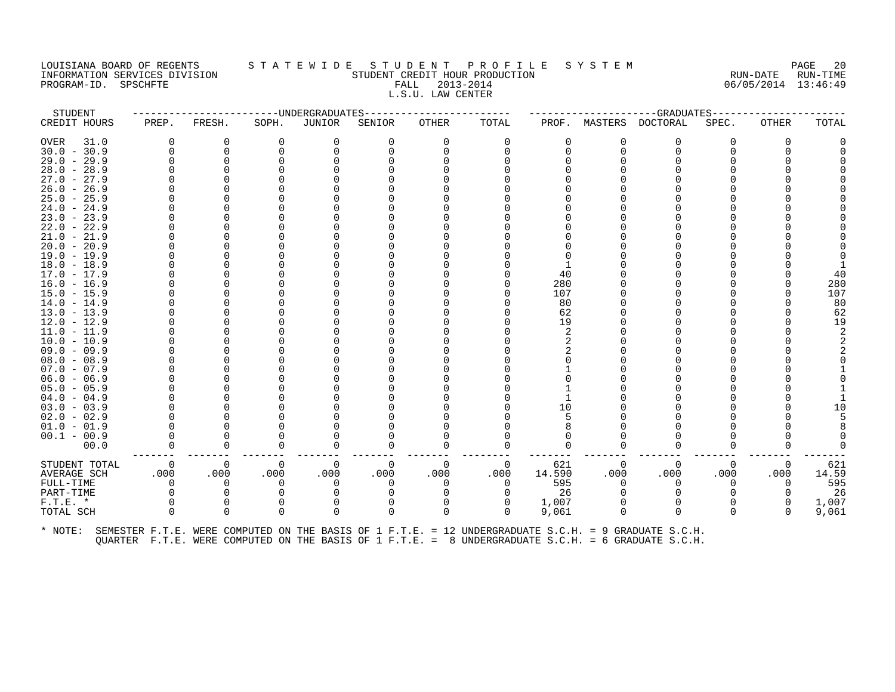# LOUISIANA BOARD OF REGENTS STATEWIDE STUDENT PROFILE SYSTEM PAGE 20<br>INFORMATION SERVICES DIVISION STATE WILL STUDENT CREDIT HOUR PRODUCTION FROM THE RUN-DATE RUN-TIME INFORMATION SERVICES DIVISION SUN-TIME STUDENT CREDIT HOUR PRODUCTION SUNGLE RUN-DATE RUN-TIME<br>PROGRAM-ID. SPSCHFTE SERVITE SERVICES SUNGLESS SUNGLESS FALL 2013-2014 2019 PROGRAM-ID. SPSCHFTE FALL 2013-2014 L.S.U. LAW CENTER

| STUDENT             |          |          |          | -----UNDERGRADUATES-- |          |          |          |              |      | ------------GRADUATES----                                                                            |          |              |       |
|---------------------|----------|----------|----------|-----------------------|----------|----------|----------|--------------|------|------------------------------------------------------------------------------------------------------|----------|--------------|-------|
| CREDIT HOURS        | PREP.    | FRESH.   | SOPH.    | JUNIOR                | SENIOR   | OTHER    | TOTAL    | PROF.        |      | MASTERS DOCTORAL                                                                                     | SPEC.    | <b>OTHER</b> | TOTAL |
| <b>OVER</b><br>31.0 |          | 0        | $\Omega$ | 0                     | O        |          | 0        | <sup>0</sup> | O    | <sup>0</sup>                                                                                         | U        | $\Omega$     |       |
| $30.0 - 30.9$       |          | 0        |          | $\Omega$              |          |          |          |              | ∩    |                                                                                                      |          |              |       |
| $29.0 - 29.9$       |          |          |          |                       |          |          |          |              |      |                                                                                                      |          |              |       |
| $28.0 - 28.9$       |          |          |          |                       |          |          |          |              |      |                                                                                                      |          |              |       |
| $27.0 - 27.9$       |          |          |          |                       |          |          |          |              |      |                                                                                                      |          |              |       |
| $26.0 - 26.9$       |          |          |          |                       |          |          |          |              |      |                                                                                                      |          |              |       |
| $25.0 - 25.9$       |          |          |          |                       |          |          |          |              |      |                                                                                                      |          |              |       |
| $24.0 - 24.9$       |          |          |          |                       |          |          |          |              |      |                                                                                                      |          |              |       |
| $23.0 - 23.9$       |          |          |          |                       |          |          |          |              |      |                                                                                                      |          |              |       |
| $22.0 - 22.9$       |          |          |          |                       |          |          |          |              |      |                                                                                                      |          |              |       |
| $21.0 - 21.9$       |          |          |          |                       |          |          |          |              |      |                                                                                                      |          |              |       |
| $20.0 - 20.9$       |          |          |          |                       |          |          |          |              |      |                                                                                                      |          |              |       |
| $19.0 - 19.9$       |          |          |          |                       |          |          |          |              |      |                                                                                                      |          |              |       |
| $18.0 - 18.9$       |          |          |          |                       |          |          |          |              |      |                                                                                                      |          |              |       |
| $17.0 - 17.9$       |          |          |          |                       |          |          |          | 40           |      |                                                                                                      |          |              | 40    |
| $16.0 - 16.9$       |          |          |          |                       |          |          |          | 280          |      |                                                                                                      |          |              | 280   |
| $15.0 - 15.9$       |          |          |          |                       |          |          |          | 107          |      |                                                                                                      |          |              | 107   |
| $14.0 - 14.9$       |          |          |          |                       |          |          |          | 80           |      |                                                                                                      |          |              | 80    |
| $13.0 - 13.9$       |          |          |          |                       |          |          |          | 62           |      |                                                                                                      |          |              | 62    |
| $12.0 - 12.9$       |          |          |          |                       |          |          |          | 19           |      |                                                                                                      |          |              | 19    |
| $11.0 - 11.9$       |          |          |          |                       |          |          |          | 2            |      |                                                                                                      |          |              |       |
| $10.0 - 10.9$       |          |          |          |                       |          |          |          |              |      |                                                                                                      |          |              |       |
| $09.0 - 09.9$       |          |          |          |                       |          |          |          |              |      |                                                                                                      |          |              |       |
| $08.0 - 08.9$       |          |          |          |                       |          |          |          |              |      |                                                                                                      |          |              |       |
| $07.0 - 07.9$       |          |          |          |                       |          |          |          |              |      |                                                                                                      |          |              |       |
| $06.0 - 06.9$       |          |          |          |                       |          |          |          |              |      |                                                                                                      |          |              |       |
| $05.0 - 05.9$       |          |          |          |                       |          |          |          |              |      |                                                                                                      |          |              |       |
| $04.0 - 04.9$       |          |          |          |                       |          |          |          |              |      |                                                                                                      |          |              |       |
| $03.0 - 03.9$       |          |          |          |                       |          |          |          | 10           |      |                                                                                                      |          |              |       |
| $02.0 - 02.9$       |          |          |          |                       |          |          |          |              |      |                                                                                                      |          |              |       |
| $01.0 - 01.9$       |          |          |          |                       |          |          |          |              |      |                                                                                                      |          |              |       |
| $00.1 - 00.9$       |          |          |          |                       |          |          |          |              |      |                                                                                                      |          |              |       |
| 00.0                |          | $\Omega$ |          | O                     | O        |          |          |              |      |                                                                                                      |          |              |       |
| STUDENT TOTAL       | $\Omega$ | $\Omega$ | 0        | 0                     | $\Omega$ | $\Omega$ | 0        | 621          | 0    | $\Omega$                                                                                             | $\Omega$ | 0            | 621   |
| <b>AVERAGE SCH</b>  | .000     | .000     | .000     | .000                  | .000     | .000     | .000     | 14.590       | .000 | .000                                                                                                 | .000     | .000         | 14.59 |
| FULL-TIME           |          | O        |          | 0                     |          |          |          | 595          |      |                                                                                                      | O        |              | 595   |
| PART-TIME           |          |          |          |                       |          |          |          | 26           |      |                                                                                                      |          |              | 26    |
| $F.T.E.$ *          |          | 0        |          | 0                     |          |          | 0        | 1,007        |      |                                                                                                      |          | $\Omega$     | 1,007 |
| TOTAL SCH           |          | $\Omega$ |          | $\Omega$              | $\Omega$ | $\Omega$ | $\Omega$ | 9,061        | 0    | $\Omega$                                                                                             |          |              | 9,061 |
| * NOTE:             |          |          |          |                       |          |          |          |              |      | SEMESTER F.T.E. WERE COMPUTED ON THE BASIS OF 1 F.T.E. = 12 UNDERGRADUATE S.C.H. = 9 GRADUATE S.C.H. |          |              |       |

QUARTER F.T.E. WERE COMPUTED ON THE BASIS OF 1 F.T.E. = 8 UNDERGRADUATE S.C.H. = 6 GRADUATE S.C.H.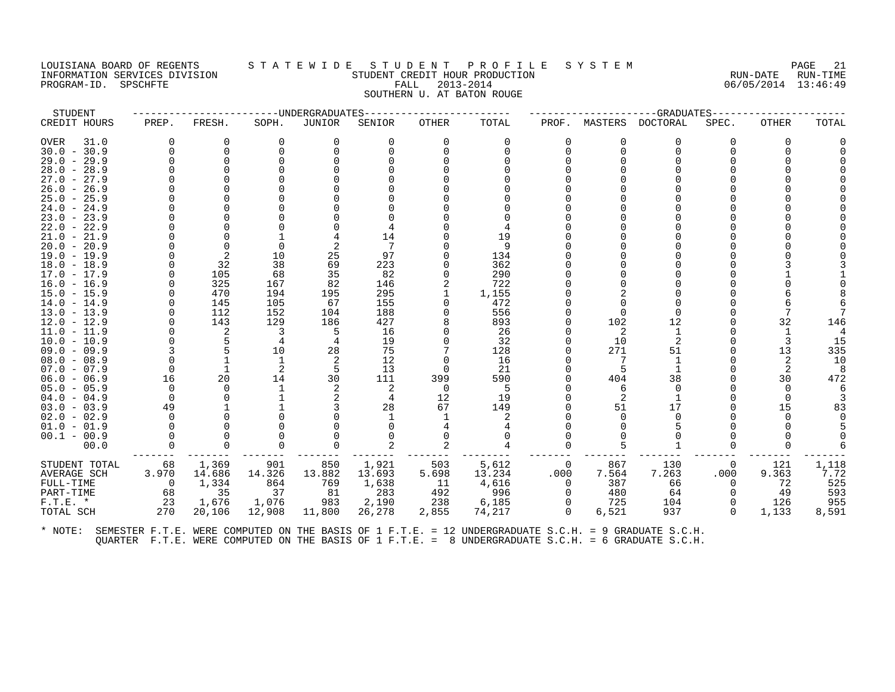#### LOUISIANA BOARD OF REGENTS STATEWIDE STUDENT PROFILE SYSTEM PAGE 21 INFORMATION SERVICES DIVISION SUN-TIME STUDENT CREDIT HOUR PRODUCTION SUNGLE RUN-DATE RUN-TIME<br>PROGRAM-ID. SPSCHFTE SERVITE SERVICES SUNGLESS SUNGLESS FALL 2013-2014 2019 PROGRAM-ID. SPSCHFTE FALL 2013-2014 SOUTHERN U. AT BATON ROUGE

| STUDENT       |          |              |              | --------------------UNDERGRADUATES |        | -------------- |        |          |          | --GRADUATES----- |                |              |       |
|---------------|----------|--------------|--------------|------------------------------------|--------|----------------|--------|----------|----------|------------------|----------------|--------------|-------|
| CREDIT HOURS  | PREP.    | FRESH.       | SOPH.        | JUNIOR                             | SENIOR | OTHER          | TOTAL  | PROF.    | MASTERS  | DOCTORAL         | SPEC.          | <b>OTHER</b> | TOTAL |
| OVER<br>31.0  | $\Omega$ | 0            | 0            | $\Omega$                           | 0      | $\Omega$       | 0      | $\Omega$ | 0        | $\Omega$         | 0              | $\Omega$     |       |
| $30.0 - 30.9$ | $\Omega$ | $\Omega$     |              |                                    |        |                |        | 0        | $\Omega$ | $\Omega$         |                |              |       |
| $29.0 - 29.9$ |          | $\Omega$     |              |                                    |        |                |        |          |          |                  |                |              |       |
| $28.0 - 28.9$ |          |              |              |                                    |        |                |        |          |          |                  |                |              |       |
| $27.0 - 27.9$ |          |              |              |                                    |        |                |        |          |          |                  |                |              |       |
| $26.0 - 26.9$ |          |              |              |                                    |        |                |        |          |          |                  |                |              |       |
| $25.0 - 25.9$ |          |              |              |                                    |        |                |        |          |          |                  |                |              |       |
| $24.0 - 24.9$ |          |              |              |                                    |        |                |        |          |          |                  |                |              |       |
| $23.0 - 23.9$ |          |              |              |                                    |        |                |        |          |          |                  |                |              |       |
| $22.0 - 22.9$ |          |              |              |                                    |        |                |        |          |          |                  |                |              |       |
| $21.0 - 21.9$ |          |              |              |                                    | 14     |                | 19     |          |          |                  |                |              |       |
| $20.0 - 20.9$ |          |              |              |                                    |        |                | 9      |          |          |                  |                |              |       |
| $19.0 - 19.9$ |          | 2            | 10           | 25                                 | 97     |                | 134    |          |          |                  |                |              |       |
| $18.0 - 18.9$ |          | 32           | 38           | 69                                 | 223    |                | 362    |          |          |                  |                |              |       |
| $17.0 - 17.9$ |          | 105          | 68           | 35                                 | 82     |                | 290    |          |          |                  |                |              |       |
| $16.0 - 16.9$ |          | 325          | 167          | 82                                 | 146    |                | 722    |          |          |                  |                |              |       |
| $15.0 - 15.9$ |          | 470          | 194          | 195                                | 295    |                | 1,155  |          |          |                  |                |              |       |
| $14.0 - 14.9$ | $\Omega$ | 145          | 105          | 67                                 | 155    |                | 472    |          |          |                  |                |              |       |
| $13.0 - 13.9$ | $\Omega$ | 112          | 152          | 104                                | 188    |                | 556    |          | ∩        |                  |                |              |       |
| $12.0 - 12.9$ |          | 143          | 129          | 186                                | 427    |                | 893    |          | 102      | 12               |                | 32           | 146   |
| $11.0 - 11.9$ |          | 2            |              | 5                                  | 16     |                | 26     |          | 2        | 1                |                |              |       |
| $10.0 - 10.9$ |          |              |              |                                    | 19     |                | 32     |          | 10       | 2                |                | 3            | 15    |
| $09.0 - 09.9$ |          | 5            | 10           | 28                                 | 75     |                | 128    | 0        | 271      | 51               |                | 13           | 335   |
| $08.0 - 08.9$ | $\Omega$ | $\mathbf{1}$ | $\mathbf{1}$ | 2                                  | 12     |                | 16     |          |          |                  |                | 2            | 10    |
| $07.0 - 07.9$ | $\Omega$ |              |              |                                    | 13     | $\Omega$       | 21     |          |          |                  |                |              |       |
| $06.0 - 06.9$ | 16       | 20           | 14           | 30                                 | 111    | 399            | 590    |          | 404      | 38               |                | 30           | 472   |
| $05.0 - 05.9$ | $\Omega$ | $\Omega$     |              | 2                                  | 2      | $\Omega$       | -5     |          | 6        | $\Omega$         |                | $\Omega$     |       |
| $04.0 - 04.9$ | $\Omega$ |              |              | 2                                  | 4      | 12             | 19     | U        | 2        |                  |                | $\Omega$     |       |
| $03.0 - 03.9$ | 49       |              |              |                                    | 28     | 67             | 149    |          | 51       | 17               |                | 15           | 83    |
| $02.0 - 02.9$ | $\Omega$ |              |              |                                    |        |                |        |          | 0        | $\Omega$         |                |              |       |
| $01.0 - 01.9$ | $\Omega$ |              |              |                                    |        |                |        |          |          |                  |                |              |       |
| $00.1 - 00.9$ |          |              |              |                                    |        |                |        |          |          |                  |                |              |       |
| 00.0          | $\Omega$ | $\Omega$     |              |                                    |        |                |        | 0        |          |                  |                |              |       |
| STUDENT TOTAL | 68       | 1,369        | 901          | 850                                | 1,921  | 503            | 5,612  | $\Omega$ | 867      | 130              | $\overline{0}$ | 121          | 1,118 |
| AVERAGE SCH   | 3.970    | 14.686       | 14.326       | 13.882                             | 13.693 | 5.698          | 13.234 | .000     | 7.564    | 7.263            | .000           | 9.363        | 7.72  |
| FULL-TIME     | $\Omega$ | 1,334        | 864          | 769                                | 1,638  | - 11           | 4,616  | $\Omega$ | 387      | 66               | $\Omega$       | 72           | 525   |
| PART-TIME     | 68       | 35           | 37           | 81                                 | 283    | 492            | 996    | $\Omega$ | 480      | 64               |                | 49           | 593   |
| $F.T.E. *$    | 23       | 1,676        | 1,076        | 983                                | 2,190  | 238            | 6,185  | $\Omega$ | 725      | 104              | 0              | 126          | 955   |
| TOTAL SCH     | 270      | 20,106       | 12,908       | 11,800                             | 26,278 | 2,855          | 74,217 | $\Omega$ | 6,521    | 937              | $\Omega$       | 1,133        | 8,591 |
|               |          |              |              |                                    |        |                |        |          |          |                  |                |              |       |
|               |          |              |              |                                    |        |                |        |          |          |                  |                |              |       |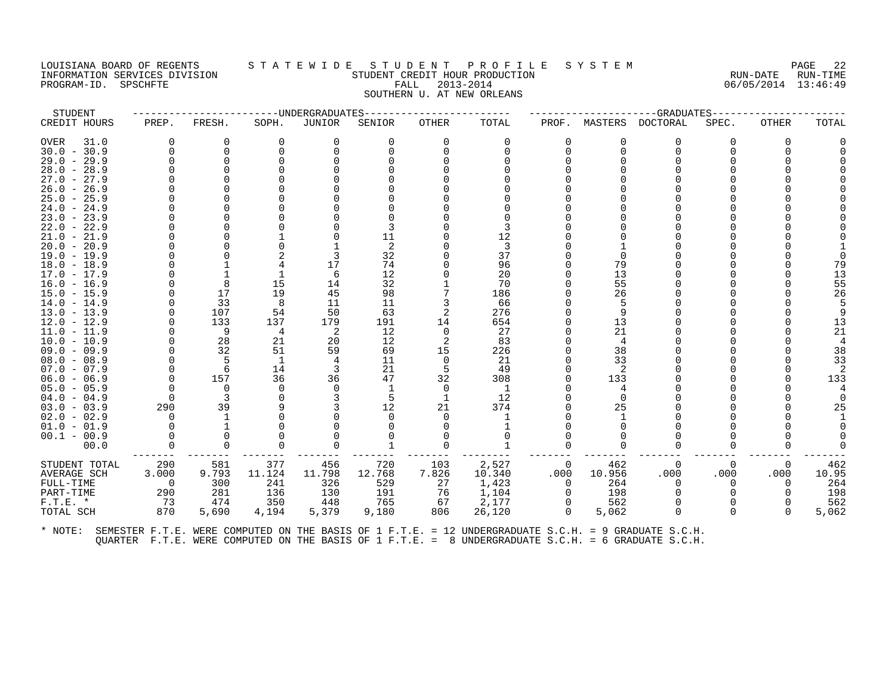# LOUISIANA BOARD OF REGENTS STATEWIDE STUDENT PROFILE SYSTEM PAGE 22<br>INFORMATION SERVICES DIVISION STATE WILL STUDENT CREDIT HOUR PRODUCTION CONTROLLER PROPORTE RUN-DATE RUN-TIME INFORMATION SERVICES DIVISION STUDENT CREDIT HOUR PRODUCTION RUN-DATE RUN-TIME PROGRAM-ID. SPSCHFTE FALL 2013-2014 06/05/2014 13:46:49 SOUTHERN U. AT NEW ORLEANS

STUDENT ------------------------UNDERGRADUATES------------------------ ---------------------GRADUATES---------------------- CREDIT HOURS PREP. FRESH. SOPH. JUNIOR SENIOR OTHER TOTAL PROF. MASTERS DOCTORAL SPEC. OTHER TOTAL OVER 31.0 0 0 0 0 0 0 0 0 0 0 0 0 0 30.0 - 30.9 0 0 0 0 0 0 0 0 0 0 0 0 0 29.0 - 29.9 0 0 0 0 0 0 0 0 0 0 0 0 0 28.0 - 28.9 0 0 0 0 0 0 0 0 0 0 0 0 0 27.0 - 27.9 0 0 0 0 0 0 0 0 0 0 0 0 0 26.0 - 26.9 0 0 0 0 0 0 0 0 0 0 0 0 0 25.0 - 25.9 0 0 0 0 0 0 0 0 0 0 0 0 0 24.0 - 24.9 0 0 0 0 0 0 0 0 0 0 0 0 0 23.0 - 23.9 0 0 0 0 0 0 0 0 0 0 0 0 0 22.0 - 22.9 0 0 0 0 3 0 3 0 0 0 0 0 0 21.0 - 21.9 0 0 1 0 11 0 12 0 0 0 0 0 0 20.0 - 20.9 0 0 0 1 2 0 3 0 1 0 0 0 1 19.0 - 19.9 0 0 2 3 32 0 37 0 0 0 0 0 0 18.0 - 18.9 0 1 4 17 74 0 96 0 79 0 0 0 79 17.0 - 17.9 0 1 1 6 12 0 20 0 13 0 0 0 13 16.0 - 16.9 0 8 15 14 32 1 70 0 55 0 0 0 55 15.0 - 15.9 0 17 19 45 98 7 186 0 26 0 0 0 26 14.0 - 14.9 0 33 8 11 11 3 66 0 5 0 0 0 5 13.0 - 13.9 0 107 54 50 63 2 276 0 9 0 0 0 9 12.0 - 12.9 0 133 137 179 191 14 654 0 13 0 0 0 13 11.0 - 11.9 0 9 4 2 12 0 27 0 21 0 0 0 21 10.0 - 10.9 0 28 21 20 12 2 83 0 4 0 0 0 4 09.0 - 09.9 0 32 51 59 69 15 226 0 38 0 0 0 38 08.0 - 08.9 0 5 1 4 11 0 21 0 33 0 0 0 33 07.0 - 07.9 0 6 14 3 21 5 49 0 2 0 0 0 2 06.0 - 06.9 0 157 36 36 47 32 308 0 133 0 0 0 133 05.0 - 05.9 0 0 0 0 1 0 1 0 4 0 0 0 4 04.0 - 04.9 0 3 0 3 5 1 12 0 0 0 0 0 0 03.0 - 03.9 290 39 9 3 12 21 374 0 25 0 0 0 25 02.0 - 02.9 0 1 0 0 0 0 0 1 0 1 0 0 0 1 01.0 - 01.9 0 1 0 0 0 0 1 0 0 0 0 0 0 00.1 - 00.9 0 0 0 0 0 0 0 0 0 0 0 0 0 00.0 0 0 0 0 1 0 1 0 0 0 0 0 0 ------- ------- ------- ------- ------- ------- -------- ------- ------- ------- ------- ------- ------- STUDENT TOTAL 290 581 377 456 720 103 2,527 0 462 0 0 0 462 AVERAGE SCH 3.000 9.793 11.124 11.798 12.768 7.826 10.340 .000 10.956 .000 .000 .000 10.95 FULL-TIME 0 300 241 326 529 27 1,423 0 264 0 0 0 264 PART-TIME 290 281 136 130 191 76 1,104 0 198 0 0 0 198 F.T.E. \* 73 474 350 448 765 67 2,177 0 562 0 0 0 562 TOTAL SCH 870 5,690 4,194 5,379 9,180 806 26,120 0 5,062 0 0 0 5,062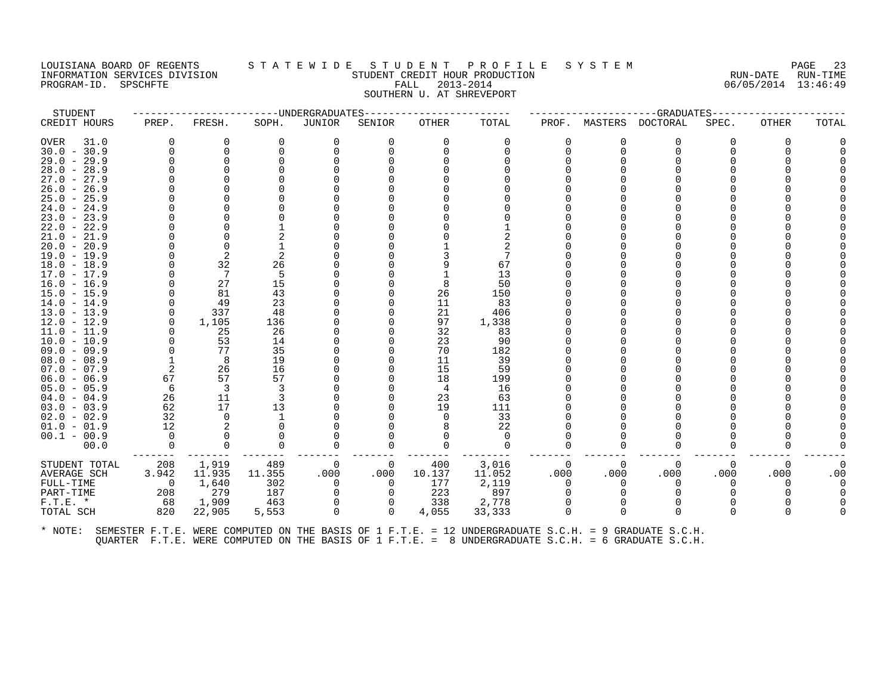PROGRAM-ID. SPSCHFTE

# LOUISIANA BOARD OF REGENTS STATEWIDE STUDENT PROFILE SYSTEM PAGE 23<br>INFORMATION SERVICES DIVISION STATEWIDENT CREDIT HOUR PRODUCTION INFORMATION SERVICES DIVISION SUBSERVICES ON SUBSERVICES SUBSERVICES SUBSERVICES SUBSERVICES DIVISION SUBSERVICES SUBSERVICES SUBSERVICES SUBSERVICES ON SUBSERVICES ON SUBSERVICES SUBSERVICES ON SUBSERVICES ON SUBSERVICES SOUTHERN U. AT SHREVEPORT

| STUDENT       |            |          |          | -----UNDERGRADUATES |             |          |              |              |          | ---------GRADUATES---- |              |       |       |
|---------------|------------|----------|----------|---------------------|-------------|----------|--------------|--------------|----------|------------------------|--------------|-------|-------|
| CREDIT HOURS  | PREP.      | FRESH.   | SOPH.    | JUNIOR              | SENIOR      | OTHER    | TOTAL        |              |          | PROF. MASTERS DOCTORAL | SPEC.        | OTHER | TOTAL |
| OVER<br>31.0  | 0          |          | $\Omega$ | 0                   | 0           | $\Omega$ | 0            | 0            | 0        | 0                      |              |       |       |
| $30.0 - 30.9$ |            |          |          | 0                   | U           | ∩        | <sup>n</sup> | $\Omega$     | $\Omega$ | ∩                      |              |       |       |
| $29.0 - 29.9$ |            | $\Omega$ |          |                     |             |          |              |              |          |                        |              |       |       |
| $28.0 - 28.9$ |            |          |          |                     |             |          |              |              |          |                        |              |       |       |
| $27.0 - 27.9$ |            |          |          |                     |             |          |              |              |          |                        |              |       |       |
| $26.0 - 26.9$ |            |          |          |                     |             |          |              |              |          |                        |              |       |       |
| $25.0 - 25.9$ |            |          |          |                     |             |          |              |              |          |                        |              |       |       |
| $24.0 - 24.9$ |            |          |          |                     |             |          |              |              |          |                        |              |       |       |
| $23.0 - 23.9$ |            |          |          |                     |             |          |              |              |          |                        |              |       |       |
| $22.0 - 22.9$ |            |          |          |                     |             |          |              |              |          |                        |              |       |       |
| $21.0 - 21.9$ |            |          |          |                     |             |          |              |              |          |                        |              |       |       |
| $20.0 - 20.9$ |            |          |          |                     |             |          |              |              |          |                        |              |       |       |
| $19.0 - 19.9$ |            | 2        | 2        |                     |             |          |              |              |          |                        |              |       |       |
| $18.0 - 18.9$ |            | 32       | 26       |                     |             |          | 67           |              |          |                        |              |       |       |
| 17.0 - 17.9   |            | -7       | -5       |                     |             |          | 13           |              |          |                        |              |       |       |
| $16.0 - 16.9$ |            | 27       | 15       |                     |             | 8        | 50           |              |          |                        |              |       |       |
| $15.0 - 15.9$ |            | 81       | 43       |                     |             | 26       | 150          |              |          |                        |              |       |       |
| $14.0 - 14.9$ |            | 49       | 23       |                     |             | 11       | 83           |              |          |                        |              |       |       |
| $13.0 - 13.9$ | $\Omega$   | 337      | 48       |                     |             | 21       | 406          |              |          |                        |              |       |       |
| $12.0 - 12.9$ | $\Omega$   | 1,105    | 136      |                     |             | 97       | 1,338        |              |          |                        |              |       |       |
| $11.0 - 11.9$ |            | 25       | 26       |                     |             | 32       | 83           |              |          |                        |              |       |       |
| $10.0 - 10.9$ |            | 53       | 14       |                     |             | 23       | 90           |              |          |                        |              |       |       |
| 09.0 - 09.9   |            | 77       | 35       |                     |             | 70       | 182          |              |          |                        |              |       |       |
| $08.0 - 08.9$ |            | 8        | 19       |                     |             | 11       | 39           |              |          |                        |              |       |       |
| $07.0 - 07.9$ | 2          | 26       | 16       |                     |             | 15       | 59           |              |          |                        |              |       |       |
| $06.0 - 06.9$ | 67         | 57       | 57       |                     |             | 18       | 199          |              |          |                        |              |       |       |
| $05.0 - 05.9$ | 6          | 3        |          |                     |             | 4        | 16           |              |          |                        |              |       |       |
| $04.0 - 04.9$ | 26         | 11       | 3        |                     |             | 23       | 63           |              |          |                        |              |       |       |
| $03.0 - 03.9$ | 62         | 17       | 13       |                     |             | 19       | 111          |              |          |                        |              |       |       |
| $02.0 - 02.9$ | 32         | 0        |          |                     |             | $\Omega$ | 33           |              |          |                        |              |       |       |
| $01.0 - 01.9$ | 12         | -2       |          |                     |             |          | 22           |              |          |                        |              |       |       |
| $00.1 - 00.9$ | $\Omega$   | $\Omega$ |          |                     |             |          | $\Omega$     |              |          |                        |              |       |       |
| 00.0          | $\Omega$   | $\Omega$ |          |                     | 0           |          | $\Omega$     | $\Omega$     | 0        |                        |              |       |       |
| STUDENT TOTAL | 208        | 1,919    | 489      | 0                   | 0           | 400      | 3,016        | $\Omega$     | 0        | 0                      | 0            | 0     |       |
| AVERAGE SCH   | 3.942      | 11.935   | 11.355   | .000                | .000        | 10.137   | 11.052       | .000         | .000     | .000                   | .000         | .000  | .00   |
| FULL-TIME     | $\bigcirc$ | 1,640    | 302      | $\Omega$            | $\Omega$    | 177      | 2,119        | $\Omega$     | 0        | $\Omega$               | <sup>n</sup> |       |       |
| PART-TIME     | 208        | 279      | 187      | 0                   |             | 223      | 897          | <sup>n</sup> |          |                        |              |       |       |
| $F.T.E. *$    | 68         | 1,909    | 463      | 0                   | U           | 338      | 2,778        | $\Omega$     |          |                        |              |       |       |
| TOTAL SCH     | 820        | 22,905   | 5,553    | $\mathbf 0$         | $\mathbf 0$ | 4,055    | 33,333       | $\Omega$     | $\Omega$ | $\Omega$               | $\Omega$     |       |       |
|               |            |          |          |                     |             |          |              |              |          |                        |              |       |       |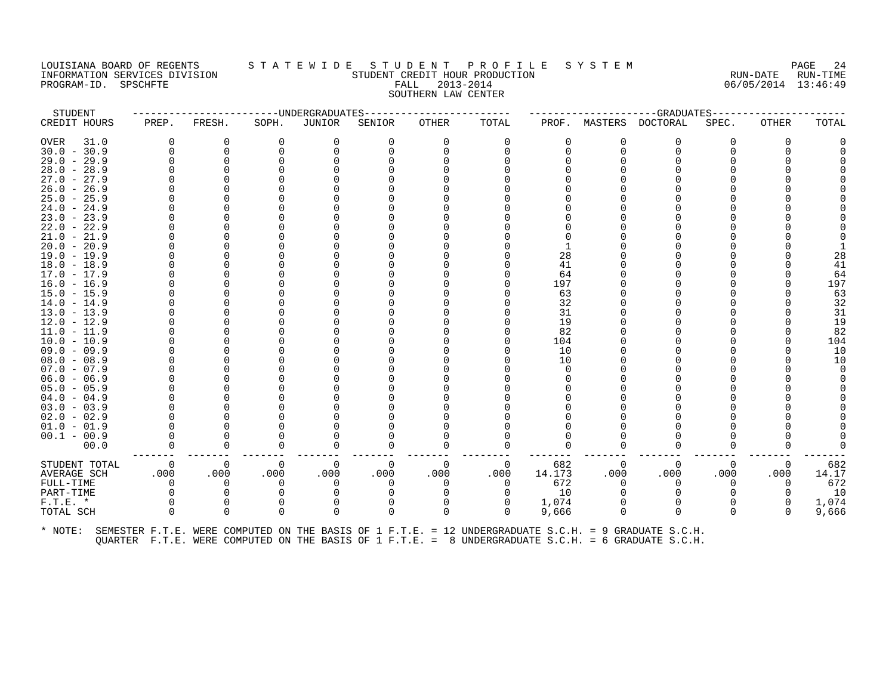# LOUISIANA BOARD OF REGENTS STATEWIDE STUDENT PROFILE SYSTEM NAGE 24 INFORMATION SERVICES DIVISION SUNGLERICAL STUDENT CREDIT HOUR PRODUCTION SUNGLERIC RUN-DATE RUN-TIME<br>PROGRAM-ID. SPSCHFTE SANTE SUN-TIME FALL 2013-2014 2019-2014 STUDENT REDIT HOUR PRODUCTION PROGRAM-ID. SPSCHFTE FALL 2013-2014 SOUTHERN LAW CENTER

| STUDENT       |          |          |              | ---------------UNDERGRADUATES |          | -------------- |          |        |          | ----------GRADUATES-----                                                                             |       |              |       |
|---------------|----------|----------|--------------|-------------------------------|----------|----------------|----------|--------|----------|------------------------------------------------------------------------------------------------------|-------|--------------|-------|
| CREDIT HOURS  | PREP.    | FRESH.   | SOPH.        | <b>JUNIOR</b>                 | SENIOR   | OTHER          | TOTAL    | PROF.  | MASTERS  | DOCTORAL                                                                                             | SPEC. | <b>OTHER</b> | TOTAL |
| OVER<br>31.0  | 0        | 0        | 0            |                               |          |                | 0        | 0      |          | 0                                                                                                    |       | $\Omega$     |       |
| $30.0 - 30.9$ | $\Omega$ | $\Omega$ |              |                               |          |                |          | 0      | ∩        | O                                                                                                    |       |              |       |
| $29.0 - 29.9$ |          |          |              |                               |          |                |          |        |          |                                                                                                      |       |              |       |
| $28.0 - 28.9$ |          |          |              |                               |          |                |          |        |          |                                                                                                      |       |              |       |
| $27.0 - 27.9$ |          |          |              |                               |          |                |          |        |          |                                                                                                      |       |              |       |
| $26.0 - 26.9$ |          |          |              |                               |          |                |          |        |          |                                                                                                      |       |              |       |
| $25.0 - 25.9$ |          |          |              |                               |          |                |          |        |          |                                                                                                      |       |              |       |
| $24.0 - 24.9$ |          |          |              |                               |          |                |          |        |          |                                                                                                      |       |              |       |
| $23.0 - 23.9$ |          |          |              |                               |          |                |          |        |          |                                                                                                      |       |              |       |
| $22.0 - 22.9$ |          |          |              |                               |          |                |          |        |          |                                                                                                      |       |              |       |
| $21.0 - 21.9$ |          |          |              |                               |          |                |          |        |          |                                                                                                      |       |              |       |
| $20.0 - 20.9$ |          |          |              |                               |          |                |          |        |          |                                                                                                      |       |              |       |
| $19.0 - 19.9$ |          |          |              |                               |          |                |          | 28     |          |                                                                                                      |       |              | 28    |
| $18.0 - 18.9$ |          |          |              |                               |          |                |          | 41     |          |                                                                                                      |       |              | 41    |
| $17.0 - 17.9$ |          |          |              |                               |          |                |          | 64     |          |                                                                                                      |       |              | 64    |
| $16.0 - 16.9$ |          |          |              |                               |          |                |          | 197    |          |                                                                                                      |       |              | 197   |
| $15.0 - 15.9$ |          |          |              |                               |          |                |          | 63     |          |                                                                                                      |       |              | 63    |
| $14.0 - 14.9$ |          |          |              |                               |          |                |          | 32     |          |                                                                                                      |       |              | 32    |
| $13.0 - 13.9$ |          |          |              |                               |          |                |          | 31     |          |                                                                                                      |       |              | 31    |
| $12.0 - 12.9$ |          |          |              |                               |          |                |          | 19     |          |                                                                                                      |       |              | 19    |
| $11.0 - 11.9$ |          |          |              |                               |          |                |          | 82     |          |                                                                                                      |       |              | 82    |
| $10.0 - 10.9$ |          |          |              |                               |          |                |          | 104    |          |                                                                                                      |       |              | 104   |
| $09.0 - 09.9$ |          |          |              |                               |          |                |          | 10     |          |                                                                                                      |       |              | 10    |
| $08.0 - 08.9$ |          |          |              |                               |          |                |          | 10     |          |                                                                                                      |       |              | 10    |
| $07.0 - 07.9$ |          |          |              |                               |          |                |          | 0      |          |                                                                                                      |       |              |       |
| $06.0 - 06.9$ |          |          |              |                               |          |                |          |        |          |                                                                                                      |       |              |       |
| $05.0 - 05.9$ |          |          |              |                               |          |                |          |        |          |                                                                                                      |       |              |       |
| $04.0 - 04.9$ |          |          |              |                               |          |                |          |        |          |                                                                                                      |       |              |       |
| $03.0 - 03.9$ |          |          |              |                               |          |                |          |        |          |                                                                                                      |       |              |       |
| $02.0 - 02.9$ |          |          |              |                               |          |                |          |        |          |                                                                                                      |       |              |       |
| $01.0 - 01.9$ |          |          |              |                               |          |                |          |        |          |                                                                                                      |       |              |       |
| $00.1 - 00.9$ |          |          |              |                               |          |                |          |        |          |                                                                                                      |       |              |       |
| 00.0          |          | 0        | 0            |                               |          |                |          |        |          | O                                                                                                    |       |              |       |
| STUDENT TOTAL | 0        | 0        | 0            | $\Omega$                      | $\Omega$ | $\Omega$       | 0        | 682    | 0        | 0                                                                                                    | 0     | 0            | 682   |
| AVERAGE SCH   | .000     | .000     | .000         | .000                          | .000     | .000           | .000     | 14.173 | .000     | .000                                                                                                 | .000  | .000         | 14.17 |
| FULL-TIME     | $\Omega$ | $\Omega$ |              |                               | O        |                | $\Omega$ | 672    | ∩        | $\Omega$                                                                                             | 0     | $\Omega$     | 672   |
| PART-TIME     |          |          |              |                               |          |                |          | 10     |          |                                                                                                      |       |              | 10    |
| $F.T.E. *$    | $\Omega$ | $\Omega$ |              |                               |          |                | 0        | 1,074  |          | $\Omega$                                                                                             |       | $\Omega$     | 1,074 |
| TOTAL SCH     |          | $\Omega$ | <sup>n</sup> | $\Omega$                      | 0        | $\Omega$       | $\Omega$ | 9,666  | $\Omega$ | $\Omega$                                                                                             |       | $\cap$       | 9,666 |
| * NOTE:       |          |          |              |                               |          |                |          |        |          | SEMESTER F.T.E. WERE COMPUTED ON THE BASIS OF 1 F.T.E. = 12 UNDERGRADUATE S.C.H. = 9 GRADUATE S.C.H. |       |              |       |

QUARTER F.T.E. WERE COMPUTED ON THE BASIS OF 1 F.T.E. = 8 UNDERGRADUATE S.C.H. = 6 GRADUATE S.C.H.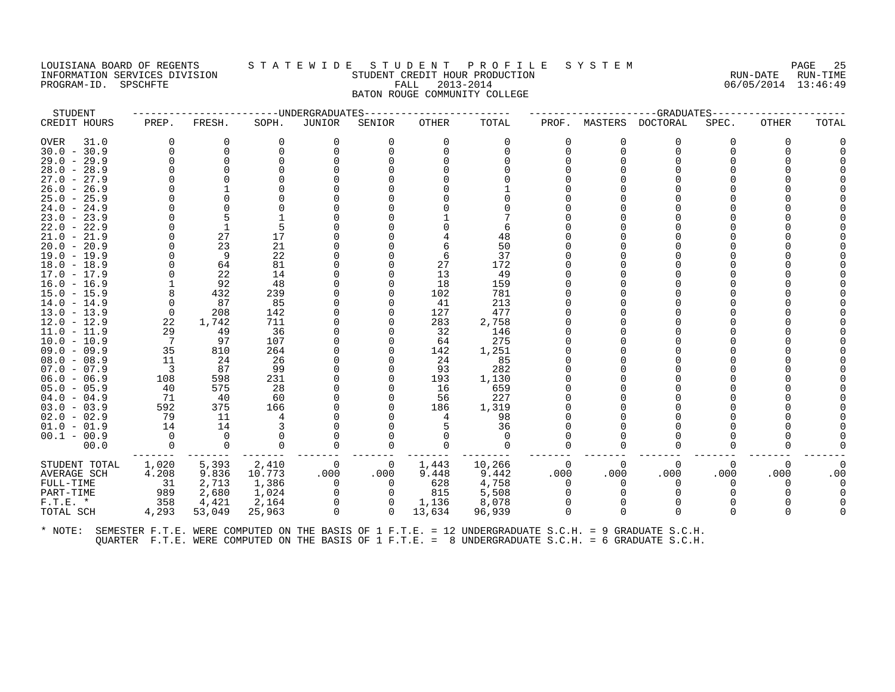#### LOUISIANA BOARD OF REGENTS STATEWIDE STUDENT PROFILE SYSTEM PAGE 25<br>INFORMATION SERVICES DIVISION STATEWIDENT CREDIT HOUR PRODUCTION INFORMATION SERVICES DIVISION SUNGLERICAL STUDENT CREDIT HOUR PRODUCTION SUNGLERIC RUN-DATE RUN-TIME<br>PROGRAM-ID. SPSCHFTE SUN-TIME SUNGLERICAL SERIE RALL 2013-2014 STALL 2013-2014 PROGRAM-ID. SPSCHFTE FALL 2013-2014 BATON ROUGE COMMUNITY COLLEGE

| STUDENT                        |                         |             |            | ----------------------UNDERGRADUATES |                | -------------- |              |          |          |          | --GRADUATES----- |              |       |
|--------------------------------|-------------------------|-------------|------------|--------------------------------------|----------------|----------------|--------------|----------|----------|----------|------------------|--------------|-------|
| CREDIT HOURS                   | PREP.                   | FRESH.      | SOPH.      | JUNIOR                               | SENIOR         | OTHER          | TOTAL        | PROF.    | MASTERS  | DOCTORAL | SPEC.            | <b>OTHER</b> | TOTAL |
| OVER<br>31.0                   | 0                       | 0           | $\Omega$   | 0                                    | 0              | $\Omega$       | 0            | $\Omega$ | 0        | 0        | 0                | $\Omega$     |       |
| $30.0 - 30.9$                  | $\Omega$                | $\Omega$    |            |                                      |                |                |              | 0        | $\Omega$ | $\Omega$ |                  |              |       |
| $29.0 - 29.9$                  | $\Omega$                | 0           |            |                                      |                |                |              |          |          |          |                  |              |       |
| $28.0 - 28.9$                  |                         |             |            |                                      |                |                |              |          |          |          |                  |              |       |
| $27.0 - 27.9$                  |                         |             |            |                                      |                |                |              |          |          |          |                  |              |       |
| $26.0 - 26.9$                  |                         |             |            |                                      |                |                |              |          |          |          |                  |              |       |
| $25.0 - 25.9$                  |                         |             |            |                                      |                |                |              |          |          |          |                  |              |       |
| $24.0 - 24.9$                  |                         |             |            |                                      |                |                |              |          |          |          |                  |              |       |
| $23.0 - 23.9$                  |                         |             |            |                                      |                |                |              |          |          |          |                  |              |       |
| $22.0 - 22.9$                  |                         |             |            |                                      |                |                | 6            |          |          |          |                  |              |       |
| $21.0 - 21.9$                  |                         | 27          | 17         |                                      |                |                | 48           |          |          |          |                  |              |       |
| $20.0 - 20.9$                  |                         | 23          | 21         |                                      |                |                | 50           |          |          |          |                  |              |       |
| $19.0 - 19.9$                  | 0                       | 9           | 22         |                                      |                | 6              | 37           |          |          |          |                  |              |       |
| $18.0 - 18.9$                  | $\Omega$                | 64          | 81         |                                      |                | 27             | 172          |          |          |          |                  |              |       |
| $17.0 - 17.9$                  |                         | 22          | 14         |                                      |                | 13             | 49           |          |          |          |                  |              |       |
| $16.0 - 16.9$                  |                         | 92          | 48         |                                      |                | 18             | 159          |          |          |          |                  |              |       |
| $15.0 - 15.9$                  | 8                       | 432         | 239        |                                      |                | 102            | 781          |          |          |          |                  |              |       |
| $14.0 - 14.9$                  | 0<br>$\Omega$           | 87          | 85         |                                      |                | 41             | 213          |          |          |          |                  |              |       |
| $13.0 - 13.9$                  | 22                      | 208         | 142<br>711 |                                      |                | 127<br>283     | 477          |          |          |          |                  |              |       |
| $12.0 - 12.9$<br>$11.0 - 11.9$ | 29                      | 1,742<br>49 | 36         |                                      |                | -32            | 2,758<br>146 |          |          |          |                  |              |       |
| $10.0 - 10.9$                  | $\overline{7}$          | 97          | 107        |                                      |                | 64             | 275          |          |          |          |                  |              |       |
| 09.0 - 09.9                    | 35                      | 810         | 264        |                                      |                | 142            | 1,251        |          |          |          |                  |              |       |
| $08.0 - 08.9$                  | 11                      | 24          | 26         |                                      |                | 24             | 85           |          |          |          |                  |              |       |
| $07.0 - 07.9$                  | $\overline{\mathbf{3}}$ | 87          | 99         |                                      |                | -93            | 282          |          |          |          |                  |              |       |
| $06.0 - 06.9$                  | 108                     | 598         | 231        |                                      |                | 193            | 1,130        |          |          |          |                  |              |       |
| $05.0 - 05.9$                  | 40                      | 575         | 28         |                                      |                | 16             | 659          |          |          |          |                  |              |       |
| $04.0 - 04.9$                  | 71                      | 40          | 60         |                                      |                | 56             | 227          |          |          |          |                  |              |       |
| $03.0 - 03.9$                  | 592                     | 375         | 166        |                                      |                | 186            | 1,319        |          |          |          |                  |              |       |
| $02.0 - 02.9$                  | 79                      | 11          |            |                                      |                | 4              | 98           |          |          |          |                  |              |       |
| $01.0 - 01.9$                  | 14                      | 14          |            |                                      |                |                | 36           |          |          |          |                  |              |       |
| $00.1 - 00.9$                  | $\Omega$                | $\Omega$    |            |                                      |                |                |              |          |          |          |                  |              |       |
| 00.0                           | $\Omega$                | $\Omega$    | $\Omega$   | $\Omega$                             | 0              |                | $\Omega$     | $\Omega$ | $\Omega$ | $\Omega$ | 0                |              |       |
| STUDENT TOTAL                  | 1,020                   | 5,393       | 2,410      | - 0                                  | 0              | 1,443          | 10,266       | $\Omega$ | $\Omega$ | $\Omega$ | $\Omega$         | $\Omega$     |       |
| AVERAGE SCH                    | 4.208                   | 9.836       | 10.773     | .000                                 | .000           | 9.448          | 9.442        | .000     | .000     | .000     | .000             | .000         | .00   |
| FULL-TIME                      | 31                      | 2,713       | 1,386      | $\overline{0}$                       | $\overline{0}$ | 628            | 4,758        | 0        | $\Omega$ | 0        | 0                | $\Omega$     |       |
| PART-TIME                      | 989                     | 2,680       | 1,024      | 0                                    | $\Omega$       | 815            | 5,508        | $\Omega$ |          |          |                  |              |       |
| $F.T.E.$ *                     | 358                     | 4,421       | 2,164      |                                      | 0              | 1,136          | 8,078        |          |          |          |                  |              |       |
| TOTAL SCH                      | 4,293                   | 53,049      | 25,963     | $\Omega$                             | $\Omega$       | 13,634         | 96,939       | $\Omega$ | $\Omega$ | $\Omega$ | 0                | $\Omega$     |       |
|                                |                         |             |            |                                      |                |                |              |          |          |          |                  |              |       |
|                                |                         |             |            |                                      |                |                |              |          |          |          |                  |              |       |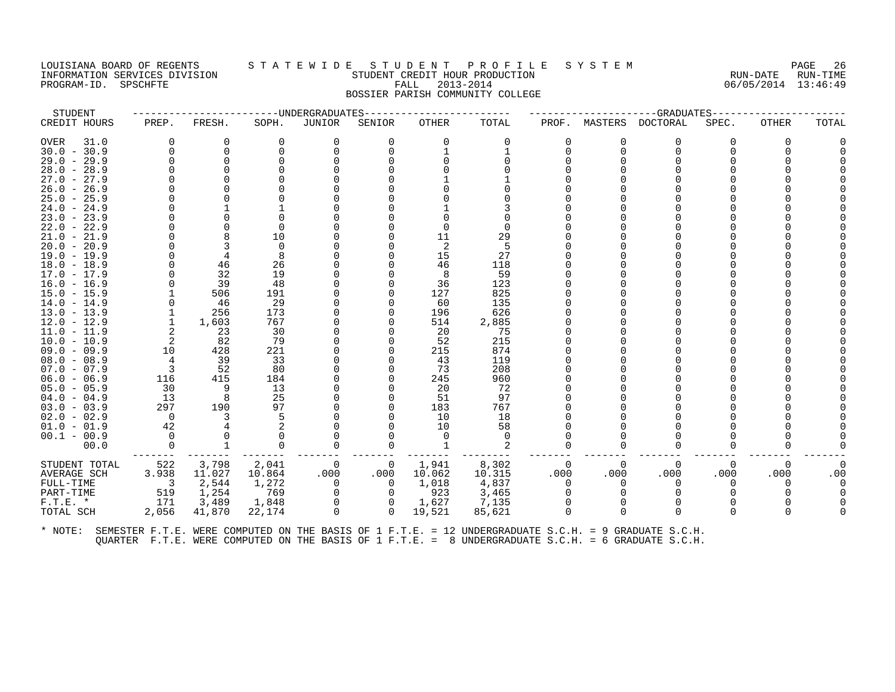# LOUISIANA BOARD OF REGENTS STATEWIDE STUDENT PROFILE SYSTEM PAGE 26<br>TNEORMATION SERVICES DIVISION STUDENT CREDIT HOUR PRODUCTION PROFICE RUN-DATE RUN-TIME INFORMATION SERVICES DIVISION STUDENT CREDIT HOUR PRODUCTION RUN-DATE RUN-TIME PROGRAM-ID. SPSCHFTE FALL 2013-2014 06/05/2014 13:46:49 BOSSIER PARISH COMMUNITY COLLEGE

STUDENT ------------------------UNDERGRADUATES------------------------ ---------------------GRADUATES---------------------- CREDIT HOURS PREP. FRESH. SOPH. JUNIOR SENIOR OTHER TOTAL PROF. MASTERS DOCTORAL SPEC. OTHER TOTAL OVER 31.0 0 0 0 0 0 0 0 0 0 0 0 0 0 30.0 - 30.9 0 0 0 0 0 1 1 0 0 0 0 0 0 29.0 - 29.9 0 0 0 0 0 0 0 0 0 0 0 0 0 28.0 - 28.9 0 0 0 0 0 0 0 0 0 0 0 0 0 27.0 - 27.9 0 0 0 0 0 1 1 0 0 0 0 0 0 26.0 - 26.9 0 0 0 0 0 0 0 0 0 0 0 0 0 25.0 - 25.9 0 0 0 0 0 0 0 0 0 0 0 0 0 24.0 - 24.9 0 1 1 0 0 1 3 0 0 0 0 0 0 23.0 - 23.9 0 0 0 0 0 0 0 0 0 0 0 0 0 22.0 - 22.9 0 0 0 0 0 0 0 0 0 0 0 0 0 21.0 - 21.9 0 8 10 0 0 11 29 0 0 0 0 0 0 20.0 - 20.9 0 3 0 0 0 2 5 0 0 0 0 0 0 19.0 - 19.9 0 4 8 0 0 15 27 0 0 0 0 0 0 18.0 - 18.9 0 46 26 0 0 46 118 0 0 0 0 0 0 17.0 - 17.9 0 32 19 0 0 8 59 0 0 0 0 0 0 16.0 - 16.9 0 39 48 0 0 36 123 0 0 0 0 0 0 15.0 - 15.9 1 506 191 0 0 127 825 0 0 0 0 0 0 14.0 - 14.9 0 46 29 0 0 60 135 0 0 0 0 0 0 13.0 - 13.9 1 256 173 0 0 196 626 0 0 0 0 0 0 12.0 - 12.9 1 1,603 767 0 0 514 2,885 0 0 0 0 0 0 11.0 - 11.9 2 23 30 0 0 20 75 0 0 0 0 0 0 10.0 - 10.9 2 82 79 0 0 52 215 0 0 0 0 0 0 09.0 - 09.9 10 428 221 0 0 215 874 0 0 0 0 0 0 08.0 - 08.9 4 39 33 0 0 43 119 0 0 0 0 0 0 07.0 - 07.9 3 52 80 0 0 73 208 0 0 0 0 0 0 06.0 - 06.9 116 415 184 0 0 245 960 0 0 0 0 0 0 05.0 - 05.9 30 9 13 0 0 20 72 0 0 0 0 0 0 04.0 - 04.9 13 8 25 0 0 51 97 0 0 0 0 0 0 03.0 - 03.9 297 190 97 0 0 183 767 0 0 0 0 0 0 02.0 - 02.9 0 3 5 0 0 10 18 0 0 0 0 0 0 01.0 - 01.9 42 4 2 0 0 10 58 0 0 0 0 0 0 00.1 - 00.9 0 0 0 0 0 0 0 0 0 0 0 0 0 00.0 0 1 0 0 0 1 2 0 0 0 0 0 0 ------- ------- ------- ------- ------- ------- -------- ------- ------- ------- ------- ------- ------- STUDENT TOTAL 522 3,798 2,041 0 0 1,941 8,302 0 0 0 0 0 0 AVERAGE SCH 3.938 11.027 10.864 .000 .000 10.062 10.315 .000 .000 .000 .000 .000 .00 FULL-TIME 3 2,544 1,272 0 0 1,018 4,837 0 0 0 0 0 0 PART-TIME 519 1,254 769 0 0 923 3,465 0 0 0 0 0 0 F.T.E. \* 171 3,489 1,848 0 0 1,627 7,135 0 0 0 0 0 0 TOTAL SCH 2,056 41,870 22,174 0 0 19,521 85,621 0 0 0 0 0 0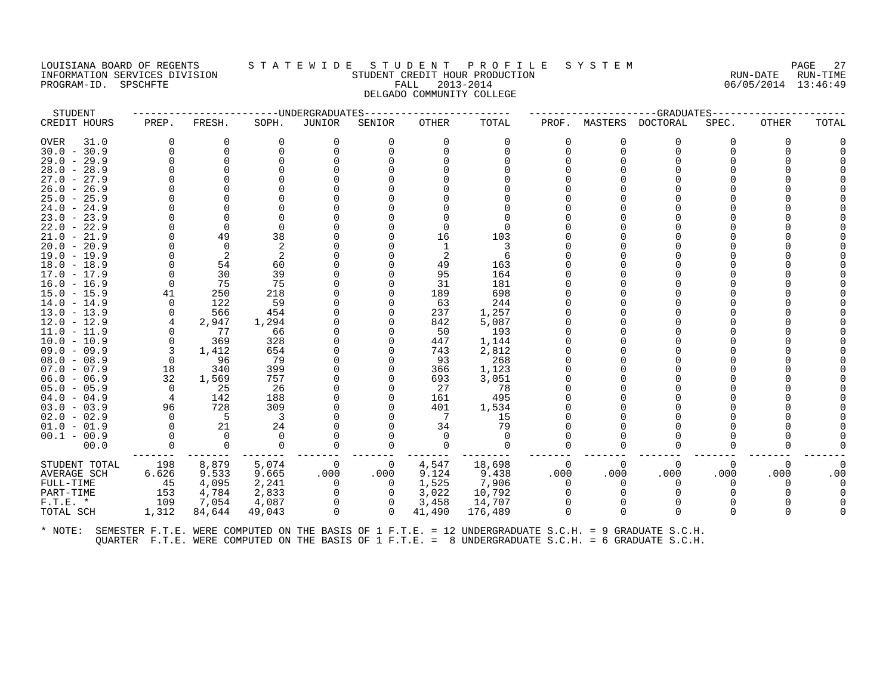#### LOUISIANA BOARD OF REGENTS S T A T E W I D E S T U D E N T P R O F I L E S Y S T E M PAGE 27 INFORMATION SERVICES DIVISION STUDENT CREDIT HOUR PRODUCTION RUN-DATE RUN-TIME PROGRAM-ID. SPSCHFTE FALL 2013-2014 06/05/2014 13:46:49 DELGADO COMMUNITY COLLEGE

| STUDENT                        |                |                |             | ----------------------UNDERGRADUATES |          | -------------- |              |          |          | ------------------GRADUATES----- |       |              |       |
|--------------------------------|----------------|----------------|-------------|--------------------------------------|----------|----------------|--------------|----------|----------|----------------------------------|-------|--------------|-------|
| CREDIT HOURS                   | PREP.          | FRESH.         | SOPH.       | JUNIOR                               | SENIOR   | OTHER          | TOTAL        | PROF.    | MASTERS  | DOCTORAL                         | SPEC. | <b>OTHER</b> | TOTAL |
| OVER<br>31.0                   | $\Omega$       | 0              | 0           | $\Omega$                             | 0        | $\Omega$       | $\Omega$     | $\Omega$ | O        | $\Omega$                         | 0     | $\Omega$     |       |
| $30.0 - 30.9$                  | $\Omega$       | $\Omega$       |             |                                      |          |                |              | 0        | $\Omega$ | $\Omega$                         |       |              |       |
| $29.0 - 29.9$                  |                | $\Omega$       |             |                                      |          |                |              |          |          |                                  |       |              |       |
| $28.0 - 28.9$                  |                |                |             |                                      |          |                |              |          |          |                                  |       |              |       |
| $27.0 - 27.9$                  |                |                |             |                                      |          |                |              |          |          |                                  |       |              |       |
| $26.0 - 26.9$                  |                |                |             |                                      |          |                |              |          |          |                                  |       |              |       |
| $25.0 - 25.9$                  |                |                |             |                                      |          |                |              |          |          |                                  |       |              |       |
| $24.0 - 24.9$                  |                |                |             |                                      |          |                |              |          |          |                                  |       |              |       |
| $23.0 - 23.9$                  |                |                |             |                                      |          |                |              |          |          |                                  |       |              |       |
| $22.0 - 22.9$                  |                | $\Omega$       |             |                                      |          |                |              |          |          |                                  |       |              |       |
| $21.0 - 21.9$                  | $\Omega$       | 49             | 38          |                                      |          | 16             | 103          |          |          |                                  |       |              |       |
| $20.0 - 20.9$                  | $\Omega$       | $\Omega$       |             |                                      |          |                |              |          |          |                                  |       |              |       |
| 19.0 - 19.9                    | $\Omega$       | 2              |             |                                      |          | -2             | 6            |          |          |                                  |       |              |       |
| $18.0 - 18.9$                  |                | 54             | 60          |                                      |          | 49             | 163          |          |          |                                  |       |              |       |
| 17.0 - 17.9                    | $\Omega$       | 30             | 39          |                                      |          | 95             | 164          |          |          |                                  |       |              |       |
| $16.0 - 16.9$                  | $\Omega$       | 75             | 75          |                                      |          | 31             | 181          |          |          |                                  |       |              |       |
| $15.0 - 15.9$                  | 41             | 250            | 218         |                                      |          | 189            | 698          |          |          |                                  |       |              |       |
| $14.0 - 14.9$                  | $\Omega$       | 122            | 59          |                                      |          | 63             | 244          |          |          |                                  |       |              |       |
| $13.0 - 13.9$                  | 0              | 566            | 454         |                                      |          | 237            | 1,257        |          |          |                                  |       |              |       |
| $12.0 - 12.9$                  | 4<br>$\Omega$  | 2,947<br>77    | 1,294<br>66 |                                      |          | 842<br>50      | 5,087<br>193 |          |          |                                  |       |              |       |
| $11.0 - 11.9$<br>$10.0 - 10.9$ | $\Omega$       | 369            | 328         |                                      |          | 447            | 1,144        |          |          |                                  |       |              |       |
| $09.0 - 09.9$                  | 3              | 1,412          | 654         |                                      |          | 743            | 2,812        |          |          |                                  |       |              |       |
| $08.0 - 08.9$                  | $\overline{0}$ | 96             | 79          |                                      |          | 93             | 268          |          |          |                                  |       |              |       |
| $07.0 - 07.9$                  | 18             | 340            | 399         |                                      |          | 366            | 1,123        |          |          |                                  |       |              |       |
| $06.0 - 06.9$                  | 32             | 1,569          | 757         |                                      |          | 693            | 3,051        |          |          |                                  |       |              |       |
| $05.0 - 05.9$                  | $\overline{0}$ | - 25           | -26         |                                      |          | 27             | 78           |          |          |                                  |       |              |       |
| $04.0 - 04.9$                  | $\overline{4}$ | 142            | 188         |                                      |          | 161            | 495          |          |          |                                  |       |              |       |
| $03.0 - 03.9$                  | 96             | 728            | 309         |                                      |          | 401            | 1,534        |          |          |                                  |       |              |       |
| $02.0 - 02.9$                  | $\Omega$       | $-5$           | - 3         |                                      |          | - 7            | 15           |          |          |                                  |       |              |       |
| $01.0 - 01.9$                  | $\mathbf 0$    | 21             | 24          |                                      |          | 34             | 79           |          |          |                                  |       |              |       |
| $00.1 - 00.9$                  | $\Omega$       | $\overline{0}$ | $\Omega$    |                                      |          | $\Omega$       | $\Omega$     |          |          |                                  |       |              |       |
| 00.0                           | $\Omega$       | $\mathbf 0$    | $\Omega$    |                                      | $\Omega$ | $\Omega$       | $\Omega$     | $\Omega$ | ∩        | $\Omega$                         |       |              |       |
| STUDENT TOTAL                  | 198            | 8,879          | 5,074       | 0                                    | 0        | 4,547          | 18,698       | $\Omega$ | $\Omega$ | $\mathbf 0$                      | 0     | $\Omega$     |       |
| AVERAGE SCH                    | 6.626          | 9.533          | 9.665       | .000                                 | .000     | 9.124          | 9.438        | .000     | .000     | .000                             | .000  | .000         | .00   |
| FULL-TIME                      | 45             | 4,095          | 2,241       | $\Omega$                             | $\Omega$ | 1,525          | 7,906        | $\Omega$ | $\Omega$ | $\Omega$                         | 0     | $\Omega$     |       |
| PART-TIME                      | 153            | 4,784          | 2,833       |                                      | 0        | 3,022          | 10,792       | $\Omega$ |          | $\Omega$                         |       |              |       |
| $F.T.E. *$                     | 109            | 7,054          | 4,087       | $\Omega$                             | $\Omega$ | 3,458          | 14,707       | $\Omega$ |          |                                  |       |              |       |
| TOTAL SCH                      | 1,312          | 84,644         | 49,043      | $\Omega$                             | $\Omega$ | 41,490         | 176,489      | $\Omega$ | $\Omega$ | $\Omega$                         |       | ∩            |       |
|                                |                |                |             |                                      |          |                |              |          |          |                                  |       |              |       |
|                                |                |                |             |                                      |          |                |              |          |          |                                  |       |              |       |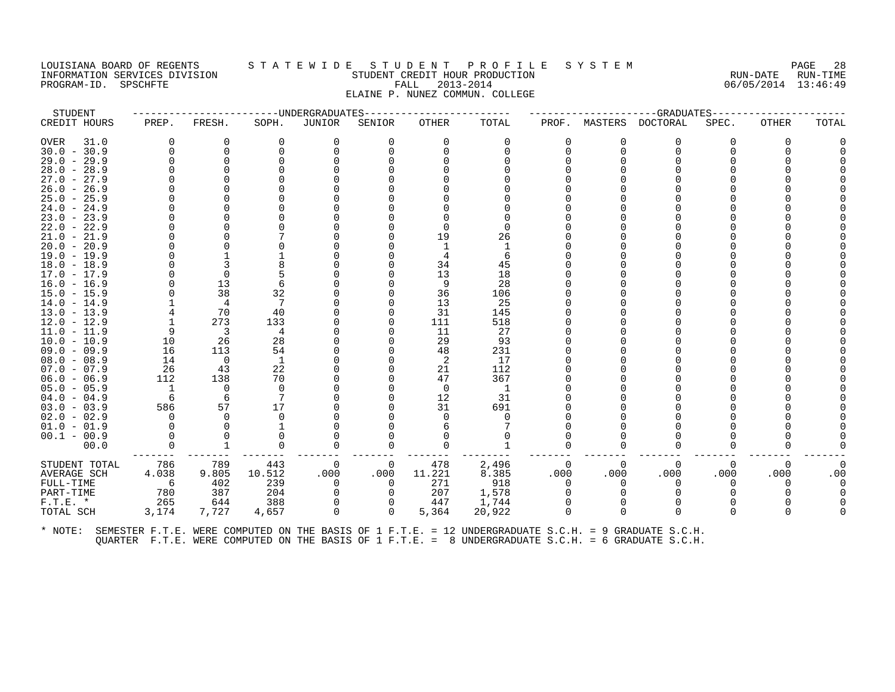# LOUISIANA BOARD OF REGENTS STATEWIDE STUDENT PROFILE SYSTEM PAGE 28<br>INFORMATION SERVICES DIVISION STUDENT CREDITION STUDENT CREDITION PRODUCTION CONTROLLATION CREDITION CONTROLLATION INFORMATION SERVICES DIVISION STUDENT CREDIT HOUR PRODUCTION RUN-DATE RUN-TIME PROGRAM-ID. SPSCHFTE FALL 2013-2014 06/05/2014 13:46:49 ELAINE P. NUNEZ COMMUN. COLLEGE

STUDENT ------------------------UNDERGRADUATES------------------------ ---------------------GRADUATES---------------------- CREDIT HOURS PREP. FRESH. SOPH. JUNIOR SENIOR OTHER TOTAL PROF. MASTERS DOCTORAL SPEC. OTHER TOTAL OVER 31.0 0 0 0 0 0 0 0 0 0 0 0 0 0 30.0 - 30.9 0 0 0 0 0 0 0 0 0 0 0 0 0 29.0 - 29.9 0 0 0 0 0 0 0 0 0 0 0 0 0 28.0 - 28.9 0 0 0 0 0 0 0 0 0 0 0 0 0 27.0 - 27.9 0 0 0 0 0 0 0 0 0 0 0 0 0 26.0 - 26.9 0 0 0 0 0 0 0 0 0 0 0 0 0 25.0 - 25.9 0 0 0 0 0 0 0 0 0 0 0 0 0 24.0 - 24.9 0 0 0 0 0 0 0 0 0 0 0 0 0 23.0 - 23.9 0 0 0 0 0 0 0 0 0 0 0 0 0 22.0 - 22.9 0 0 0 0 0 0 0 0 0 0 0 0 0 21.0 - 21.9 0 0 7 0 0 19 26 0 0 0 0 0 0 20.0 - 20.9 0 0 0 0 0 1 1 0 0 0 0 0 0 19.0 - 19.9 0 1 1 0 0 4 6 0 0 0 0 0 0 18.0 - 18.9 0 3 8 0 0 34 45 0 0 0 0 0 0 17.0 - 17.9 0 0 5 0 0 13 18 0 0 0 0 0 0 16.0 - 16.9 0 13 6 0 0 9 28 0 0 0 0 0 0 15.0 - 15.9 0 38 32 0 0 36 106 0 0 0 0 0 0 14.0 - 14.9 1 4 7 0 0 13 25 0 0 0 0 0 0 13.0 - 13.9 4 70 40 0 0 31 145 0 0 0 0 0 0 12.0 - 12.9 1 273 133 0 0 111 518 0 0 0 0 0 0 11.0 - 11.9 9 3 4 0 0 11 27 0 0 0 0 0 0 10.0 - 10.9 10 26 28 0 0 29 93 0 0 0 0 0 0 09.0 - 09.9 16 113 54 0 0 48 231 0 0 0 0 0 0 08.0 - 08.9 14 0 1 0 0 2 17 0 0 0 0 0 0 07.0 - 07.9 26 43 22 0 0 21 112 0 0 0 0 0 0 06.0 - 06.9 112 138 70 0 0 47 367 0 0 0 0 0 0 05.0 - 05.9 1 0 0 0 0 0 1 0 0 0 0 0 0 04.0 - 04.9 6 6 7 0 0 12 31 0 0 0 0 0 0 03.0 - 03.9 586 57 17 0 0 31 691 0 0 0 0 0 0 02.0 - 02.9 0 0 0 0 0 0 0 0 0 0 0 0 0 01.0 - 01.9 0 0 1 0 0 6 7 0 0 0 0 0 0 00.1 - 00.9 0 0 0 0 0 0 0 0 0 0 0 0 0 00.0 0 1 0 0 0 0 1 0 0 0 0 0 0 ------- ------- ------- ------- ------- ------- -------- ------- ------- ------- ------- ------- ------- STUDENT TOTAL 786 789 443 0 0 478 2,496 0 0 0 0 0 0 AVERAGE SCH 4.038 9.805 10.512 .000 .000 11.221 8.385 .000 .000 .000 .000 .000 .00 FULL-TIME 6 402 239 0 0 271 918 0 0 0 0 0 0 PART-TIME 780 387 204 0 0 207 1,578 0 0 0 0 0 0 F.T.E. \* 265 644 388 0 0 447 1,744 0 0 0 0 0 0 TOTAL SCH 3,174 7,727 4,657 0 0 5,364 20,922 0 0 0 0 0 0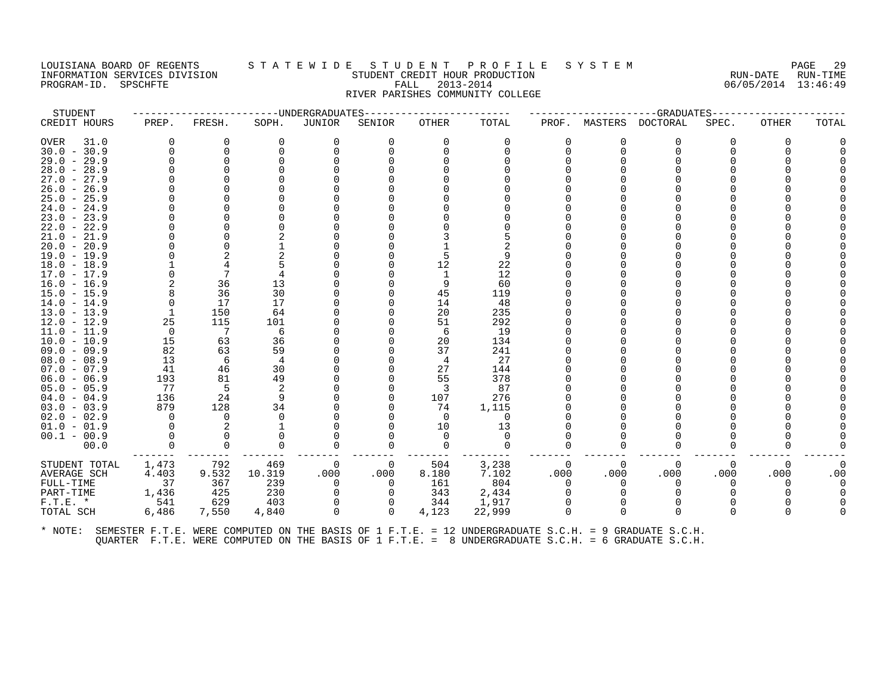# LOUISIANA BOARD OF REGENTS STATEWIDE STUDE NT PROFILE SYSTEM PAGE 29<br>TNEORMATION SERVICES DIVISION STUDENT CREDIT HOUR PRODUCTION PROFICE RUN-DATE RUN-TIME INFORMATION SERVICES DIVISION STUDENT CREDIT HOUR PRODUCTION RUN-DATE RUN-TIME PROGRAM-ID. SPSCHFTE FALL 2013-2014 06/05/2014 13:46:49 RIVER PARISHES COMMUNITY COLLEGE

STUDENT ------------------------UNDERGRADUATES------------------------ ---------------------GRADUATES---------------------- CREDIT HOURS PREP. FRESH. SOPH. JUNIOR SENIOR OTHER TOTAL PROF. MASTERS DOCTORAL SPEC. OTHER TOTAL OVER 31.0 0 0 0 0 0 0 0 0 0 0 0 0 0 30.0 - 30.9 0 0 0 0 0 0 0 0 0 0 0 0 0 29.0 - 29.9 0 0 0 0 0 0 0 0 0 0 0 0 0 28.0 - 28.9 0 0 0 0 0 0 0 0 0 0 0 0 0 27.0 - 27.9 0 0 0 0 0 0 0 0 0 0 0 0 0 26.0 - 26.9 0 0 0 0 0 0 0 0 0 0 0 0 0 25.0 - 25.9 0 0 0 0 0 0 0 0 0 0 0 0 0 24.0 - 24.9 0 0 0 0 0 0 0 0 0 0 0 0 0 23.0 - 23.9 0 0 0 0 0 0 0 0 0 0 0 0 0 22.0 - 22.9 0 0 0 0 0 0 0 0 0 0 0 0 0 21.0 - 21.9 0 0 2 0 0 3 5 0 0 0 0 0 0 20.0 - 20.9 0 0 1 0 0 1 2 0 0 0 0 0 0 19.0 - 19.9 0 2 2 0 0 5 9 0 0 0 0 0 0 18.0 - 18.9 1 4 5 0 0 12 22 0 0 0 0 0 0 17.0 - 17.9 0 7 4 0 0 1 12 0 0 0 0 0 0 16.0 - 16.9 2 36 13 0 0 9 60 0 0 0 0 0 0 15.0 - 15.9 8 36 30 0 0 45 119 0 0 0 0 0 0 14.0 - 14.9 0 17 17 0 0 14 48 0 0 0 0 0 0 13.0 - 13.9 1 150 64 0 0 20 235 0 0 0 0 0 0 12.0 - 12.9 25 115 101 0 0 51 292 0 0 0 0 0 0 11.0 - 11.9 0 7 6 0 0 6 19 0 0 0 0 0 0 10.0 - 10.9 15 63 36 0 0 20 134 0 0 0 0 0 0 09.0 - 09.9 82 63 59 0 0 37 241 0 0 0 0 0 0 08.0 - 08.9 13 6 4 0 0 4 27 0 0 0 0 0 0 07.0 - 07.9 41 46 30 0 0 27 144 0 0 0 0 0 0 06.0 - 06.9 193 81 49 0 0 55 378 0 0 0 0 0 0 05.0 - 05.9 77 5 2 0 0 3 87 0 0 0 0 0 0 04.0 - 04.9 136 24 9 0 0 107 276 0 0 0 0 0 0 03.0 - 03.9 879 128 34 0 0 74 1,115 0 0 0 0 0 0 02.0 - 02.9 0 0 0 0 0 0 0 0 0 0 0 0 0 01.0 - 01.9 0 2 1 0 0 10 13 0 0 0 0 0 0 0 00.1 - 00.9 0 0 0 0 0 0 0 0 0 0 0 0 0 00.0 0 0 0 0 0 0 0 0 0 0 0 0 0 ------- ------- ------- ------- ------- ------- -------- ------- ------- ------- ------- ------- ------- STUDENT TOTAL 1,473 792 469 0 0 504 3,238 0 0 0 0 0 0 AVERAGE SCH 4.403 9.532 10.319 .000 .000 8.180 7.102 .000 .000 .000 .000 .000 .00 FULL-TIME 37 367 239 0 0 161 804 0 0 0 0 0 0 PART-TIME 1,436 425 230 0 0 343 2,434 0 0 0 0 0 0 F.T.E. \* 541 629 403 0 0 344 1,917 0 0 0 0 0 0 TOTAL SCH 6,486 7,550 4,840 0 0 4,123 22,999 0 0 0 0 0 0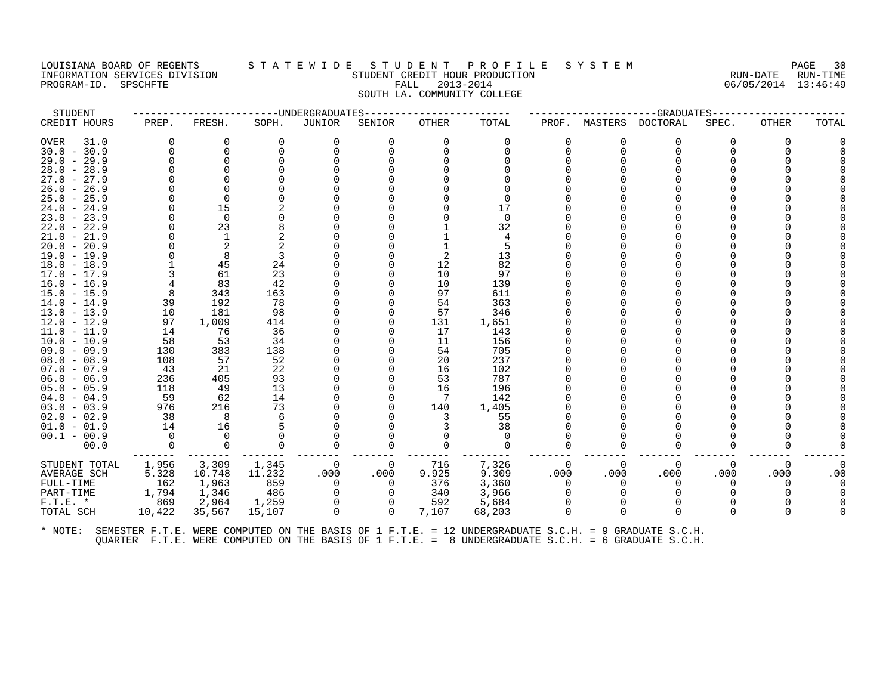PROGRAM-ID. SPSCHFTE

# LOUISIANA BOARD OF REGENTS STATEWIDE STUDENT PROFILE SYSTEM PAGE 30<br>INFORMATION SERVICES DIVISION STUDENT CREDIT HOUR PRODUCTION FORD PROMETT ON RUN-DATE RUN-TIME INFORMATION SERVICES DIVISION SUNGLERICAL STUDENT CREDIT HOUR PRODUCTION SUNGLERIC RUN-DATE RUN-TIME<br>PROGRAM-ID. SPSCHFTE SUN-TIME SERVICES SUNGLERICAL PALL 2013-2014 STALL 2013-2014 SOUTH LA. COMMUNITY COLLEGE

| STUDENT       |          |          | --------------------WNDERGRADUATES |                |          |          |          |          |              | ------------GRADUATES----- |          |          |       |
|---------------|----------|----------|------------------------------------|----------------|----------|----------|----------|----------|--------------|----------------------------|----------|----------|-------|
| CREDIT HOURS  | PREP.    | FRESH.   | SOPH.                              | JUNIOR         | SENIOR   | OTHER    | TOTAL    | PROF.    | MASTERS      | <b>DOCTORAL</b>            | SPEC.    | OTHER    | TOTAL |
| OVER<br>31.0  | $\Omega$ | O        | $\Omega$                           | $\Omega$       | $\Omega$ | $\Omega$ | 0        | 0        | 0            | $\Omega$                   | 0        |          |       |
| $30.0 - 30.9$ | $\Omega$ | $\Omega$ |                                    | $\Omega$       |          | $\Omega$ |          | $\Omega$ | $\Omega$     | $\Omega$                   |          |          |       |
| $29.0 - 29.9$ | $\Omega$ | $\Omega$ |                                    |                |          |          |          |          |              |                            |          |          |       |
| $28.0 - 28.9$ |          |          |                                    |                |          |          |          |          |              |                            |          |          |       |
| $27.0 - 27.9$ |          |          |                                    |                |          |          |          |          |              |                            |          |          |       |
| $26.0 - 26.9$ |          | $\Omega$ |                                    |                |          |          |          |          |              |                            |          |          |       |
| $25.0 - 25.9$ |          | $\Omega$ |                                    |                |          |          | $\Omega$ |          |              |                            |          |          |       |
| $24.0 - 24.9$ |          | 15       |                                    |                |          |          | 17       |          |              |                            |          |          |       |
| $23.0 - 23.9$ |          | $\Omega$ |                                    |                |          |          | $\Omega$ |          |              |                            |          |          |       |
| $22.0 - 22.9$ |          | 23       |                                    |                |          |          | 32       |          |              |                            |          |          |       |
| $21.0 - 21.9$ |          |          |                                    |                |          |          |          |          |              |                            |          |          |       |
| $20.0 - 20.9$ |          | 2        |                                    |                |          |          |          |          |              |                            |          |          |       |
| $19.0 - 19.9$ |          | 8        |                                    |                |          | 2        | 13       |          |              |                            |          |          |       |
| $18.0 - 18.9$ |          | 45       | 24                                 |                |          | 12       | 82       |          |              |                            |          |          |       |
| $17.0 - 17.9$ |          | 61       | 23                                 |                |          | 10       | 97       |          |              |                            |          |          |       |
| $16.0 - 16.9$ |          | 83       | 42                                 |                |          | 10       | 139      |          |              |                            |          |          |       |
| $15.0 - 15.9$ | 8        | 343      | 163                                |                |          | 97       | 611      |          |              |                            |          |          |       |
| $14.0 - 14.9$ | 39       | 192      | 78                                 |                |          | 54       | 363      |          |              |                            |          |          |       |
| $13.0 - 13.9$ | 10       | 181      | 98                                 |                |          | 57       | 346      |          |              |                            |          |          |       |
| $12.0 - 12.9$ | 97       | 1,009    | 414                                |                |          | 131      | 1,651    |          |              |                            |          |          |       |
| $11.0 - 11.9$ | 14       | 76       | 36                                 |                |          | 17       | 143      |          |              |                            |          |          |       |
| $10.0 - 10.9$ | 58       | 53       | 34                                 |                |          | 11       | 156      |          |              |                            |          |          |       |
| $09.0 - 09.9$ | 130      | 383      | 138                                |                |          | 54       | 705      |          |              |                            |          |          |       |
| $08.0 - 08.9$ | 108      | 57       | 52                                 |                |          | 20       | 237      |          |              |                            |          |          |       |
| $07.0 - 07.9$ | 43       | 21       | 22                                 |                |          | 16       | 102      |          |              |                            |          |          |       |
| $06.0 - 06.9$ | 236      | 405      | 93                                 |                |          | 53       | 787      |          |              |                            |          |          |       |
| $05.0 - 05.9$ | 118      | 49       | 13                                 |                |          | 16       | 196      |          |              |                            |          |          |       |
| $04.0 - 04.9$ | 59       | 62       | 14                                 |                |          |          | 142      |          |              |                            |          |          |       |
| $03.0 - 03.9$ | 976      | 216      | 73                                 |                |          | 140      | 1,405    |          |              |                            |          |          |       |
| $02.0 - 02.9$ | 38       | 8        | 6                                  |                |          | 3        | 55       |          |              |                            |          |          |       |
| $01.0 - 01.9$ | 14       | 16       |                                    |                |          |          | 38       |          |              |                            |          |          |       |
| $00.1 - 00.9$ | $\Omega$ | $\cap$   |                                    |                |          | ∩        | $\Omega$ |          |              |                            |          |          |       |
| 00.0          | $\Omega$ | $\Omega$ |                                    | 0              | $\Omega$ | $\Omega$ | $\Omega$ | $\Omega$ | <sup>0</sup> | $\Omega$                   |          |          |       |
| STUDENT TOTAL | 1,956    | 3,309    | 1,345                              | - 0            | 0        | 716      | 7,326    | 0        | 0            | 0                          | 0        | $\Omega$ |       |
| AVERAGE SCH   | 5.328    | 10.748   | 11.232                             | .000           | .000     | 9.925    | 9.309    | .000     | .000         | .000                       | .000     | .000     | .00   |
| FULL-TIME     | 162      | 1,963    | 859                                | $\overline{0}$ | 0        | 376      | 3,360    | $\Omega$ | $\Omega$     | $\Omega$                   | 0        |          |       |
| PART-TIME     | 1,794    | 1,346    | 486                                | 0              | $\Omega$ | 340      | 3,966    | $\Omega$ |              |                            |          |          |       |
| $F.T.E. *$    | 869      | 2,964    | 1,259                              | $\mathbf 0$    | $\Omega$ | 592      | 5,684    | $\Omega$ |              |                            |          |          |       |
| TOTAL SCH     | 10,422   | 35,567   | 15,107                             | 0              | $\Omega$ | 7,107    | 68,203   | $\Omega$ | $\Omega$     | $\Omega$                   | $\Omega$ |          |       |
|               |          |          |                                    |                |          |          |          |          |              |                            |          |          |       |
|               |          |          |                                    |                |          |          |          |          |              |                            |          |          |       |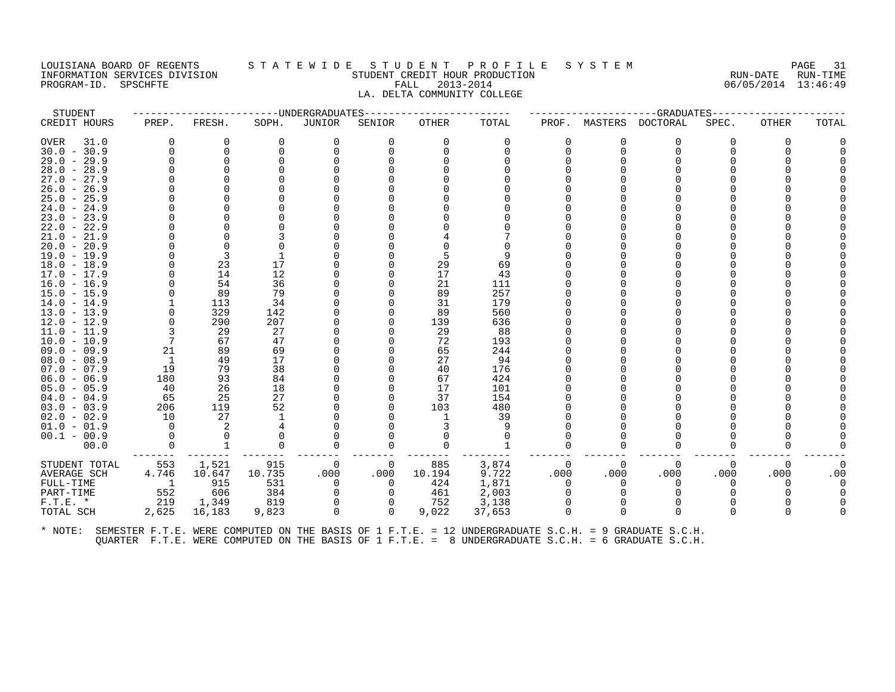#### LOUISIANA BOARD OF REGENTS S T A T E W I D E S T U D E N T P R O F I L E S Y S T E M PAGE 31 INFORMATION SERVICES DIVISION STUDENT CREDIT HOUR PRODUCTION RUN-DATE RUN-TIME PROGRAM-ID. SPSCHFTE FALL 2013-2014 06/05/2014 13:46:49 LA. DELTA COMMUNITY COLLEGE

| STUDENT       |                          |             | --------------------UNDERGRADUATES |             | --------------- |          | ------------------GRADUATES----- |                |          |              |              |          |       |
|---------------|--------------------------|-------------|------------------------------------|-------------|-----------------|----------|----------------------------------|----------------|----------|--------------|--------------|----------|-------|
| CREDIT HOURS  | PREP.                    | FRESH.      | SOPH.                              | JUNIOR      | SENIOR          | OTHER    | TOTAL                            | PROF.          | MASTERS  | DOCTORAL     | SPEC.        | OTHER    | TOTAL |
| OVER<br>31.0  | $\Omega$                 | 0           | $\Omega$                           | 0           | 0               | $\Omega$ | $\Omega$                         | 0              | O        | $\Omega$     | 0            | 0        |       |
| $30.0 - 30.9$ | $\Omega$                 | $\Omega$    | $\Omega$                           | $\Omega$    | U               | $\Omega$ |                                  | $\Omega$       | $\Omega$ | $\Omega$     |              |          |       |
| $29.0 - 29.9$ | $\Omega$                 | $\mathbf 0$ |                                    |             |                 |          |                                  |                |          |              |              |          |       |
| $28.0 - 28.9$ |                          |             |                                    |             |                 |          |                                  |                |          |              |              |          |       |
| $27.0 - 27.9$ |                          |             |                                    |             |                 |          |                                  |                |          |              |              |          |       |
| $26.0 - 26.9$ |                          |             |                                    |             |                 |          |                                  |                |          |              |              |          |       |
| $25.0 - 25.9$ |                          |             |                                    |             |                 |          |                                  |                |          |              |              |          |       |
| $24.0 - 24.9$ |                          |             |                                    |             |                 |          |                                  |                |          |              |              |          |       |
| $23.0 - 23.9$ |                          |             |                                    |             |                 |          |                                  |                |          |              |              |          |       |
| $22.0 - 22.9$ |                          |             |                                    |             |                 |          |                                  |                |          |              |              |          |       |
| $21.0 - 21.9$ |                          |             |                                    |             |                 |          |                                  |                |          |              |              |          |       |
| $20.0 - 20.9$ |                          |             |                                    |             |                 |          |                                  |                |          |              |              |          |       |
| $19.0 - 19.9$ |                          | 3           |                                    |             |                 | 5        | 9                                |                |          |              |              |          |       |
| $18.0 - 18.9$ |                          | 23          | 17                                 |             |                 | 29       | 69                               |                |          |              |              |          |       |
| 17.0 - 17.9   |                          | 14          | 12                                 |             |                 | 17       | 43                               |                |          |              |              |          |       |
| $16.0 - 16.9$ |                          | 54          | 36                                 |             |                 | 21       | 111                              |                |          |              |              |          |       |
| $15.0 - 15.9$ |                          | 89          | 79                                 |             |                 | 89       | 257                              |                |          |              |              |          |       |
| $14.0 - 14.9$ |                          | 113         | 34                                 |             |                 | 31       | 179                              |                |          |              |              |          |       |
| $13.0 - 13.9$ |                          | 329         | 142                                |             |                 | 89       | 560                              |                |          |              |              |          |       |
| $12.0 - 12.9$ |                          | 290         | 207                                |             |                 | 139      | 636                              |                |          |              |              |          |       |
| $11.0 - 11.9$ |                          | 29          | 27                                 |             |                 | 29       | 88                               |                |          |              |              |          |       |
| $10.0 - 10.9$ | 7                        | 67          | 47                                 |             |                 | 72       | 193                              |                |          |              |              |          |       |
| $09.0 - 09.9$ | 21                       | 89          | 69                                 |             |                 | 65       | 244                              |                |          |              |              |          |       |
| $08.0 - 08.9$ | -1                       | 49          | 17                                 |             |                 | 27       | 94                               |                |          |              |              |          |       |
| $07.0 - 07.9$ | 19                       | 79          | 38                                 |             |                 | 40       | 176                              |                |          |              |              |          |       |
| $06.0 - 06.9$ | 180                      | 93          | 84                                 |             |                 | 67       | 424                              |                |          |              |              |          |       |
| $05.0 - 05.9$ | 40                       | 26          | 18                                 |             |                 | 17       | 101                              |                |          |              |              |          |       |
| $04.0 - 04.9$ | 65                       | 25          | 27                                 |             |                 | 37       | 154                              |                |          |              |              |          |       |
| $03.0 - 03.9$ | 206                      | 119         | 52                                 |             |                 | 103      | 480                              |                |          |              |              |          |       |
| $02.0 - 02.9$ | 10                       | 27          |                                    |             |                 | 1        | 39                               |                |          |              |              |          |       |
| $01.0 - 01.9$ | $\Omega$                 | 2           |                                    |             |                 |          | 9                                |                |          |              |              |          |       |
| $00.1 - 00.9$ |                          |             |                                    |             |                 |          |                                  |                |          |              |              |          |       |
| 00.0          | $\Omega$                 | 1           | $\Omega$                           | $\Omega$    | 0               | $\Omega$ |                                  | $\Omega$       |          | $\Omega$     | <sup>0</sup> |          |       |
| STUDENT TOTAL | 553                      | 1,521       | 915                                | 0           | 0               | 885      | 3,874                            | $\Omega$       | $\Omega$ | $\Omega$     | $\Omega$     | $\Omega$ | 0     |
| AVERAGE SCH   | 4.746                    | 10.647      | 10.735                             | .000        | .000            | 10.194   | 9.722                            | .000           | .000     | .000         | .000         | .000     | .00   |
| FULL-TIME     | $\overline{\phantom{0}}$ | 915         | 531                                | 0           | 0               | 424      | 1,871                            | $\overline{0}$ |          | 0            | $\Omega$     | O        |       |
| PART-TIME     | 552                      | 606         | 384                                | $\mathbf 0$ | 0               | 461      | 2,003                            | 0              |          |              |              |          |       |
| $F.T.E. *$    | 219                      | 1,349       | 819                                |             | $\Omega$        | 752      | 3,138                            |                |          |              |              |          |       |
| TOTAL SCH     | 2,625                    | 16,183      | 9,823                              | $\mathbf 0$ | $\Omega$        | 9,022    | 37,653                           | $\Omega$       |          | <sup>n</sup> | $\Omega$     |          |       |
|               |                          |             |                                    |             |                 |          |                                  |                |          |              |              |          |       |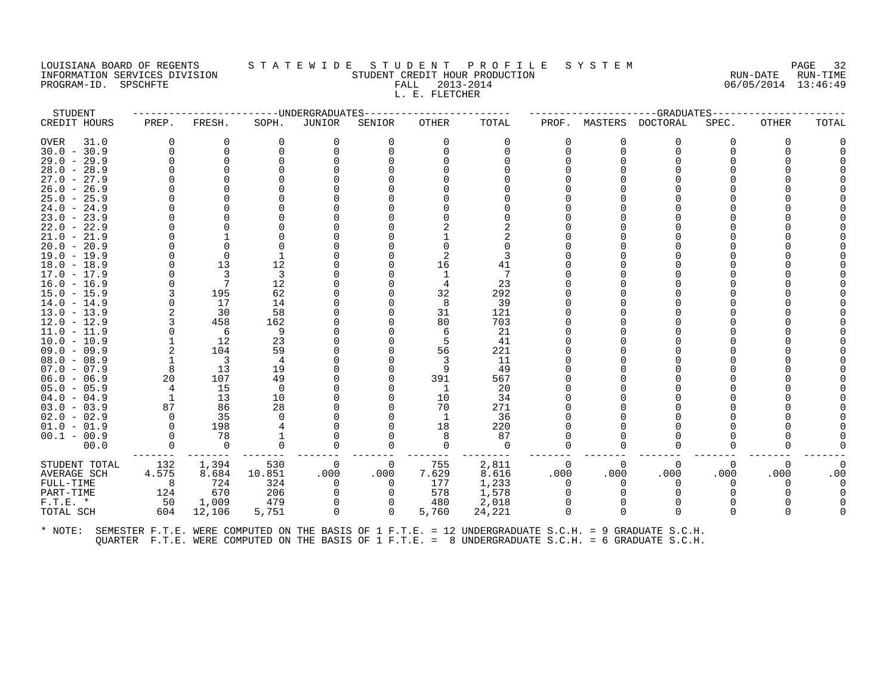# LOUISIANA BOARD OF REGENTS STATEWIDE STUDENT PROFILE SYSTEM PAGE 32<br>INFORMATION SERVICES DIVISION STATEWES STUDENT CREDIT HOUR PRODUCTION ASSESSED TO A SERVICE RUN-DATE RUN-TIME INFORMATION STUDENT CREDIT HOUR PRODUCTION STUDENT CREDIT HOUR PRODUCTION RUN-DATE RUN-TIME<br>FALL 2013-2014 RUN-DATE RUN-DATE RUN-TIME PROGRAM-ID. SPSCHFTE FALL 2013-2014 L. E. FLETCHER

STUDENT ------------------------UNDERGRADUATES------------------------ ---------------------GRADUATES----------------------

| OVER<br>31.0<br>$30.0 - 30.9$<br>$29.0 - 29.9$<br>$28.0 - 28.9$<br>$27.0 - 27.9$<br>$26.0 - 26.9$<br>$25.0 - 25.9$<br>$24.0 - 24.9$<br>$23.0 - 23.9$<br>$22.0 - 22.9$<br>$21.0 - 21.9$<br>$20.0 - 20.9$<br>$19.0 - 19.9$<br>$18.0 - 18.9$<br>$17.0 - 17.9$<br>$16.0 - 16.9$<br>$15.0 - 15.9$<br>$14.0 - 14.9$<br>$13.0 - 13.9$<br>$12.0 - 12.9$<br>11.0 - 11.9<br>$10.0 - 10.9$<br>$09.0 - 09.9$<br>$08.0 - 08.9$<br>$07.0 - 07.9$<br>$06.0 - 06.9$ | 0<br>$\Omega$<br>8<br>20<br>4                                 | 0<br>$\Omega$<br>13<br>3<br>7<br>195<br>17<br>30<br>458<br>6<br>12<br>104<br>3<br>13<br>107 | $\Omega$<br>12<br>3<br>12<br>62<br>14<br>58<br>162<br>9<br>23<br>59<br>$\overline{4}$<br>19<br>49<br>$\Omega$ | 0                                              | $\Omega$                          | 0<br>16<br>32<br>8<br>31<br>80<br>56<br>391 | 0<br>$\Omega$<br>41<br>23<br>292<br>39<br>121<br>703<br>21<br>41<br>221<br>11<br>49<br>567<br>20 | 0<br>U                               | 0<br>$\Omega$                          | 0<br>$\Omega$                                                        | 0                                      | 0                          |     |
|-----------------------------------------------------------------------------------------------------------------------------------------------------------------------------------------------------------------------------------------------------------------------------------------------------------------------------------------------------------------------------------------------------------------------------------------------------|---------------------------------------------------------------|---------------------------------------------------------------------------------------------|---------------------------------------------------------------------------------------------------------------|------------------------------------------------|-----------------------------------|---------------------------------------------|--------------------------------------------------------------------------------------------------|--------------------------------------|----------------------------------------|----------------------------------------------------------------------|----------------------------------------|----------------------------|-----|
| $05.0 - 05.9$<br>$04.0 - 04.9$<br>$03.0 - 03.9$<br>$02.0 - 02.9$<br>$01.0 - 01.9$                                                                                                                                                                                                                                                                                                                                                                   | $\mathbf{1}$<br>87<br>$\Omega$<br>$\Omega$                    | 15<br>13<br>86<br>35<br>198                                                                 | 10<br>28                                                                                                      |                                                |                                   | 10<br>70<br>-1<br>18                        | 34<br>271<br>36<br>220                                                                           |                                      |                                        |                                                                      |                                        |                            |     |
| $00.1 - 00.9$<br>00.0<br>STUDENT TOTAL<br>AVERAGE SCH<br>FULL-TIME<br>PART-TIME<br>$F.T.E. *$<br>TOTAL SCH                                                                                                                                                                                                                                                                                                                                          | $\Omega$<br>$\Omega$<br>132<br>4.575<br>8<br>124<br>50<br>604 | 78<br>$\Omega$<br>1,394<br>8.684<br>724<br>670<br>1,009<br>12,106                           | 0<br>530<br>10.851<br>324<br>206<br>479<br>5,751                                                              | $\overline{0}$<br>.000<br>$\Omega$<br>$\Omega$ | 0<br>.000<br>$\Omega$<br>$\Omega$ | 755<br>7.629<br>177<br>578<br>480<br>5,760  | 87<br>$\Omega$<br>2,811<br>8.616<br>1,233<br>1,578<br>2,018<br>24,221                            | 0<br>0<br>.000<br>$\Omega$<br>O<br>U | ∩<br>$\Omega$<br>.000<br>∩<br>$\Omega$ | $\Omega$<br>$\Omega$<br>.000<br>$\Omega$<br><sup>0</sup><br>$\Omega$ | O<br>$\Omega$<br>.000<br>0<br>$\Omega$ | $\Omega$<br>.000<br>O<br>∩ | .00 |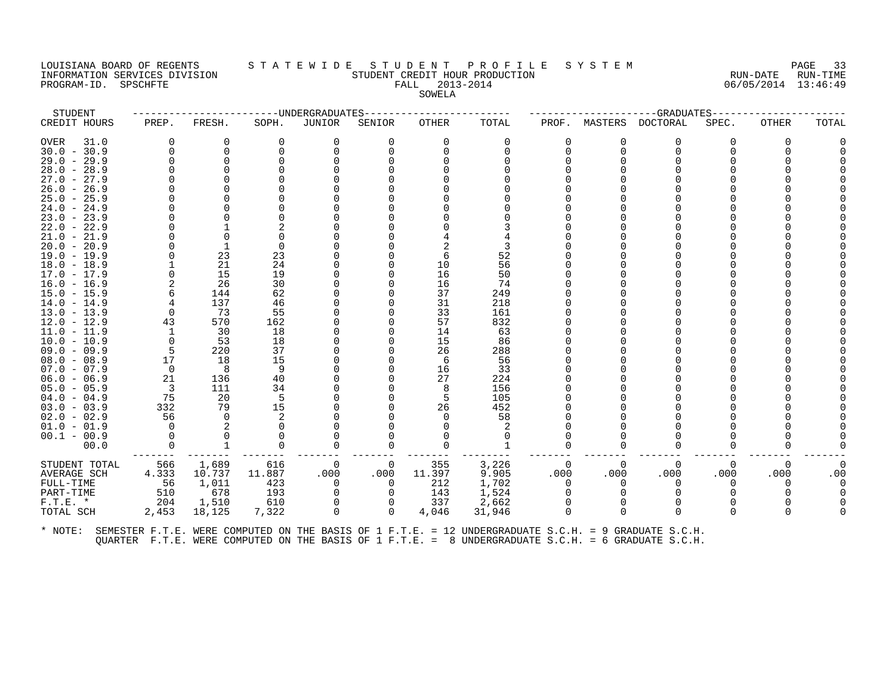# LOUISIANA BOARD OF REGENTS STATEWIDE STUDENT PROFILE SYSTEM PAGE 33<br>INFORMATION SERVICES DIVISION STATEWIDENT CREDIT HOUR PRODUCTION FORDER AUN-DATE RUN-TIME INFORMATION SERVICES DIVISION SUBSERVICES ON STUDENT CREDIT HOUR PRODUCTION SUBSERVICES RUN-DATE RUN-TIME<br>PROGRAM-ID. SPSCHFTE SERVICES DIVISION SERVICES EXPLORED STUDENT CREDIT HOUR PRODUCTION SUBSERVICES DIVISION S PROGRAM-ID. SPSCHFTE FALL 2013-2014 SOWELA

| STUDENT                        |                |          | -------------UNDERGRADUATES- |             |              | -----------GRADUATES---- |          |          |          |          |       |       |       |
|--------------------------------|----------------|----------|------------------------------|-------------|--------------|--------------------------|----------|----------|----------|----------|-------|-------|-------|
| CREDIT HOURS                   | PREP.          | FRESH.   | SOPH.                        | JUNIOR      | SENIOR       | OTHER                    | TOTAL    | PROF.    | MASTERS  | DOCTORAL | SPEC. | OTHER | TOTAL |
| OVER<br>31.0                   | 0              | 0        | $\Omega$                     | 0           | $\Omega$     | 0                        | $\Omega$ | 0        | 0        | 0        |       |       |       |
| $30.0 - 30.9$                  | $\Omega$       | 0        |                              | $\Omega$    |              | $\Omega$                 |          | $\Omega$ | $\Omega$ | $\Omega$ |       |       |       |
| $29.0 - 29.9$                  |                | $\Omega$ |                              |             |              |                          |          |          |          |          |       |       |       |
| $28.0 - 28.9$                  |                |          |                              |             |              |                          |          |          |          |          |       |       |       |
| $27.0 - 27.9$                  |                |          |                              |             |              |                          |          |          |          |          |       |       |       |
| $26.0 - 26.9$                  |                |          |                              |             |              |                          |          |          |          |          |       |       |       |
| $25.0 - 25.9$                  |                |          |                              |             |              |                          |          |          |          |          |       |       |       |
| $24.0 - 24.9$                  |                |          |                              |             |              |                          |          |          |          |          |       |       |       |
| $23.0 - 23.9$                  |                |          |                              |             |              |                          |          |          |          |          |       |       |       |
| $22.0 - 22.9$                  |                |          |                              |             |              |                          |          |          |          |          |       |       |       |
| $21.0 - 21.9$                  |                |          |                              |             |              |                          |          |          |          |          |       |       |       |
| $20.0 - 20.9$<br>$19.0 - 19.9$ |                | 23       | 23                           |             |              |                          | 52       |          |          |          |       |       |       |
| $18.0 - 18.9$                  |                | 21       | 24                           |             |              | 10                       | 56       |          |          |          |       |       |       |
| 17.0 - 17.9                    |                | 15       | 19                           |             |              | 16                       | 50       |          |          |          |       |       |       |
| $16.0 - 16.9$                  |                | 26       | 30                           |             |              | 16                       | 74       |          |          |          |       |       |       |
| $15.0 - 15.9$                  |                | 144      | 62                           |             |              | 37                       | 249      |          |          |          |       |       |       |
| 14.0 - 14.9                    |                | 137      | 46                           |             |              | 31                       | 218      |          |          |          |       |       |       |
| $13.0 - 13.9$                  | $\Omega$       | 73       | 55                           |             |              | 33                       | 161      |          |          |          |       |       |       |
| $12.0 - 12.9$                  | 43             | 570      | 162                          |             |              | 57                       | 832      |          |          |          |       |       |       |
| $11.0 - 11.9$                  | -1             | 30       | 18                           |             |              | 14                       | 63       |          |          |          |       |       |       |
| $10.0 - 10.9$                  | $\Omega$       | 53       | 18                           |             |              | 15                       | 86       |          |          |          |       |       |       |
| $09.0 - 09.9$                  | 5              | 220      | 37                           |             |              | 26                       | 288      |          |          |          |       |       |       |
| $08.0 - 08.9$                  | 17             | 18       | 15                           |             |              | 6                        | 56       |          |          |          |       |       |       |
| $07.0 - 07.9$                  | $\overline{0}$ | 8        | 9                            |             |              | 16                       | 33       |          |          |          |       |       |       |
| $06.0 - 06.9$                  | 21             | 136      | 40                           |             |              | 27                       | 224      |          |          |          |       |       |       |
| $05.0 - 05.9$                  | -3             | 111      | 34                           |             |              | 8                        | 156      |          |          |          |       |       |       |
| $04.0 - 04.9$                  | 75             | 20       | .5                           |             |              | 5                        | 105      |          |          |          |       |       |       |
| $03.0 - 03.9$                  | 332            | 79       | 15                           |             |              | 26                       | 452      |          |          |          |       |       |       |
| $02.0 - 02.9$                  | 56             | $\Omega$ |                              |             |              |                          | 58       |          |          |          |       |       |       |
| $01.0 - 01.9$                  | $\Omega$       |          |                              |             |              |                          |          |          |          |          |       |       |       |
| $00.1 - 00.9$                  |                |          |                              |             |              |                          |          |          |          |          |       |       |       |
| 00.0                           |                |          |                              |             | O            |                          |          |          |          |          |       |       |       |
| STUDENT TOTAL                  | 566            | 1,689    | 616                          | 0           | 0            | 355                      | 3,226    | $\Omega$ | 0        | $\Omega$ | 0     |       |       |
| AVERAGE SCH                    | 4.333          | 10.737   | 11.887                       | .000        | .000         | 11.397                   | 9.905    | .000     | .000     | .000     | .000  | .000  | .00   |
| FULL-TIME                      | 56             | 1,011    | 423                          | 0           | $\Omega$     | 212                      | 1,702    | $\Omega$ | $\Omega$ | $\Omega$ | 0     |       |       |
| PART-TIME                      | 510            | 678      | 193                          | 0           |              | 143                      | 1,524    |          |          |          |       |       |       |
| $F.T.E. *$                     | 204            | 1,510    | 610                          | $\Omega$    |              | 337                      | 2,662    | $\Omega$ |          |          |       |       |       |
| TOTAL SCH                      | 2,453          | 18,125   | 7,322                        | $\mathbf 0$ | $\mathbf{0}$ | 4,046                    | 31,946   | $\Omega$ | 0        | $\Omega$ |       |       |       |
|                                |                |          |                              |             |              |                          |          |          |          |          |       |       |       |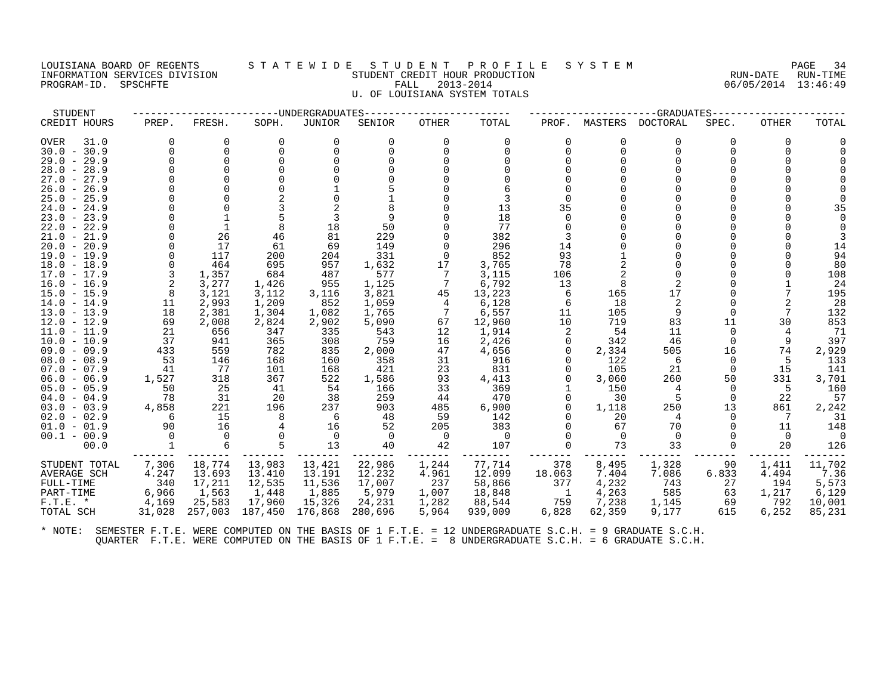# LOUISIANA BOARD OF REGENTS STATEWIDE STUDENT PROFILE SYSTEM PAGE 34<br>INFORMATION SERVICES DIVISION STUDENT CREDIT HOUR PRODUCTION PRODUCTION CERTAINE RUN-DATE RUN-TIME INFORMATION SERVICES DIVISION STUDENT CREDIT HOUR PRODUCTION RUN-DATE RUN-TIME PROGRAM-ID. SPSCHFTE FALL 2013-2014 06/05/2014 13:46:49 U. OF LOUISIANA SYSTEM TOTALS

| STUDENT          |          |          |          | ----UNDERGRADUATES |         |              | --GRADUATES    |          |              |          |              |       |        |
|------------------|----------|----------|----------|--------------------|---------|--------------|----------------|----------|--------------|----------|--------------|-------|--------|
| CREDIT HOURS     | PREP.    | FRESH.   | SOPH.    | JUNIOR             | SENIOR  | <b>OTHER</b> | TOTAL          | PROF.    | MASTERS      | DOCTORAL | SPEC.        | OTHER | TOTAL  |
| OVER<br>31.0     | $\Omega$ | U        | $\Omega$ | 0                  | 0       | $\Omega$     | 0              | $\Omega$ | <sup>0</sup> | 0        | <sup>n</sup> |       |        |
| $30.0 - 30.9$    | U        | $\Omega$ |          |                    |         | ∩            | $\Omega$       | $\Omega$ | $\Omega$     | $\Omega$ |              |       |        |
| $29.0 -$<br>29.9 |          | $\Omega$ |          |                    |         |              |                | $\Omega$ |              | ∩        |              |       |        |
| $28.0 - 28.9$    |          |          |          |                    |         |              |                |          |              |          |              |       |        |
| $27.0 - 27.9$    |          |          |          |                    |         |              |                |          |              |          |              |       |        |
| $26.0 -$<br>26.9 |          |          |          |                    |         |              |                |          |              |          |              |       |        |
| $25.0 - 25.9$    |          |          |          |                    |         |              |                | $\Omega$ |              |          |              |       |        |
| $24.0 - 24.9$    |          |          |          |                    |         |              | 13             | 35       |              |          |              |       | 35     |
| $23.0 - 23.9$    |          |          |          |                    |         |              | 18             | $\Omega$ |              |          |              |       |        |
| $22.0 - 22.9$    |          |          |          | 18                 | 50      |              | 77             |          |              |          |              |       |        |
| $21.0 - 21.9$    |          | 26       | 46       | 81                 | 229     |              | 382            | 3        |              |          |              |       |        |
| $20.0 - 20.9$    |          | 17       | 61       | 69                 | 149     |              | 296            | 14       |              |          |              |       | 14     |
| $19.0 - 19.9$    | $\Omega$ | 117      | 200      | 204                | 331     | $\Omega$     | 852            | 93       |              |          |              |       | 94     |
| $18.0 - 18.9$    | $\Omega$ | 464      | 695      | 957                | 1,632   | 17           | 3,765          | 78       |              |          |              |       | 80     |
| 17.0 - 17.9      | 3        | 1,357    | 684      | 487                | 577     | -7           | 3,115          | 106      |              | $\Omega$ |              |       | 108    |
| $16.0 - 16.9$    | 2        | 3,277    | 1,426    | 955                | 1,125   | 7            | 6,792          | 13       | 8            |          |              |       | 24     |
| $15.0 - 15.9$    | 8        | 3,121    | 3,112    | 3,116              | 3,821   | 45           | 13,223         | 6        | 165          | 17       |              |       | 195    |
| $14.0 - 14.9$    | 11       | 2,993    | 1,209    | 852                | 1,059   | 4            | 6,128          | 6        | 18           |          |              |       | 28     |
| $13.0 - 13.9$    | 18       | 2,381    | 1,304    | 1,082              | 1,765   | 7            | 6,557          | 11       | 105          |          |              |       | 132    |
| $12.0 - 12.9$    | 69       | 2,008    | 2,824    | 2,902              | 5,090   | 67           | 12,960         | 10       | 719          | 83       | 11           | 30    | 853    |
| $11.0 - 11.9$    | 21       | 656      | 347      | 335                | 543     | 12           | 1,914          | 2        | 54           | 11       | $\Omega$     |       | 71     |
| 10.0 - 10.9      | 37       | 941      | 365      | 308                | 759     | 16           | 2,426          | $\Omega$ | 342          | 46       | 0            |       | 397    |
| $09.0 - 09.9$    | 433      | 559      | 782      | 835                | 2,000   | 47           | 4,656          | 0        | 2,334        | 505      | 16           | 74    | 2,929  |
| $08.0 - 08.9$    | 53       | 146      | 168      | 160                | 358     | 31           | 916            | $\Omega$ | 122          | 6        | $\Omega$     |       | 133    |
| $07.0 - 07.9$    | 41       | 77       | 101      | 168                | 421     | 23           | 831            |          | 105          | 21       | $\Omega$     | 15    | 141    |
| $06.0 - 06.9$    | 1,527    | 318      | 367      | 522                | 1,586   | 93           | 4,413          | $\Omega$ | 3,060        | 260      | 50           | 331   | 3,701  |
| $05.0 - 05.9$    | 50       | 25       | 41       | 54                 | 166     | 33           | 369            |          | 150          | 4        | $\Omega$     | 5     | 160    |
| $04.0 - 04.9$    | 78       | 31       | 20       | 38                 | 259     | 44           | 470            | $\Omega$ | 30           | 5        | $\Omega$     | 22    | 57     |
| $03.0 - 03.9$    | 4,858    | 221      | 196      | 237                | 903     | 485          | 6,900          | $\Omega$ | 1,118        | 250      | 13           | 861   | 2,242  |
| $02.0 - 02.9$    | 6        | 15       | 8        | 6                  | 48      | 59           | 142            | $\Omega$ | 20           | 4        | 0            | 7     | 31     |
| $01.0 - 01.9$    | 90       | 16       |          | 16                 | 52      | 205          | 383            |          | 67           | 70       |              | 11    | 148    |
| $00.1 - 00.9$    |          | $\Omega$ |          | 0                  | 0       | - 0          | $\overline{0}$ | $\Omega$ | $\Omega$     | $\Omega$ |              | - 0   | - 0    |
| 00.0             |          |          | 5        | 13                 | 40      | 42           | 107            |          | 73           | 33       | $\Omega$     | 20    | 126    |
| STUDENT TOTAL    | 7,306    | 18,774   | 13,983   | 13,421             | 22,986  | 1,244        | 77,714         | 378      | 8,495        | 1,328    | 90           | 1,411 | 11,702 |
| AVERAGE SCH      | 4.247    | 13.693   | 13.410   | 13.191             | 12.232  | 4.961        | 12.099         | 18.063   | 7.404        | 7.086    | 6.833        | 4.494 | 7.36   |
| FULL-TIME        | 340      | 17,211   | 12,535   | 11,536             | 17,007  | 237          | 58,866         | 377      | 4,232        | 743      | 27           | 194   | 5,573  |
| PART-TIME        | 6,966    | 1,563    | 1,448    | 1,885              | 5,979   | 1,007        | 18,848         | 1        | 4,263        | 585      | 63           | 1,217 | 6,129  |
| $F.T.E. *$       | 4,169    | 25,583   | 17,960   | 15,326             | 24,231  | 1,282        | 88,544         | 759      | 7,238        | 1,145    | 69           | 792   | 10,001 |
| TOTAL SCH        | 31,028   | 257,003  | 187,450  | 176,868            | 280,696 | 5,964        | 939,009        | 6,828    | 62,359       | 9,177    | 615          | 6,252 | 85,231 |
|                  |          |          |          |                    |         |              |                |          |              |          |              |       |        |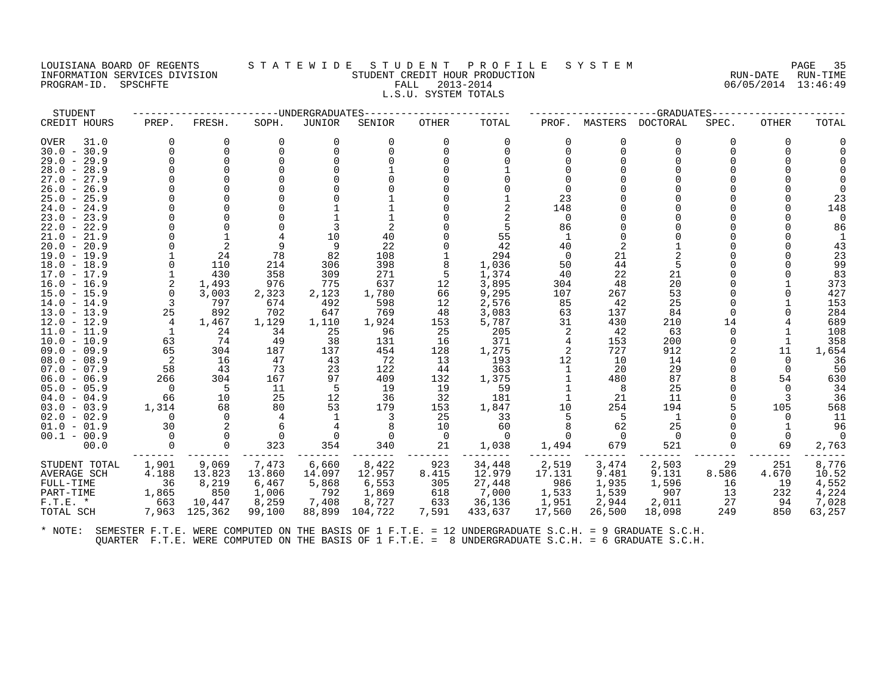# LOUISIANA BOARD OF REGENTS STATEWIDE STUDENT PROFILE SYSTEM NAGE 35 INFORMATION SERVICES DIVISION SUN-TIME STUDENT CREDIT HOUR PRODUCTION SUNGLE RUN-DATE RUN-TIME<br>PROGRAM-ID. SPSCHFTE SERVITE SERVICES SUNGLESS SUNGLESS FALL 2013-2014 2019 PROGRAM-ID. SPSCHFTE FALL 2013-2014 L.S.U. SYSTEM TOTALS

| STUDENT                      |              |              |              | --UNDERGRADUATES |              | -GRADUATES   |                |           |           |          |       |              |            |
|------------------------------|--------------|--------------|--------------|------------------|--------------|--------------|----------------|-----------|-----------|----------|-------|--------------|------------|
| CREDIT HOURS                 | PREP.        | FRESH.       | SOPH.        | <b>JUNIOR</b>    | SENIOR       | <b>OTHER</b> | TOTAL          | PROF.     | MASTERS   | DOCTORAL | SPEC. | <b>OTHER</b> | TOTAL      |
| OVER<br>31.0                 | $\Omega$     | $\Omega$     | 0            | O                |              |              | $\Omega$       | 0         | O         | $\Omega$ | 0     | 0            |            |
| $30.0 - 30.9$                | $\Omega$     | $\Omega$     |              |                  |              |              |                | 0         | $\cap$    | $\Omega$ |       |              |            |
| $29.0 - 29.9$                |              | $\Omega$     |              |                  |              |              |                |           |           |          |       |              |            |
| $28.0 - 28.9$                |              |              |              |                  |              |              |                |           |           |          |       |              |            |
| $27.0 - 27.9$                |              |              |              |                  |              |              |                |           |           |          |       |              |            |
| 26.9<br>$26.0 -$             |              |              |              |                  |              |              |                | $\Omega$  |           |          |       |              |            |
| $25.0 - 25.9$                |              |              |              |                  |              |              |                | 23        |           |          |       |              | 23         |
| $24.0 - 24.9$                |              |              |              |                  |              |              |                | 148       |           |          |       |              | 148        |
| $23.0 - 23.9$                |              |              |              |                  |              |              |                | $\Omega$  |           |          |       |              |            |
| $22.0 - 22.9$                |              |              |              |                  |              |              |                | 86        |           |          |       |              | 86         |
| $21.0 - 21.9$                |              |              |              | 10               | 40           |              | 55             |           |           |          |       |              |            |
| $20.0 - 20.9$                |              |              |              | 9                | 22           |              | 42             | 40        | 2         |          |       |              | 43         |
| $19.0 - 19.9$                |              | 24           | 78           | 82               | 108          |              | 294            | $\Omega$  | 21        |          |       |              | 23         |
| $18.0 - 18.9$                | $\Omega$     | 110          | 214          | 306              | 398          |              | 1,036          | 50        | 44        | 5        |       |              | 99         |
| $17.0 - 17.9$                | $\mathbf{1}$ | 430          | 358<br>976   | 309<br>775       | 271<br>637   | 12           | 1,374<br>3,895 | 40<br>304 | 22<br>48  | 21<br>20 |       |              | 83         |
| $16.0 - 16.9$                | $\Omega$     | 1,493        |              |                  |              |              |                |           |           | 53       |       |              | 373<br>427 |
| 15.0 - 15.9<br>$14.0 - 14.9$ | 3            | 3,003<br>797 | 2,323<br>674 | 2,123<br>492     | 1,780<br>598 | 66<br>12     | 9,295<br>2,576 | 107<br>85 | 267<br>42 | 25       |       |              | 153        |
| $13.0 - 13.9$                | 25           | 892          | 702          | 647              | 769          | 48           | 3,083          | 63        | 137       | 84       |       |              | 284        |
| $12.0 - 12.9$                | 4            | 1,467        | 1,129        | 1,110            | 1,924        | 153          | 5,787          | 31        | 430       | 210      | 14    |              | 689        |
| $11.0 - 11.9$                | 1            | 24           | 34           | 25               | 96           | 25           | 205            | 2         | 42        | 63       |       |              | 108        |
| $10.0 - 10.9$                | 63           | 74           | 49           | 38               | 131          | 16           | 371            | 4         | 153       | 200      |       |              | 358        |
| $09.0 - 09.9$                | 65           | 304          | 187          | 137              | 454          | 128          | 1,275          | 2         | 727       | 912      |       | 11           | 1,654      |
| $08.0 - 08.9$                |              | 16           | 47           | 43               | 72           | 13           | 193            | 12        | 10        | 14       |       | $\Omega$     | 36         |
| $07.0 - 07.9$                | 58           | 43           | 73           | 23               | 122          | 44           | 363            |           | 20        | 29       |       | $\Omega$     | 50         |
| $06.0 - 06.9$                | 266          | 304          | 167          | 97               | 409          | 132          | 1,375          |           | 480       | 87       |       | 54           | 630        |
| $05.0 - 05.9$                | $\Omega$     | 5            | 11           | 5                | 19           | 19           | 59             |           | 8         | 25       |       | $\Omega$     | 34         |
| $04.0 - 04.9$                | 66           | 10           | 25           | 12               | 36           | 32           | 181            |           | 21        | 11       |       |              | 36         |
| $03.0 - 03.9$                | 1,314        | 68           | 80           | 53               | 179          | 153          | 1,847          | 10        | 254       | 194      |       | 105          | 568        |
| $02.0 - 02.9$                | $\Omega$     | $\Omega$     |              |                  |              | 25           | 33             | 5         | -5        | 1        |       | $\Omega$     | 11         |
| $01.0 - 01.9$                | 30           |              |              |                  |              | 10           | 60             |           | 62        | 25       |       |              | 96         |
| $00.1 - 00.9$                | $\Omega$     |              |              |                  |              | - 0          | $\Omega$       |           |           | $\Omega$ |       |              |            |
| 00.0                         |              | $\Omega$     | 323          | 354              | 340          | 21           | 1,038          | 1,494     | 679       | 521      | 0     | 69           | 2,763      |
| STUDENT TOTAL                | 1,901        | 9,069        | 7,473        | 6,660            | 8,422        | 923          | 34,448         | 2,519     | 3,474     | 2,503    | 29    | 251          | 8,776      |
| AVERAGE SCH                  | 4.188        | 13.823       | 13.860       | 14.097           | 12.957       | 8.415        | 12.979         | 17.131    | 9.481     | 9.131    | 8.586 | 4.670        | 10.52      |
| FULL-TIME                    | 36           | 8,219        | 6,467        | 5,868            | 6,553        | 305          | 27,448         | 986       | 1,935     | 1,596    | 16    | 19           | 4,552      |
| PART-TIME                    | 1,865        | 850          | 1,006        | 792              | 1,869        | 618          | 7,000          | 1,533     | 1,539     | 907      | 13    | 232          | 4,224      |
| $F.T.E. *$                   | 663          | 10,447       | 8,259        | 7,408            | 8,727        | 633          | 36,136         | 1,951     | 2,944     | 2,011    | 27    | 94           | 7,028      |
| TOTAL SCH                    | 7,963        | 125,362      | 99,100       | 88,899           | 104,722      | 7,591        | 433,637        | 17,560    | 26,500    | 18,098   | 249   | 850          | 63,257     |
|                              |              |              |              |                  |              |              |                |           |           |          |       |              |            |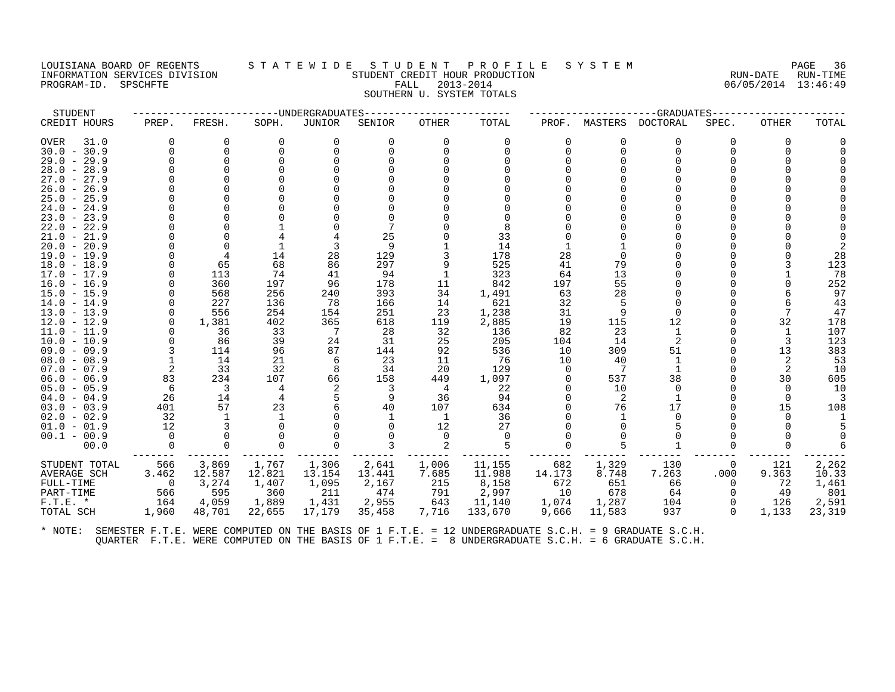#### LOUISIANA BOARD OF REGENTS STATEWIDE STUDENT PROFILE SYSTEM PAGE 36<br>INFORMATION SERVICES DIVISION STUDENT CREDIT HOUR PRODUCTION PRODUCTION INFORMATION SERVICES DIVISION STUDENT CREDIT HOUR PRODUCTION RUN-DATE RUN-TIME PROGRAM-ID. SPSCHFTE FALL 2013-2014 06/05/2014 13:46:49 SOUTHERN U. SYSTEM TOTALS

STUDENT ------------------------UNDERGRADUATES------------------------ ---------------------GRADUATES----------------------

| CREDIT HOURS                             | PREP.          | FRESH.   | SOPH.    | JUNIOR | SENIOR | OTHER    | TOTAL   | PROF.    | MASTERS        | DOCTORAL | SPEC. | OTHER | TOTAL  |
|------------------------------------------|----------------|----------|----------|--------|--------|----------|---------|----------|----------------|----------|-------|-------|--------|
| <b>OVER</b><br>31.0                      | 0              | 0        | 0        | 0      | O      | $\Omega$ | 0       | 0        | 0              | 0        |       | 0     |        |
| $30.0 - 30.9$                            | O              | $\Omega$ |          |        |        |          |         | 0        | $\Omega$       | O        |       |       |        |
| $29.0 - 29.9$                            |                |          |          |        |        |          |         |          |                |          |       |       |        |
| $28.0 - 28.9$                            |                |          |          |        |        |          |         |          |                |          |       |       |        |
| $27.0 -$<br>27.9                         |                |          |          |        |        |          |         |          |                |          |       |       |        |
| $26.0 -$<br>26.9                         |                |          |          |        |        |          |         |          |                |          |       |       |        |
| $25.0 - 25.9$                            |                |          |          |        |        |          |         |          |                |          |       |       |        |
| $24.0 - 24.9$                            |                |          |          |        |        |          |         |          |                |          |       |       |        |
| 23.0<br>23.9<br>$\sim$                   |                |          |          |        |        |          |         |          |                |          |       |       |        |
| 22.0<br>22.9<br>$\overline{\phantom{0}}$ |                |          |          |        |        |          |         |          |                |          |       |       |        |
| $21.0 -$<br>21.9                         |                |          |          |        | 25     |          | 33      |          |                |          |       |       |        |
| $20.0 - 20.9$                            |                |          |          |        | 9      |          | 14      |          |                |          |       |       |        |
| $19.0 - 19.9$                            |                |          | 14       | 28     | 129    |          | 178     | 28       |                |          |       |       | 28     |
| $18.0 - 18.9$                            |                | 65       | 68       | 86     | 297    |          | 525     | 41       | 79             |          |       |       | 123    |
| $17.0 - 17.9$                            |                | 113      | 74       | 41     | 94     |          | 323     | 64       | 13             |          |       |       | 78     |
| $16.0 - 16.9$                            |                | 360      | 197      | 96     | 178    | 11       | 842     | 197      | 55             |          |       |       | 252    |
| $15.0 - 15.9$                            |                | 568      | 256      | 240    | 393    | 34       | 1,491   | 63       | 28             |          |       |       | 97     |
| $14.0 - 14.9$                            |                | 227      | 136      | 78     | 166    | 14       | 621     | 32       | 5              |          |       |       | 43     |
| $13.0 - 13.9$                            | $\Omega$       | 556      | 254      | 154    | 251    | 23       | 1,238   | 31       | 9              |          |       |       | 47     |
| $12.0 - 12.9$                            | $\Omega$       | 1,381    | 402      | 365    | 618    | 119      | 2,885   | 19       | 115            | 12       |       | 32    | 178    |
| $11.0 - 11.9$                            |                | 36       | 33       |        | 28     | 32       | 136     | 82       | 23             |          |       |       | 107    |
| $10.0 - 10.9$                            |                | 86       | 39       | 24     | 31     | 25       | 205     | 104      | 14             | 2        |       |       | 123    |
| $09.0 - 09.9$                            |                | 114      | 96       | 87     | 144    | 92       | 536     | 10       | 309            | 51       |       | 13    | 383    |
| $08.0 - 08.9$                            |                | 14       | 21       |        | 23     | 11       | 76      | 10       | 40             |          |       |       | 53     |
| $07.0 - 07.9$                            | $\overline{2}$ | 33       | 32       | 8      | 34     | 20       | 129     | $\Omega$ | 7              |          |       |       | 10     |
| $06.0 - 06.9$                            | 83             | 234      | 107      | 66     | 158    | 449      | 1,097   | O        | 537            | 38       |       | 30    | 605    |
| $05.0 - 05.9$                            | 6              | 3        | 4        |        | 3      | -4       | 22      |          | 10             | $\Omega$ |       | O     | 10     |
| $04.0 - 04.9$                            | 26             | 14       |          |        | 9      | 36       | 94      |          | $\overline{c}$ |          |       |       |        |
| $03.0 - 03.9$                            | 401            | 57       | 23       |        | 40     | 107      | 634     |          | 76             | 17       |       | 15    | 108    |
| $02.0 - 02.9$                            | 32             |          |          |        |        |          | 36      |          |                |          |       |       |        |
| $01.0 - 01.9$                            | 12             |          |          |        |        | 12       | 27      |          |                |          |       |       |        |
| $00.1 - 00.9$                            | $\Omega$       |          |          |        |        |          |         |          |                |          |       |       |        |
| 00.0                                     | 0              | $\Omega$ | $\Omega$ |        |        |          |         |          |                |          |       |       |        |
| STUDENT TOTAL                            | 566            | 3,869    | 1,767    | 1,306  | 2,641  | 1,006    | 11,155  | 682      | 1,329          | 130      | 0     | 121   | 2,262  |
| AVERAGE SCH                              | 3.462          | 12.587   | 12.821   | 13.154 | 13.441 | 7.685    | 11.988  | 14.173   | 8.748          | 7.263    | .000  | 9.363 | 10.33  |
| FULL-TIME                                | 0              | 3,274    | 1,407    | 1,095  | 2,167  | 215      | 8,158   | 672      | 651            | 66       | 0     | 72    | 1,461  |
| PART-TIME                                | 566            | 595      | 360      | 211    | 474    | 791      | 2,997   | 10       | 678            | 64       |       | 49    | 801    |
| $F.T.E. *$                               | 164            | 4,059    | 1,889    | 1,431  | 2,955  | 643      | 11,140  | 1,074    | 1,287          | 104      |       | 126   | 2,591  |
| TOTAL SCH                                | 1,960          | 48,701   | 22,655   | 17,179 | 35,458 | 7,716    | 133,670 | 9,666    | 11,583         | 937      | 0     | 1,133 | 23,319 |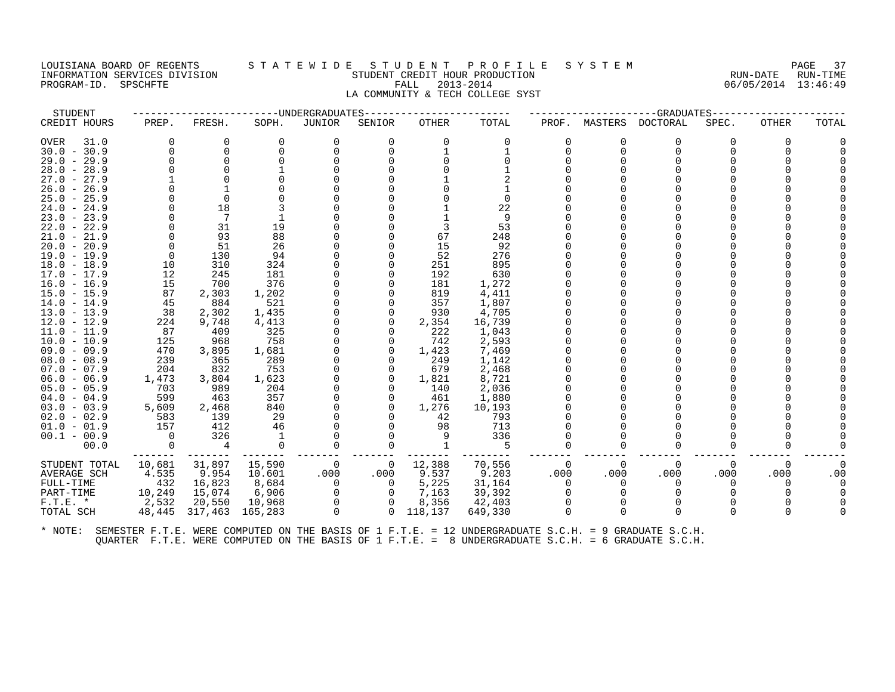#### LOUISIANA BOARD OF REGENTS S T A T E W I D E S T U D E N T P R O F I L E S Y S T E M PAGE 37 INFORMATION SERVICES DIVISION STUDENT CREDIT HOUR PRODUCTION RUN-DATE RUN-TIME PROGRAM-ID. SPSCHFTE FALL 2013-2014 06/05/2014 13:46:49 LA COMMUNITY & TECH COLLEGE SYST

| STUDENT             |          |          | -------------DNDERGRADUATES |             |          |            |          |          |         | --GRADUATES |              |              |       |
|---------------------|----------|----------|-----------------------------|-------------|----------|------------|----------|----------|---------|-------------|--------------|--------------|-------|
| CREDIT HOURS        | PREP.    | FRESH.   | SOPH.                       | JUNIOR      | SENIOR   | OTHER      | TOTAL    | PROF.    | MASTERS | DOCTORAL    | SPEC.        | <b>OTHER</b> | TOTAL |
| <b>OVER</b><br>31.0 |          | 0        | $\Omega$                    | 0           | $\Omega$ | $\Omega$   | $\Omega$ | 0        |         | $\Omega$    | O            | 0            |       |
| $30.0 - 30.9$       |          |          |                             |             |          |            |          |          |         |             |              |              |       |
| 29.0 - 29.9         |          | $\Omega$ |                             |             |          |            |          |          |         |             |              |              |       |
| $28.0 - 28.9$       |          |          |                             |             |          |            |          |          |         |             |              |              |       |
| $27.0 - 27.9$       |          |          |                             |             |          |            |          |          |         |             |              |              |       |
| $26.0 - 26.9$       |          |          |                             |             |          |            |          |          |         |             |              |              |       |
| $25.0 - 25.9$       |          | $\Omega$ |                             |             |          |            |          |          |         |             |              |              |       |
| 24.0 - 24.9         |          | 18       |                             |             |          |            | 22       |          |         |             |              |              |       |
| $23.0 - 23.9$       |          |          |                             |             |          |            | 9        |          |         |             |              |              |       |
| $22.0 - 22.9$       |          | 31       | 19                          |             |          |            | 53       |          |         |             |              |              |       |
| $21.0 - 21.9$       |          | 93       | 88                          |             |          | 67         | 248      |          |         |             |              |              |       |
| $20.0 - 20.9$       |          | 51       | 26                          |             |          | 15         | 92       |          |         |             |              |              |       |
| 19.0 - 19.9         | $\Omega$ | 130      | 94                          |             |          | 52         | 276      |          |         |             |              |              |       |
| $18.0 - 18.9$       | 10       | 310      | 324                         |             |          | 251        | 895      |          |         |             |              |              |       |
| $17.0 - 17.9$       | 12       | 245      | 181                         |             |          | 192        | 630      |          |         |             |              |              |       |
| $16.0 - 16.9$       | 15       | 700      | 376                         |             |          | 181        | 1,272    |          |         |             |              |              |       |
| 15.0 - 15.9         | 87       | 2,303    | 1,202                       |             |          | 819        | 4,411    |          |         |             |              |              |       |
| $14.0 - 14.9$       | 45       | 884      | 521                         |             |          | 357        | 1,807    |          |         |             |              |              |       |
| $13.0 - 13.9$       | 38       | 2,302    | 1,435                       |             |          | 930        | 4,705    |          |         |             |              |              |       |
| $12.0 - 12.9$       | 224      | 9,748    | 4,413                       |             | $\Omega$ | 2,354      | 16,739   |          |         |             |              |              |       |
| $11.0 - 11.9$       | 87       | 409      | 325                         |             |          | 222        | 1,043    |          |         |             |              |              |       |
| $10.0 - 10.9$       | 125      | 968      | 758                         |             |          | 742        | 2,593    |          |         |             |              |              |       |
| $09.0 - 09.9$       | 470      | 3,895    | 1,681                       |             |          | 1,423      | 7,469    |          |         |             |              |              |       |
| $08.0 - 08.9$       | 239      | 365      | 289                         |             |          | 249        | 1,142    |          |         |             |              |              |       |
| $07.0 - 07.9$       | 204      | 832      | 753                         |             |          | 679        | 2,468    |          |         |             |              |              |       |
| $06.0 - 06.9$       | 1,473    | 3,804    | 1,623                       |             | 0        | 1,821      | 8,721    |          |         |             |              |              |       |
| $05.0 - 05.9$       | 703      | 989      | 204                         |             |          | 140        | 2,036    |          |         |             |              |              |       |
| $04.0 - 04.9$       | 599      | 463      | 357                         |             | 0        | 461        | 1,880    |          |         |             |              |              |       |
| $03.0 - 03.9$       | 5,609    | 2,468    | 840                         |             |          | 1,276      | 10,193   |          |         |             |              |              |       |
| $02.0 - 02.9$       | 583      | 139      | 29                          |             |          | 42         | 793      |          |         |             |              |              |       |
| $01.0 - 01.9$       | 157      | 412      | 46                          |             |          | 98         | 713      |          |         |             |              |              |       |
| $00.1 - 00.9$       | $\Omega$ | 326      |                             |             |          | 9          | 336      |          |         |             |              |              |       |
| 00.0                | $\Omega$ | 4        | 0                           |             | 0        |            | -5       |          |         |             |              |              |       |
| STUDENT TOTAL       | 10,681   | 31,897   | 15,590                      | 0           | 0        | 12,388     | 70,556   | $\Omega$ | 0       | $\Omega$    | $\Omega$     | 0            |       |
| AVERAGE SCH         | 4.535    | 9.954    | 10.601                      | .000        | .000     | 9.537      | 9.203    | .000     | .000    | .000        | .000         | .000         | .00   |
| FULL-TIME           | 432      | 16,823   | 8,684                       | $\Omega$    | $\Omega$ | 5,225      | 31,164   | $\Omega$ |         | $\Omega$    | <sup>0</sup> |              |       |
| PART-TIME           | 10,249   | 15,074   | 6,906                       | 0           | $\Omega$ | 7,163      | 39,392   |          |         |             |              |              |       |
| $F.T.E. *$          | 2,532    | 20,550   | 10,968                      | $\Omega$    | $\Omega$ | 8,356      | 42,403   |          |         |             |              |              |       |
| TOTAL SCH           | 48,445   |          | 317,463 165,283             | $\mathbf 0$ |          | 0 118, 137 | 649,330  |          |         |             |              |              |       |
|                     |          |          |                             |             |          |            |          |          |         |             |              |              |       |